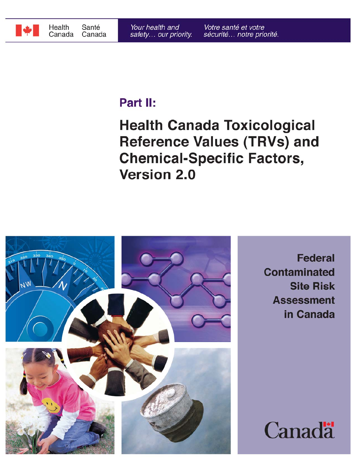

# Part II:

**Health Canada Toxicological Reference Values (TRVs) and Chemical-Specific Factors, Version 2.0** 

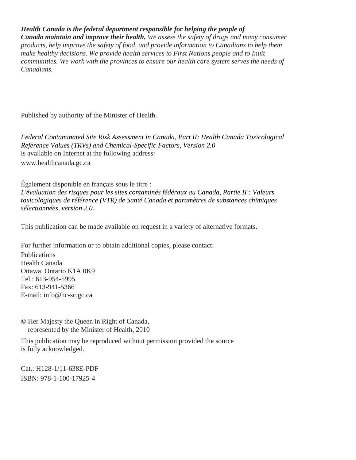#### *Health Canada is the federal department responsible for helping the people of*

*Canada maintain and improve their health. We assess the safety of drugs and many consumer products, help improve the safety of food, and provide information to Canadians to help them make healthy decisions. We provide health services to First Nations people and to Inuit communities. We work with the provinces to ensure our health care system serves the needs of Canadians.*

Published by authority of the Minister of Health.

*Federal Contaminated Site Risk Assessment in Canada, Part II: Health Canada Toxicological Reference Values (TRVs) and Chemical-Specific Factors, Version 2.0* is available on Internet at the following address: www.healthcanada.gc.ca

Également disponible en français sous le titre : *L'évaluation des risques pour les sites contaminés fédéraux au Canada, Partie II : Valeurs toxicologiques de référence (VTR) de Santé Canada et paramètres de substances chimiques sélectionnées, version 2.0.*

This publication can be made available on request in a variety of alternative formats.

For further information or to obtain additional copies, please contact:

Publications Health Canada Ottawa, Ontario K1A 0K9 Tel.: 613-954-5995 Fax: 613-941-5366 E-mail: info@hc-sc.gc.ca

© Her Majesty the Queen in Right of Canada, represented by the Minister of Health, 2010

This publication may be reproduced without permission provided the source is fully acknowledged.

Cat.: H128-1/11-638E-PDF ISBN: 978-1-100-17925-4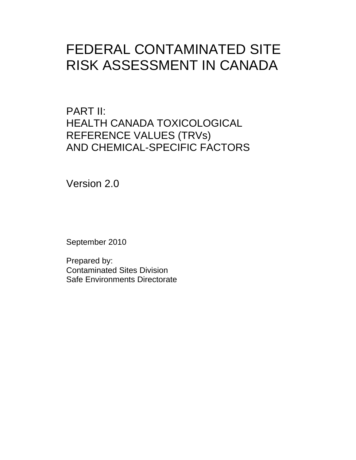# FEDERAL CONTAMINATED SITE RISK ASSESSMENT IN CANADA

# PART II: HEALTH CANADA TOXICOLOGICAL REFERENCE VALUES (TRVs) AND CHEMICAL-SPECIFIC FACTORS

Version 2.0

September 2010

Prepared by: Contaminated Sites Division Safe Environments Directorate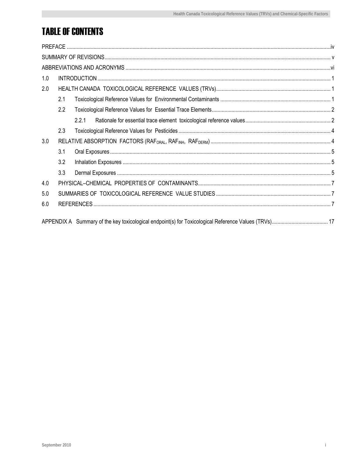# **TABLE OF CONTENTS**

| 1.0 |     |       |  |
|-----|-----|-------|--|
| 2.0 |     |       |  |
|     | 2.1 |       |  |
|     | 2.2 |       |  |
|     |     | 2.2.1 |  |
|     | 2.3 |       |  |
| 3.0 |     |       |  |
|     | 3.1 |       |  |
|     | 3.2 |       |  |
|     | 3.3 |       |  |
| 4.0 |     |       |  |
| 5.0 |     |       |  |
| 6.0 |     |       |  |
|     |     |       |  |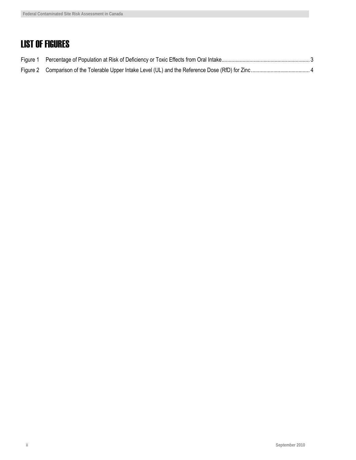### LIST OF FIGURES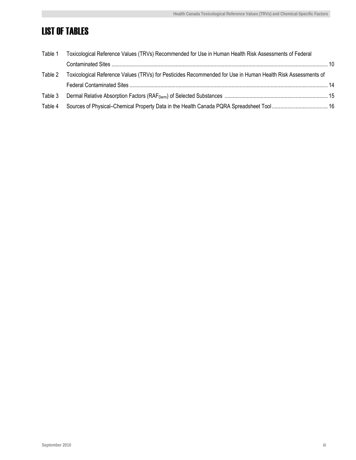### LIST OF TABLES

| Table 1 | Toxicological Reference Values (TRVs) Recommended for Use in Human Health Risk Assessments of Federal        |  |
|---------|--------------------------------------------------------------------------------------------------------------|--|
|         |                                                                                                              |  |
| Table 2 | Toxicological Reference Values (TRVs) for Pesticides Recommended for Use in Human Health Risk Assessments of |  |
|         |                                                                                                              |  |
| Table 3 |                                                                                                              |  |
| Table 4 |                                                                                                              |  |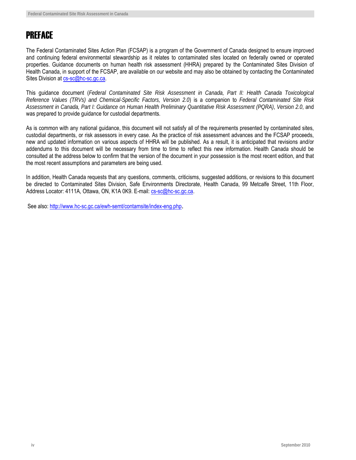# PREFACE

The Federal Contaminated Sites Action Plan (FCSAP) is a program of the Government of Canada designed to ensure improved and continuing federal environmental stewardship as it relates to contaminated sites located on federally owned or operated properties. Guidance documents on human health risk assessment (HHRA) prepared by the Contaminated Sites Division of Health Canada, in support of the FCSAP, are available on our website and may also be obtained by contacting the Contaminated Sites Division at cs-sc@hc-sc.gc.ca.

This guidance document (*Federal Contaminated Site Risk Assessment in Canada, Part II: Health Canada Toxicological Reference Values (TRVs) and Chemical-Specific Factors, Version 2.0*) is a companion to *Federal Contaminated Site Risk Assessment in Canada, Part I: Guidance on Human Health Preliminary Quantitative Risk Assessment (PQRA)*, *Version 2.0*, and was prepared to provide guidance for custodial departments.

As is common with any national guidance, this document will not satisfy all of the requirements presented by contaminated sites, custodial departments, or risk assessors in every case. As the practice of risk assessment advances and the FCSAP proceeds, new and updated information on various aspects of HHRA will be published. As a result, it is anticipated that revisions and/or addendums to this document will be necessary from time to time to reflect this new information. Health Canada should be consulted at the address below to confirm that the version of the document in your possession is the most recent edition, and that the most recent assumptions and parameters are being used.

In addition, Health Canada requests that any questions, comments, criticisms, suggested additions, or revisions to this document be directed to Contaminated Sites Division, Safe Environments Directorate, Health Canada, 99 Metcalfe Street, 11th Floor, Address Locator: 4111A, Ottawa, ON, K1A 0K9. E-mail: cs-sc@hc-sc.gc.ca.

See also: http://www.hc-sc.gc.ca/ewh-semt/contamsite/index-eng.php.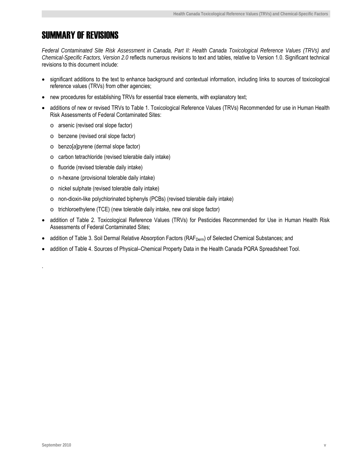### SUMMARY OF REVISIONS

*Federal Contaminated Site Risk Assessment in Canada, Part II: Health Canada Toxicological Reference Values (TRVs) and Chemical-Specific Factors, Version 2.0* reflects numerous revisions to text and tables, relative to Version 1.0. Significant technical revisions to this document include:

- significant additions to the text to enhance background and contextual information, including links to sources of toxicological reference values (TRVs) from other agencies;
- new procedures for establishing TRVs for essential trace elements, with explanatory text;
- additions of new or revised TRVs to Table 1. Toxicological Reference Values (TRVs) Recommended for use in Human Health Risk Assessments of Federal Contaminated Sites:
	- o arsenic (revised oral slope factor)
	- o benzene (revised oral slope factor)
	- o benzo[*a*]pyrene (dermal slope factor)
	- o carbon tetrachloride (revised tolerable daily intake)
	- o fluoride (revised tolerable daily intake)
	- o n-hexane (provisional tolerable daily intake)
	- o nickel sulphate (revised tolerable daily intake)
	- o non-dioxin-like polychlorinated biphenyls (PCBs) (revised tolerable daily intake)
	- o trichloroethylene (TCE) (new tolerable daily intake, new oral slope factor)
- addition of Table 2. Toxicological Reference Values (TRVs) for Pesticides Recommended for Use in Human Health Risk Assessments of Federal Contaminated Sites;
- addition of Table 3. Soil Dermal Relative Absorption Factors (RAF<sub>Derm</sub>) of Selected Chemical Substances; and
- addition of Table 4. Sources of Physical–Chemical Property Data in the Health Canada PQRA Spreadsheet Tool.

.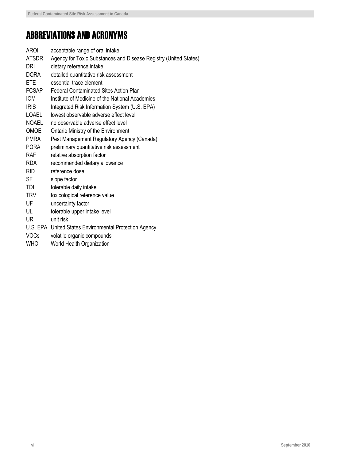# ABBREVIATIONS AND ACRONYMS

| AROI         | acceptable range of oral intake                                  |
|--------------|------------------------------------------------------------------|
| ATSDR        | Agency for Toxic Substances and Disease Registry (United States) |
| DRI          | dietary reference intake                                         |
| <b>DQRA</b>  | detailed quantitative risk assessment                            |
| <b>ETE</b>   | essential trace element                                          |
| FCSAP        | <b>Federal Contaminated Sites Action Plan</b>                    |
| <b>IOM</b>   | Institute of Medicine of the National Academies                  |
| <b>IRIS</b>  | Integrated Risk Information System (U.S. EPA)                    |
| LOAEL        | lowest observable adverse effect level                           |
| <b>NOAEL</b> | no observable adverse effect level                               |
| <b>OMOE</b>  | Ontario Ministry of the Environment                              |
| <b>PMRA</b>  | Pest Management Regulatory Agency (Canada)                       |
| <b>PQRA</b>  | preliminary quantitative risk assessment                         |
| <b>RAF</b>   | relative absorption factor                                       |
| RDA.         | recommended dietary allowance                                    |
| <b>RfD</b>   | reference dose                                                   |
| SF           | slope factor                                                     |
| tdi          | tolerable daily intake                                           |
| <b>TRV</b>   | toxicological reference value                                    |
| UF           | uncertainty factor                                               |
| UL           | tolerable upper intake level                                     |
| UR.          | unit risk                                                        |
|              | U.S. EPA United States Environmental Protection Agency           |
| <b>VOCs</b>  | volatile organic compounds                                       |
| <b>WHO</b>   | World Health Organization                                        |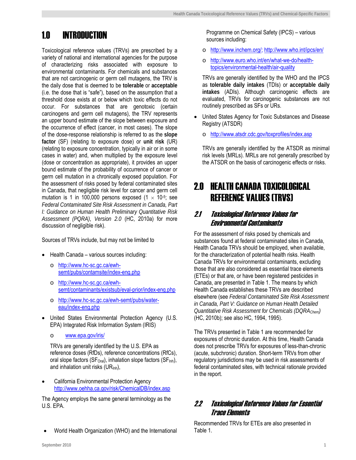### 1.0 INTRODUCTION

Toxicological reference values (TRVs) are prescribed by a variety of national and international agencies for the purpose of characterizing risks associated with exposure to environmental contaminants. For chemicals and substances that are not carcinogenic or germ cell mutagens, the TRV is the daily dose that is deemed to be **tolerable** or **acceptable**  (i.e. the dose that is "safe"), based on the assumption that a threshold dose exists at or below which toxic effects do not occur. For substances that are genotoxic (certain carcinogens and germ cell mutagens), the TRV represents an upper bound estimate of the slope between exposure and the occurrence of effect (cancer, in most cases). The slope of the dose-response relationship is referred to as the **slope factor** (SF) (relating to exposure dose) or **unit risk** (UR) (relating to exposure concentration, typically in air or in some cases in water) and, when multiplied by the exposure level (dose or concentration as appropriate), it provides an upper bound estimate of the probability of occurrence of cancer or germ cell mutation in a chronically exposed population. For the assessment of risks posed by federal contaminated sites in Canada, that negligible risk level for cancer and germ cell mutation is 1 in 100,000 persons exposed (1  $\times$  10-5; see *Federal Contaminated Site Risk Assessment in Canada, Part I: Guidance on Human Health Preliminary Quantitative Risk Assessment (PQRA)*, *Version 2.0* (HC, 2010a) for more discussion of negligible risk).

Sources of TRVs include, but may not be limited to

- Health Canada various sources including:
	- o http://www.hc-sc.gc.ca/ewhsemt/pubs/contamsite/index-eng.php
	- o http://www.hc-sc.gc.ca/ewhsemt/contaminants/existsub/eval-prior/index-eng.php
	- o http://www.hc-sc.gc.ca/ewh-semt/pubs/watereau/index-eng.php
- United States Environmental Protection Agency (U.S. EPA) Integrated Risk Information System (IRIS)
	- o www.epa.gov/iris/

TRVs are generally identified by the U.S. EPA as reference doses (RfDs), reference concentrations (RfCs), oral slope factors (SF<sub>Oral</sub>), inhalation slope factors (SF<sub>Inh</sub>), and inhalation unit risks (UR<sub>Inh</sub>),

 California Environmental Protection Agency http://www.oehha.ca.gov/risk/ChemicalDB/index.asp

The Agency employs the same general terminology as the U.S. EPA.

World Health Organization (WHO) and the International

Programme on Chemical Safety (IPCS) – various sources including:

- o http://www.inchem.org/; http://www.who.int/ipcs/en/
- o http://www.euro.who.int/en/what-we-do/healthtopics/environmental-health/air-quality

TRVs are generally identified by the WHO and the IPCS as **tolerable daily intakes** (TDIs) or **acceptable daily intakes** (ADIs). Although carcinogenic effects are evaluated, TRVs for carcinogenic substances are not routinely prescribed as SFs or URs.

- United States Agency for Toxic Substances and Disease Registry (ATSDR)
	- o http://www.atsdr.cdc.gov/toxprofiles/index.asp

TRVs are generally identified by the ATSDR as minimal risk levels (MRLs). MRLs are not generally prescribed by the ATSDR on the basis of carcinogenic effects or risks.

### 2.0 HEALTH CANADA TOXICOLOGICAL REFERENCE VALUES (TRVS)

#### 2.1 Toxicological Reference Values for Environmental Contaminants

For the assessment of risks posed by chemicals and substances found at federal contaminated sites in Canada, Health Canada TRVs should be employed, when available, for the characterization of potential health risks. Health Canada TRVs for environmental contaminants, excluding those that are also considered as essential trace elements (ETEs) or that are, or have been registered pesticides in Canada, are presented in Table 1. The means by which Health Canada establishes these TRVs are described elsewhere (see *Federal Contaminated Site Risk Assessment in Canada, Part V: Guidance on Human Health Detailed Quantitative Risk Assessment for Chemicals (DQRAChem)* (HC, 2010b); see also HC, 1994, 1995).

The TRVs presented in Table 1 are recommended for exposures of chronic duration. At this time, Health Canada does not prescribe TRVs for exposures of less-than-chronic (acute, subchronic) duration. Short-term TRVs from other regulatory jurisdictions may be used in risk assessments of federal contaminated sites, with technical rationale provided in the report.

#### 2.2 Toxicological Reference Values for Essential Trace Elements

Recommended TRVs for ETEs are also presented in Table 1.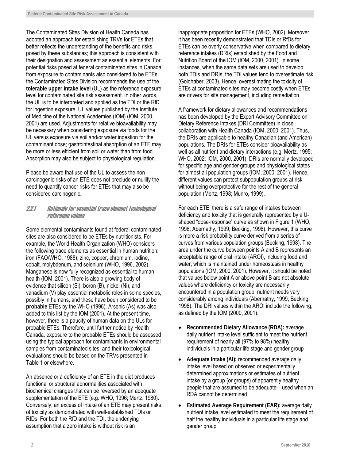The Contaminated Sites Division of Health Canada has adopted an approach for establishing TRVs for ETEs that better reflects the understanding of the benefits and risks posed by these substances; this approach is consistent with their designation and assessment as essential elements. For potential risks posed at federal contaminated sites in Canada from exposure to contaminants also considered to be ETEs, the Contaminated Sites Division recommends the use of the **tolerable upper intake level** (UL) as the reference exposure level for contaminated site risk assessment. In other words, the UL is to be interpreted and applied as the TDI or the RfD for ingestion exposure. UL values published by the Institute of Medicine of the National Academies (IOM) (IOM, 2000, 2001) are used. Adjustments for relative bioavailability may be necessary when considering exposure via foods for the UL versus exposure via soil and/or water ingestion for the contaminant dose; gastrointestinal absorption of an ETE may be more or less efficient from soil or water than from food. Absorption may also be subject to physiological regulation.

Please be aware that use of the UL to assess the noncarcinogenic risks of an ETE does not preclude or nullify the need to quantify cancer risks for ETEs that may also be considered carcinogenic.

#### 2.2.1 Rationale for essential trace element toxicological reference values

Some elemental contaminants found at federal contaminated sites are also considered to be ETEs by nutritionists. For example, the World Health Organization (WHO) considers the following trace elements as essential in human nutrition: iron (FAO/WHO, 1988), zinc, copper, chromium, iodine, cobalt, molybdenum, and selenium (WHO, 1996, 2002). Manganese is now fully recognized as essential to human health (IOM, 2001). There is also a growing body of evidence that silicon (Si), boron (B), nickel (Ni), and vanadium (V) play essential metabolic roles in some species, possibly in humans, and these have been considered to be **probable** ETEs by the WHO (1996). Arsenic (As) was also added to this list by the IOM (2001). At the present time, however, there is a paucity of human data on the ULs for probable ETEs. Therefore, until further notice by Health Canada, exposure to the probable ETEs should be assessed using the typical approach for contaminants in environmental samples from contaminated sites, and their toxicological evaluations should be based on the TRVs presented in Table 1 or elsewhere.

An absence or a deficiency of an ETE in the diet produces functional or structural abnormalities associated with biochemical changes that can be reversed by an adequate supplementation of the ETE (e.g. WHO, 1996; Mertz, 1980). Conversely, an excess of intake of an ETE may present risks of toxicity as demonstrated with well-established TDIs or RfDs. For both the RfD and the TDI, the underlying assumption that a zero intake is without risk is an

inappropriate proposition for ETEs (WHO, 2002). Moreover, it has been recently demonstrated that TDIs or RfDs for ETEs can be overly conservative when compared to dietary reference intakes (DRIs) established by the Food and Nutrition Board of the IOM (IOM, 2000, 2001). In some instances, when the same data sets are used to develop both TDIs and DRIs, the TDI values tend to overestimate risk (Goldhaber, 2003). Hence, overestimating the toxicity of ETEs at contaminated sites may become costly when ETEs are drivers for site management, including remediation.

A framework for dietary allowances and recommendations has been developed by the Expert Advisory Committee on Dietary Reference Intakes (DRI Committee) in close collaboration with Health Canada (IOM, 2000, 2001). Thus, the DRIs are applicable to healthy Canadian (and American) populations. The DRIs for ETEs consider bioavailability as well as all nutrient and dietary interactions (e.g. Mertz, 1995; WHO, 2002; IOM, 2000, 2001). DRIs are normally developed for specific age and gender groups and physiological states for almost all population groups (IOM, 2000, 2001). Hence, different values can protect subpopulation groups at risk without being overprotective for the rest of the general population (Mertz, 1998; Munro, 1999).

For each ETE, there is a safe range of intakes between deficiency and toxicity that is generally represented by a Ushaped "dose-response" curve as shown in Figure 1 (WHO, 1996; Abernathy, 1999; Becking, 1998). However, this curve is more a risk probability curve derived from a series of curves from various population groups (Becking, 1998). The area under the curve between points A and B represents an acceptable range of oral intake (AROI), including food and water, which is maintained under homeostasis in healthy populations (IOM, 2000, 2001). However, it should be noted that values below point A or above point B are not absolute values where deficiency or toxicity are necessarily encountered in a population group; nutrient needs vary considerably among individuals (Abernathy, 1999; Becking, 1998). The DRI values within the AROI include the following, as defined by the IOM (2000, 2001):

- **Recommended Dietary Allowance (RDA):** average daily nutrient intake level sufficient to meet the nutrient requirement of nearly all (97% to 98%) healthy individuals in a particular life stage and gender group
- **Adequate Intake (AI):** recommended average daily intake level based on observed or experimentally determined approximations or estimates of nutrient intake by a group (or groups) of apparently healthy people that are assumed to be adequate – used when an RDA cannot be determined
- **Estimated Average Requirement (EAR):** average daily nutrient intake level estimated to meet the requirement of half the healthy individuals in a particular life stage and gender group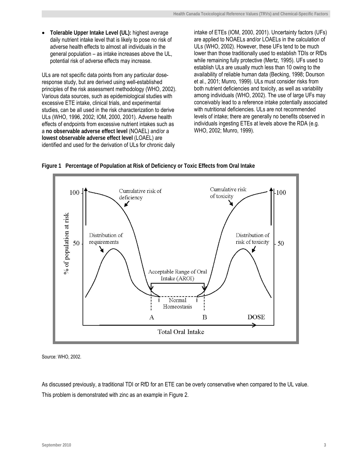**Tolerable Upper Intake Level (UL):** highest average daily nutrient intake level that is likely to pose no risk of adverse health effects to almost all individuals in the general population – as intake increases above the UL, potential risk of adverse effects may increase.

ULs are not specific data points from any particular doseresponse study, but are derived using well-established principles of the risk assessment methodology (WHO, 2002). Various data sources, such as epidemiological studies with excessive ETE intake, clinical trials, and experimental studies, can be all used in the risk characterization to derive ULs (WHO, 1996, 2002; IOM, 2000, 2001). Adverse health effects of endpoints from excessive nutrient intakes such as a **no observable adverse effect level** (NOAEL) and/or a **lowest observable adverse effect level** (LOAEL) are identified and used for the derivation of ULs for chronic daily

intake of ETEs (IOM, 2000, 2001). Uncertainty factors (UFs) are applied to NOAELs and/or LOAELs in the calculation of ULs (WHO, 2002). However, these UFs tend to be much lower than those traditionally used to establish TDIs or RfDs while remaining fully protective (Mertz, 1995). UFs used to establish ULs are usually much less than 10 owing to the availability of reliable human data (Becking, 1998; Dourson et al., 2001; Munro, 1999). ULs must consider risks from both nutrient deficiencies and toxicity, as well as variability among individuals (WHO, 2002). The use of large UFs may conceivably lead to a reference intake potentially associated with nutritional deficiencies. ULs are not recommended levels of intake; there are generally no benefits observed in individuals ingesting ETEs at levels above the RDA (e.g. WHO, 2002; Munro, 1999).





Source: WHO, 2002.

As discussed previously, a traditional TDI or RfD for an ETE can be overly conservative when compared to the UL value. This problem is demonstrated with zinc as an example in Figure 2.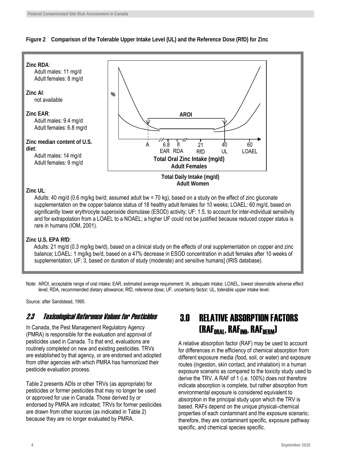**Figure 2 Comparison of the Tolerable Upper Intake Level (UL) and the Reference Dose (RfD) for Zinc** 



balance; LOAEL: 1 mg/kg bw/d, based on a 47% decrease in ESOD concentration in adult females after 10 weeks of supplementation; UF: 3, based on duration of study (moderate) and sensitive humans] (IRIS database).

Note: AROI, acceptable range of oral intake; EAR, estimated average requirement; IA, adequate intake; LOAEL, lowest observable adverse effect level; RDA, recommended dietary allowance; RfD, reference dose; UF, uncertainty factor; UL, tolerable upper intake level.

Source: after Sandstead, 1995.

#### 2.3 Toxicological Reference Values for Pesticides

In Canada, the Pest Management Regulatory Agency (PMRA) is responsible for the evaluation and approval of pesticides used in Canada. To that end, evaluations are routinely completed on new and existing pesticides. TRVs are established by that agency, or are endorsed and adopted from other agencies with which PMRA has harmonized their pesticide evaluation process.

Table 2 presents ADIs or other TRVs (as appropriate) for pesticides or former pesticides that may no longer be used or approved for use in Canada. Those derived by or endorsed by PMRA are indicated; TRVs for former pesticides are drawn from other sources (as indicated in Table 2) because they are no longer evaluated by PMRA.

### 3.0 RELATIVE ABSORPTION FACTORS (RAF<sub>ORAL</sub>, RAF<sub>INH</sub>, RAF<sub>DERM</sub>)

A relative absorption factor (RAF) may be used to account for differences in the efficiency of chemical absorption from different exposure media (food, soil, or water) and exposure routes (ingestion, skin contact, and inhalation) in a human exposure scenario as compared to the toxicity study used to derive the TRV. A RAF of 1 (i.e. 100%) does not therefore indicate absorption is complete, but rather absorption from environmental exposure is considered equivalent to absorption in the principal study upon which the TRV is based. RAFs depend on the unique physical–chemical properties of each contaminant and the exposure scenario; therefore, they are contaminant specific, exposure pathway specific, and chemical species specific.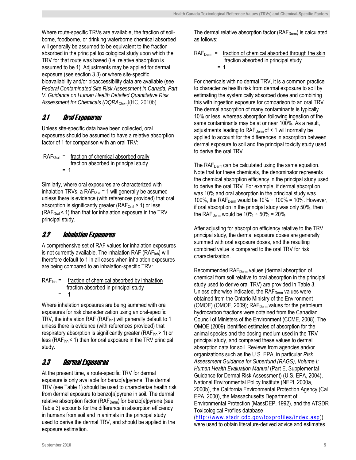Where route-specific TRVs are available, the fraction of soilborne, foodborne, or drinking waterborne chemical absorbed will generally be assumed to be equivalent to the fraction absorbed in the principal toxicological study upon which the TRV for that route was based (i.e. relative absorption is assumed to be 1). Adjustments may be applied for dermal exposure (see section 3.3) or where site-specific bioavailability and/or bioaccessibility data are available (see *Federal Contaminated Site Risk Assessment in Canada, Part V: Guidance on Human Health Detailed Quantitative Risk Assessment for Chemicals (DQRAChem)*(HC, 2010b).

#### 3.1 Oral Exposures

Unless site-specific data have been collected, oral exposures should be assumed to have a relative absorption factor of 1 for comparison with an oral TRV:

 $RAF<sub>Oral</sub>$  = fraction of chemical absorbed orally fraction absorbed in principal study = 1

Similarly, where oral exposures are characterized with inhalation TRVs, a RAF $<sub>Oral</sub> = 1$  will generally be assumed</sub> unless there is evidence (with references provided) that oral absorption is significantly greater ( $RAF<sub>Oral</sub> > 1$ ) or less (RAF<sub>Oral</sub> < 1) than that for inhalation exposure in the TRV principal study.

#### 3.2 Inhalation Exposures

A comprehensive set of RAF values for inhalation exposures is not currently available. The inhalation RAF ( $RAF_{Inh}$ ) will therefore default to 1 in all cases when inhalation exposures are being compared to an inhalation-specific TRV:

 $RAF_{Inh}$  = fraction of chemical absorbed by inhalation fraction absorbed in principal study = 1

Where inhalation exposures are being summed with oral exposures for risk characterization using an oral-specific TRV, the inhalation RAF (RAF<sub>Inh</sub>) will generally default to 1 unless there is evidence (with references provided) that respiratory absorption is significantly greater (RAF<sub>Inh</sub> > 1) or less (RAF<sub>Inh</sub> < 1) than for oral exposure in the TRV principal study.

#### 3.3 Dermal Exposures

At the present time, a route-specific TRV for dermal exposure is only available for benzo[*a*]pyrene. The dermal TRV (see Table 1) should be used to characterize health risk from dermal exposure to benzo[*a*]pyrene in soil. The dermal relative absorption factor (RAF<sub>Derm</sub>) for benzo[a]pyrene (see Table 3) accounts for the difference in absorption efficiency in humans from soil and in animals in the principal study used to derive the dermal TRV, and should be applied in the exposure estimation.

The dermal relative absorption factor  $(RAF_{\text{Dem}})$  is calculated as follows:

\n
$$
\text{RAF}_{\text{Derm}} = \frac{\text{fraction of chemical absorbed through the skin}}{\text{fraction absorbed in principal study}} = 1
$$
\n

For chemicals with no dermal TRV, it is a common practice to characterize health risk from dermal exposure to soil by estimating the systemically absorbed dose and combining this with ingestion exposure for comparison to an oral TRV. The dermal absorption of many contaminants is typically 10% or less, whereas absorption following ingestion of the same contaminants may be at or near 100%. As a result, adjustments leading to  $RAF<sub>Der</sub>$  of < 1 will normally be applied to account for the differences in absorption between dermal exposure to soil and the principal toxicity study used to derive the oral TRV.

The  $RAF<sub>Derm</sub>$  can be calculated using the same equation. Note that for these chemicals, the denominator represents the chemical absorption efficiency in the principal study used to derive the oral TRV. For example, if dermal absorption was 10% and oral absorption in the principal study was 100%, the RAF<sub>Derm</sub> would be 10%  $\div$  100% = 10%. However, if oral absorption in the principal study was only 50%, then the RAF<sub>Derm</sub> would be  $10\% \div 50\% = 20\%$ .

After adjusting for absorption efficiency relative to the TRV principal study, the dermal exposure doses are generally summed with oral exposure doses, and the resulting combined value is compared to the oral TRV for risk characterization.

Recommended  $RAF<sub>Dem</sub>$  values (dermal absorption of chemical from soil relative to oral absorption in the principal study used to derive oral TRV) are provided in Table 3. Unless otherwise indicated, the  $RAF<sub>Dem</sub>$  values were obtained from the Ontario Ministry of the Environment (OMOE) (OMOE, 2009); RAF<sub>Derm</sub> values for the petroleum hydrocarbon fractions were obtained from the Canadian Council of Ministers of the Environment (CCME, 2008). The OMOE (2009) identified estimates of absorption for the animal species and the dosing medium used in the TRV principal study, and compared these values to dermal absorption data for soil. Reviews from agencies and/or organizations such as the U.S. EPA, in particular *Risk Assessment Guidance for Superfund (RAGS), Volume I: Human Health Evaluation Manual* (Part E, Supplemental Guidance for Dermal Risk Assessment) (U.S. EPA, 2004), National Environmental Policy Institute (NEPI, 2000a, 2000b), the California Environmental Protection Agency (Cal EPA, 2000), the Massachusetts Department of Environmental Protection (MassDEP, 1992), and the ATSDR Toxicological Profiles database

(http://www.atsdr.cdc.gov/toxprofiles/index.asp)) were used to obtain literature-derived advice and estimates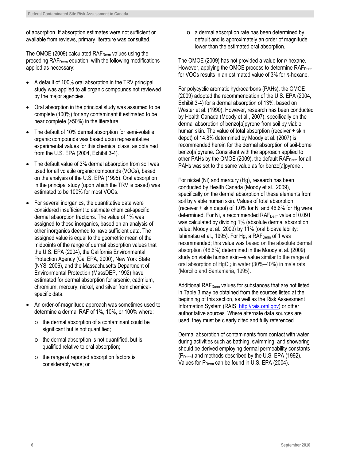of absorption. If absorption estimates were not sufficient or available from reviews, primary literature was consulted.

The OMOE (2009) calculated  $RAF<sub>Der</sub>$  values using the preceding RAF<sub>Derm</sub> equation, with the following modifications applied as necessary:

- A default of 100% oral absorption in the TRV principal study was applied to all organic compounds not reviewed by the major agencies.
- Oral absorption in the principal study was assumed to be complete (100%) for any contaminant if estimated to be near complete (>50%) in the literature.
- The default of 10% dermal absorption for semi-volatile organic compounds was based upon representative experimental values for this chemical class, as obtained from the U.S. EPA (2004, Exhibit 3-4).
- The default value of 3% dermal absorption from soil was used for all volatile organic compounds (VOCs), based on the analysis of the U.S. EPA (1995). Oral absorption in the principal study (upon which the TRV is based) was estimated to be 100% for most VOCs.
- For several inorganics, the quantitative data were considered insufficient to estimate chemical-specific dermal absorption fractions. The value of 1% was assigned to these inorganics, based on an analysis of other inorganics deemed to have sufficient data. The assigned value is equal to the geometric mean of the midpoints of the range of dermal absorption values that the U.S. EPA (2004), the California Environmental Protection Agency (Cal EPA, 2000), New York State (NYS, 2006), and the Massachusetts Department of Environmental Protection (MassDEP, 1992) have estimated for dermal absorption for arsenic, cadmium, chromium, mercury, nickel, and silver from chemicalspecific data.
- An order-of-magnitude approach was sometimes used to determine a dermal RAF of 1%, 10%, or 100% where:
	- $\circ$  the dermal absorption of a contaminant could be significant but is not quantified;
	- $\circ$  the dermal absorption is not quantified, but is qualified relative to oral absorption;
	- o the range of reported absorption factors is considerably wide; or

o a dermal absorption rate has been determined by default and is approximately an order of magnitude lower than the estimated oral absorption.

The OMOE (2009) has not provided a value for *n*-hexane. However, applying the OMOE process to determine RAF<sub>Derm</sub> for VOCs results in an estimated value of 3% for *n*-hexane.

For polycyclic aromatic hydrocarbons (PAHs), the OMOE (2009) adopted the recommendation of the U.S. EPA (2004, Exhibit 3-4) for a dermal absorption of 13%, based on Wester et al. (1990). However, research has been conducted by Health Canada (Moody et al., 2007), specifically on the dermal absorption of benzo[*a*]pyrene from soil by viable human skin. The value of total absorption (receiver + skin depot) of 14.8% determined by Moody et al. (2007) is recommended herein for the dermal absorption of soil-borne benzo[*a*]pyrene. Consistent with the approach applied to other PAHs by the OMOE (2009), the default  $RAF<sub>Derm</sub>$  for all PAHs was set to the same value as for benzo[*a*]pyrene .

For nickel (Ni) and mercury (Hg), research has been conducted by Health Canada (Moody et al., 2009), specifically on the dermal absorption of these elements from soil by viable human skin. Values of total absorption (receiver + skin depot) of 1.0% for Ni and 46.6% for Hg were determined. For Ni, a recommended  $RAF<sub>Der</sub>$  value of 0.091 was calculated by dividing 1% (absolute dermal absorption value: Moody et al., 2009) by 11% (oral bioavailability: Ishimatsu et al., 1995). For Hg, a RAF<sub>Derm</sub> of 1 was recommended; this value was based on the absolute dermal absorption (46.6%) determined in the Moody et al. (2009) study on viable human skin—a value similar to the range of oral absorption of  $HgCl<sub>2</sub>$  in water (30%–40%) in male rats (Morcillo and Santamaria, 1995).

Additional RAF<sub>Derm</sub> values for substances that are not listed in Table 3 may be obtained from the sources listed at the beginning of this section, as well as the Risk Assessment Information System (RAIS; http://rais.ornl.gov) or other authoritative sources. Where alternate data sources are used, they must be clearly cited and fully referenced.

Dermal absorption of contaminants from contact with water during activities such as bathing, swimming, and showering should be derived employing dermal permeability constants  $(P_{\text{Derm}})$  and methods described by the U.S. EPA (1992). Values for P<sub>Derm</sub> can be found in U.S. EPA (2004).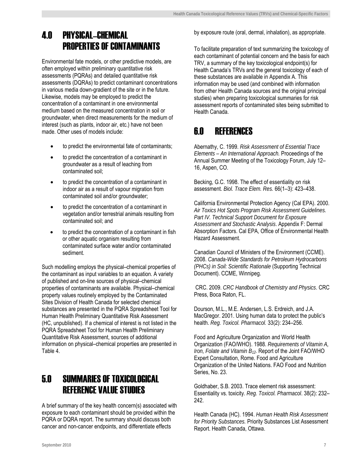### 4.0 PHYSICAL–CHEMICAL PROPERTIES OF CONTAMINANTS

Environmental fate models, or other predictive models, are often employed within preliminary quantitative risk assessments (PQRAs) and detailed quantitative risk assessments (DQRAs) to predict contaminant concentrations in various media down-gradient of the site or in the future. Likewise, models may be employed to predict the concentration of a contaminant in one environmental medium based on the measured concentration in soil or groundwater, when direct measurements for the medium of interest (such as plants, indoor air, etc.) have not been made. Other uses of models include:

- to predict the environmental fate of contaminants;
- to predict the concentration of a contaminant in groundwater as a result of leaching from contaminated soil;
- to predict the concentration of a contaminant in indoor air as a result of vapour migration from contaminated soil and/or groundwater;
- to predict the concentration of a contaminant in vegetation and/or terrestrial animals resulting from contaminated soil; and
- to predict the concentration of a contaminant in fish or other aquatic organism resulting from contaminated surface water and/or contaminated sediment.

Such modelling employs the physical–chemical properties of the contaminant as input variables to an equation. A variety of published and on-line sources of physical–chemical properties of contaminants are available. Physical–chemical property values routinely employed by the Contaminated Sites Division of Health Canada for selected chemical substances are presented in the PQRA Spreadsheet Tool for Human Health Preliminary Quantitative Risk Assessment (HC, unpublished). If a chemical of interest is not listed in the PQRA Spreadsheet Tool for Human Health Preliminary Quantitative Risk Assessment, sources of additional information on physical–chemical properties are presented in Table 4.

### 5.0 SUMMARIES OF TOXICOLOGICAL REFERENCE VALUE STUDIES

A brief summary of the key health concern(s) associated with exposure to each contaminant should be provided within the PQRA or DQRA report. The summary should discuss both cancer and non-cancer endpoints, and differentiate effects

by exposure route (oral, dermal, inhalation), as appropriate.

To facilitate preparation of text summarizing the toxicology of each contaminant of potential concern and the basis for each TRV, a summary of the key toxicological endpoint(s) for Health Canada's TRVs and the general toxicology of each of these substances are available in Appendix A. This information may be used (and combined with information from other Health Canada sources and the original principal studies) when preparing toxicological summaries for risk assessment reports of contaminated sites being submitted to Health Canada.

### 6.0 REFERENCES

Abernathy, C. 1999. *Risk Assessment of Essential Trace Elements – An International Approach.* Proceedings of the Annual Summer Meeting of the Toxicology Forum, July 12– 16, Aspen, CO.

Becking, G.C. 1998. The effect of essentiality on risk assessment. *Biol. Trace Elem. Res.* 66(1–3): 423–438.

California Environmental Protection Agency (Cal EPA). 2000. *Air Toxics Hot Spots Program Risk Assessment Guidelines. Part IV. Technical Support Document for Exposure Assessment and Stochastic Analysis*. Appendix F: Dermal Absorption Factors. Cal EPA, Office of Environmental Health Hazard Assessment.

Canadian Council of Ministers of the Environment (CCME). 2008. *Canada-Wide Standards for Petroleum Hydrocarbons (PHCs) in Soil: Scientific Rationale* (Supporting Technical Document). CCME, Winnipeg.

 CRC. 2009. *CRC Handbook of Chemistry and Physics*. CRC Press, Boca Raton, FL.

Dourson, M.L., M.E. Andersen, L.S. Erdreich, and J.A. MacGregor. 2001. Using human data to protect the public's health. *Reg. Toxicol. Pharmacol.* 33(2): 234–256.

Food and Agriculture Organization and World Health Organization (FAO/WHO). 1988. *Requirements of Vitamin A, Iron, Folate and Vitamin B12.* Report of the Joint FAO/WHO Expert Consultation, Rome. Food and Agriculture Organization of the United Nations. FAO Food and Nutrition Series, No. 23.

Goldhaber, S.B. 2003. Trace element risk assessment: Essentiality vs. toxicity. *Reg. Toxicol. Pharmacol*. 38(2): 232– 242.

Health Canada (HC). 1994. *Human Health Risk Assessment for Priority Substances.* Priority Substances List Assessment Report. Health Canada, Ottawa.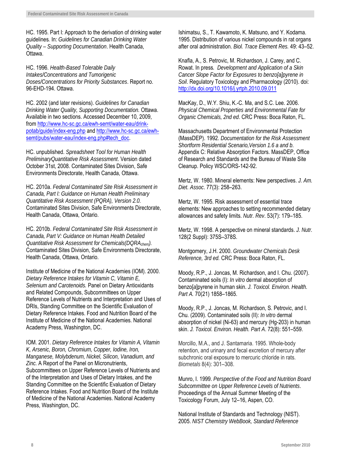HC. 1995. Part I: Approach to the derivation of drinking water guidelines*.* In: *Guidelines for Canadian Drinking Water Quality – Supporting Documentation*. Health Canada, Ottawa.

HC. 1996. *Health-Based Tolerable Daily Intakes/Concentrations and Tumorigenic Doses/Concentrations for Priority Substances*. Report no. 96-EHD-194. Ottawa.

HC. 2002 (and later revisions). *Guidelines for Canadian Drinking Water Quality, Supporting Documentation.* Ottawa. Available in two sections. Accessed December 10, 2009, from http://www.hc-sc.gc.ca/ewh-semt/water-eau/drinkpotab/guide/index-eng.php and http://www.hc-sc.gc.ca/ewhsemt/pubs/water-eau/index-eng.php#tech\_doc.

HC. unpublished. *Spreadsheet Tool for Human Health PreliminaryQuantitative Risk Assessment*. Version dated October 31st, 2008. Contaminated Sites Division, Safe Environments Directorate, Health Canada, Ottawa.

HC. 2010a. *Federal Contaminated Site Risk Assessment in Canada, Part I: Guidance on Human Health Preliminary Quantitative Risk Assessment (PQRA), Version 2.0.*  Contaminated Sites Division, Safe Environments Directorate, Health Canada, Ottawa, Ontario.

HC. 2010b. *Federal Contaminated Site Risk Assessment in Canada, Part V: Guidance on Human Health Detailed Quantitative Risk Assessment for Chemicals(DQRAchem).* Contaminated Sites Division, Safe Environments Directorate, Health Canada, Ottawa, Ontario.

Institute of Medicine of the National Academies (IOM). 2000. *Dietary Reference Intakes for Vitamin C, Vitamin E, Selenium and Carotenoids.* Panel on Dietary Antioxidants and Related Compounds, Subcommittees on Upper Reference Levels of Nutrients and Interpretation and Uses of DRIs, Standing Committee on the Scientific Evaluation of Dietary Reference Intakes. Food and Nutrition Board of the Institute of Medicine of the National Academies. National Academy Press, Washington, DC.

IOM. 2001. *Dietary Reference Intakes for Vitamin A, Vitamin K, Arsenic, Boron, Chromium, Copper, Iodine, Iron, Manganese, Molybdenum, Nickel, Silicon, Vanadium, and Zinc.* A Report of the Panel on Micronutrients, Subcommittees on Upper Reference Levels of Nutrients and of the Interpretation and Uses of Dietary Intakes, and the Standing Committee on the Scientific Evaluation of Dietary Reference Intakes. Food and Nutrition Board of the Institute of Medicine of the National Academies. National Academy Press, Washington, DC.

Ishimatsu, S., T. Kawamoto, K. Matsuno, and Y. Kodama. 1995. Distribution of various nickel compounds in rat organs after oral administration. *Biol. Trace Element Res.* 49: 43–52.

Knafla, A., S. Petrovic, M. Richardson, J. Carey, and C. Rowat. In press*. Development and Application of a Skin Cancer Slope Factor for Exposures to benzo[a]pyrene in Soil*. Regulatory Toxicology and Pharmacology (2010). doi: http://dx.doi.org/10.1016/j.yrtph.2010.09.011

MacKay, D., W.Y. Shiu, K.-C. Ma, and S.C. Lee. 2006. *Physical Chemical Properties and Environmental Fate for Organic Chemicals, 2nd ed*. CRC Press: Boca Raton, FL.

Massachusetts Department of Environmental Protection (MassDEP). 1992. *Documentation for the Risk Assessment Shortform Residential Scenario,Version 1.6 a and b*. Appendix C: Relative Absorption Factors. MassDEP, Office of Research and Standards and the Bureau of Waste Site Cleanup. Policy WSC/ORS-142-92.

Mertz, W. 1980. Mineral elements: New perspectives. *J. Am. Diet. Assoc*. 77(3): 258–263.

Mertz, W. 1995. Risk assessment of essential trace elements: New approaches to setting recommended dietary allowances and safety limits. *Nutr. Rev*. 53(7): 179–185.

Mertz, W. 1998. A perspective on mineral standards. *J. Nutr.* 128(2 Suppl): 375S–378S.

Montgomery, J.H. 2000. *Groundwater Chemicals Desk Reference, 3rd ed.* CRC Press: Boca Raton, FL.

Moody, R.P., J. Joncas, M. Richardson, and I. Chu. (2007). Contaminated soils (I): *In vitro* dermal absorption of benzo[*a*]pyrene in human skin. *J. Toxicol. Environ. Health. Part A.* 70(21) 1858–1865.

Moody, R.P., J. Joncas, M. Richardson, S. Petrovic, and I. Chu. (2009). Contaminated soils (II): *In vitro* dermal absorption of nickel (Ni-63) and mercury (Hg-203) in human skin. *J. Toxicol. Environ. Health. Part A*. 72(8): 551–559.

Morcillo, M.A., and J. Santamaria. 1995. Whole-body retention, and urinary and fecal excretion of mercury after subchronic oral exposure to mercuric chloride in rats. *Biometals* 8(4): 301–308.

Munro, I. 1999. *Perspective of the Food and Nutrition Board Subcommittee on Upper Reference Levels of Nutrients*. Proceedings of the Annual Summer Meeting of the Toxicology Forum, July 12–16, Aspen, CO.

National Institute of Standards and Technology (NIST). 2005. *NIST Chemistry WebBook, Standard Reference*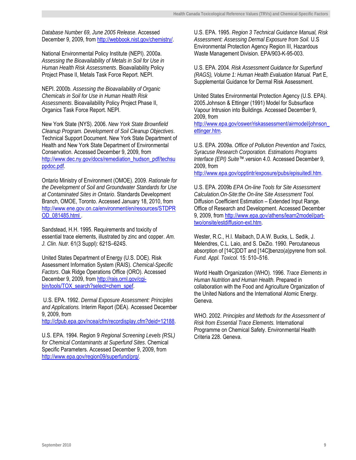*Database Number 69, June 2005 Release.* Accessed December 9, 2009, from http://webbook.nist.gov/chemistry/.

National Environmental Policy Institute (NEPI). 2000a. *Assessing the Bioavailability of Metals in Soil for Use in Human Health Risk Assessments*. Bioavailability Policy Project Phase II, Metals Task Force Report. NEPI.

NEPI. 2000b. *Assessing the Bioavailability of Organic Chemicals in Soil for Use in Human Health Risk Assessments*. Bioavailability Policy Project Phase II, Organics Task Force Report. NEPI.

New York State (NYS). 2006. *New York State Brownfield Cleanup Program. Development of Soil Cleanup Objectives*. Technical Support Document. New York State Department of Health and New York State Department of Environmental Conservation. Accessed December 9, 2009, from http://www.dec.ny.gov/docs/remediation\_hudson\_pdf/techsu ppdoc.pdf.

Ontario Ministry of Environment (OMOE). 2009. *Rationale for the Development of Soil and Groundwater Standards for Use at Contaminated Sites in Ontario*. Standards Development Branch, OMOE, Toronto. Accessed January 18, 2010, from http://www.ene.gov.on.ca/environment/en/resources/STDPR OD\_081485.html .

Sandstead, H.H. 1995. Requirements and toxicity of essential trace elements, illustrated by zinc and copper. *Am. J. Clin. Nutr.* 61(3 Suppl): 621S–624S.

United States Department of Energy (U.S. DOE). Risk Assessment Information System (RAIS). *Chemical-Specific Factors*. Oak Ridge Operations Office (ORO). Accessed December 9, 2009, from http://rais.ornl.gov/cgibin/tools/TOX\_search?select=chem\_spef.

 U.S. EPA. 1992. *Dermal Exposure Assessment: Principles and Applications.* Interim Report (DEA). Accessed December 9, 2009, from http://cfpub.epa.gov/ncea/cfm/recordisplay.cfm?deid=12188.

U.S. EPA. 1994. Region 9 *Regional Screening Levels (RSL) for Chemical Contaminants at Superfund Sites*. Chemical Specific Parameters. Accessed December 9, 2009, from http://www.epa.gov/region09/superfund/prg/.

U.S. EPA. 1995. *Region 3 Technical Guidance Manual, Risk Assessment: Assessing Dermal Exposure from Soil.* U.S Environmental Protection Agency Region III, Hazardous Waste Management Division. EPA/903-K-95-003.

U.S. EPA. 2004. *Risk Assessment Guidance for Superfund (RAGS), Volume 1: Human Health Evaluation Manual.* Part E, Supplemental Guidance for Dermal Risk Assessment.

United States Environmental Protection Agency (U.S. EPA). 2005.Johnson & Ettinger (1991) Model for Subsurface Vapour Intrusion into Buildings. Accessed December 9, 2009, from

http://www.epa.gov/oswer/riskassessment/airmodel/johnson\_ ettinger.htm.

U.S. EPA. 2009a. *Office of Pollution Prevention and Toxics, Syracuse Research Corporation. Estimations Programs Interface (EPI) Suite*™.version 4.0. Accessed December 9, 2009, from

http://www.epa.gov/opptintr/exposure/pubs/episuitedl.htm.

U.S. EPA. 2009b *EPA On-line Tools for Site Assessment Calculation.On-Site:the On-line Site Assessment Tool.*  Diffusion Coefficient Estimation – Extended Input Range. Office of Research and Development. Accessed December 9, 2009, from http://www.epa.gov/athens/learn2model/parttwo/onsite/estdiffusion-ext.htm.

Wester, R.C., H.I. Maibach, D.A.W. Bucks, L. Sedik, J. Melendres, C.L. Laio, and S. DeZio. 1990. Percutaneous absorption of [14C]DDT and [14C]benzo(*a*)pyrene from soil. *Fund. Appl. Toxicol.* 15: 510–516.

World Health Organization (WHO). 1996. *Trace Elements in Human Nutrition and Human Health.* Prepared in collaboration with the Food and Agriculture Organization of the United Nations and the International Atomic Energy. Geneva.

WHO. 2002. *Principles and Methods for the Assessment of Risk from Essential Trace Elements.* International Programme on Chemical Safety. Environmental Health Criteria 228. Geneva.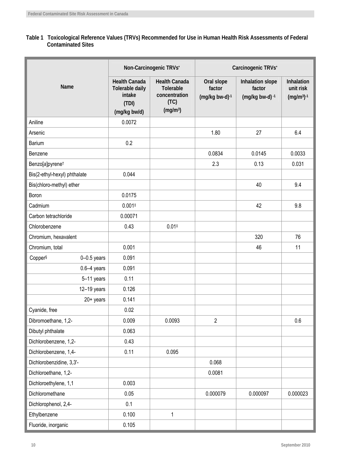**Table 1 Toxicological Reference Values (TRVs) Recommended for Use in Human Health Risk Assessments of Federal Contaminated Sites** 

|                                      |                                                                                   | Non-Carcinogenic TRVs*                                                             | Carcinogenic TRVs*                          |                                                   |                                          |  |
|--------------------------------------|-----------------------------------------------------------------------------------|------------------------------------------------------------------------------------|---------------------------------------------|---------------------------------------------------|------------------------------------------|--|
| Name                                 | <b>Health Canada</b><br><b>Tolerable daily</b><br>intake<br>(TDI)<br>(mg/kg bw/d) | <b>Health Canada</b><br>Tolerable<br>concentration<br>(TC)<br>(mg/m <sup>3</sup> ) | Oral slope<br>factor<br>$(mq/kg$ bw-d) $-1$ | Inhalation slope<br>factor<br>$(mg/kg$ bw-d) $-1$ | Inhalation<br>unit risk<br>$(mg/m^3)$ -1 |  |
| Aniline                              | 0.0072                                                                            |                                                                                    |                                             |                                                   |                                          |  |
| Arsenic                              |                                                                                   |                                                                                    | 1.80                                        | 27                                                | 6.4                                      |  |
| Barium                               | 0.2                                                                               |                                                                                    |                                             |                                                   |                                          |  |
| Benzene                              |                                                                                   |                                                                                    | 0.0834                                      | 0.0145                                            | 0.0033                                   |  |
| Benzo[a]pyrene <sup>†</sup>          |                                                                                   |                                                                                    | 2.3                                         | 0.13                                              | 0.031                                    |  |
| Bis(2-ethyl-hexyl) phthalate         | 0.044                                                                             |                                                                                    |                                             |                                                   |                                          |  |
| Bis(chloro-methyl) ether             |                                                                                   |                                                                                    |                                             | 40                                                | 9.4                                      |  |
| Boron                                | 0.0175                                                                            |                                                                                    |                                             |                                                   |                                          |  |
| Cadmium                              | $0.001*$                                                                          |                                                                                    |                                             | 42                                                | 9.8                                      |  |
| Carbon tetrachloride                 | 0.00071                                                                           |                                                                                    |                                             |                                                   |                                          |  |
| Chlorobenzene                        | 0.43                                                                              | 0.01                                                                               |                                             |                                                   |                                          |  |
| Chromium, hexavalent                 |                                                                                   |                                                                                    |                                             | 320                                               | 76                                       |  |
| Chromium, total                      | 0.001                                                                             |                                                                                    |                                             | 46                                                | 11                                       |  |
| Copper <sup>§</sup><br>$0-0.5$ years | 0.091                                                                             |                                                                                    |                                             |                                                   |                                          |  |
| $0.6 - 4$ years                      | 0.091                                                                             |                                                                                    |                                             |                                                   |                                          |  |
| 5-11 years                           | 0.11                                                                              |                                                                                    |                                             |                                                   |                                          |  |
| 12-19 years                          | 0.126                                                                             |                                                                                    |                                             |                                                   |                                          |  |
| $20+$ years                          | 0.141                                                                             |                                                                                    |                                             |                                                   |                                          |  |
| Cyanide, free                        | 0.02                                                                              |                                                                                    |                                             |                                                   |                                          |  |
| Dibromoethane, 1,2-                  | 0.009                                                                             | 0.0093                                                                             | $\overline{c}$                              |                                                   | 0.6                                      |  |
| Dibutyl phthalate                    | 0.063                                                                             |                                                                                    |                                             |                                                   |                                          |  |
| Dichlorobenzene, 1,2-                | 0.43                                                                              |                                                                                    |                                             |                                                   |                                          |  |
| Dichlorobenzene, 1,4-                | 0.11                                                                              | 0.095                                                                              |                                             |                                                   |                                          |  |
| Dichlorobenzidine, 3,3'-             |                                                                                   |                                                                                    | 0.068                                       |                                                   |                                          |  |
| Dichloroethane, 1,2-                 |                                                                                   |                                                                                    | 0.0081                                      |                                                   |                                          |  |
| Dichloroethylene, 1,1                | 0.003                                                                             |                                                                                    |                                             |                                                   |                                          |  |
| Dichloromethane                      | 0.05                                                                              |                                                                                    | 0.000079                                    | 0.000097                                          | 0.000023                                 |  |
| Dichlorophenol, 2,4-                 | 0.1                                                                               |                                                                                    |                                             |                                                   |                                          |  |
| Ethylbenzene                         | 0.100                                                                             | $\mathbf 1$                                                                        |                                             |                                                   |                                          |  |
| Fluoride, inorganic                  | 0.105                                                                             |                                                                                    |                                             |                                                   |                                          |  |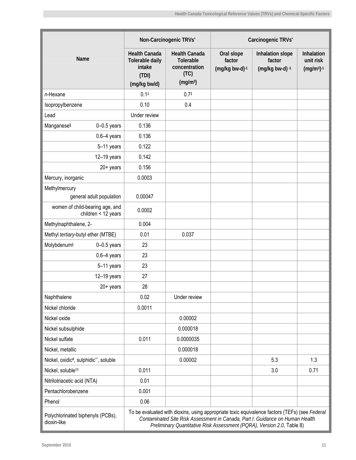|                                                        |                                                                                   | Non-Carcinogenic TRVs*                                                             | Carcinogenic TRVs*                          |                                                                                                                                                                                                                                                          |                                                     |  |
|--------------------------------------------------------|-----------------------------------------------------------------------------------|------------------------------------------------------------------------------------|---------------------------------------------|----------------------------------------------------------------------------------------------------------------------------------------------------------------------------------------------------------------------------------------------------------|-----------------------------------------------------|--|
| Name                                                   | <b>Health Canada</b><br><b>Tolerable daily</b><br>intake<br>(TDI)<br>(mg/kg bw/d) | <b>Health Canada</b><br>Tolerable<br>concentration<br>(TC)<br>(mg/m <sup>3</sup> ) | Oral slope<br>factor<br>$(mg/kg$ bw-d) $-1$ | <b>Inhalation slope</b><br>factor<br>(mg/kg bw-d) $-1$                                                                                                                                                                                                   | Inhalation<br>unit risk<br>$(mg/m^3)$ <sup>-1</sup> |  |
| $n$ -Hexane                                            | 0.11                                                                              | 0.7 <sup>‡</sup>                                                                   |                                             |                                                                                                                                                                                                                                                          |                                                     |  |
| Isopropylbenzene                                       | 0.10                                                                              | 0.4                                                                                |                                             |                                                                                                                                                                                                                                                          |                                                     |  |
| Lead                                                   | Under review                                                                      |                                                                                    |                                             |                                                                                                                                                                                                                                                          |                                                     |  |
| Manganese <sup>§</sup><br>$0-0.5$ years                | 0.136                                                                             |                                                                                    |                                             |                                                                                                                                                                                                                                                          |                                                     |  |
| $0.6 - 4$ years                                        | 0.136                                                                             |                                                                                    |                                             |                                                                                                                                                                                                                                                          |                                                     |  |
| 5-11 years                                             | 0.122                                                                             |                                                                                    |                                             |                                                                                                                                                                                                                                                          |                                                     |  |
| 12-19 years                                            | 0.142                                                                             |                                                                                    |                                             |                                                                                                                                                                                                                                                          |                                                     |  |
| $20+$ years                                            | 0.156                                                                             |                                                                                    |                                             |                                                                                                                                                                                                                                                          |                                                     |  |
| Mercury, inorganic                                     | 0.0003                                                                            |                                                                                    |                                             |                                                                                                                                                                                                                                                          |                                                     |  |
| Methylmercury<br>general adult population              | 0.00047                                                                           |                                                                                    |                                             |                                                                                                                                                                                                                                                          |                                                     |  |
| women of child-bearing age, and<br>children < 12 years | 0.0002                                                                            |                                                                                    |                                             |                                                                                                                                                                                                                                                          |                                                     |  |
| Methylnaphthalene, 2-                                  | 0.004                                                                             |                                                                                    |                                             |                                                                                                                                                                                                                                                          |                                                     |  |
| Methyl tertiary-butyl ether (MTBE)                     | 0.01                                                                              | 0.037                                                                              |                                             |                                                                                                                                                                                                                                                          |                                                     |  |
| Molybdenum <sup>§</sup><br>$0-0.5$ years               | 23                                                                                |                                                                                    |                                             |                                                                                                                                                                                                                                                          |                                                     |  |
| $0.6 - 4$ years                                        | 23                                                                                |                                                                                    |                                             |                                                                                                                                                                                                                                                          |                                                     |  |
| 5-11 years                                             | 23                                                                                |                                                                                    |                                             |                                                                                                                                                                                                                                                          |                                                     |  |
| $12-19$ years                                          | 27                                                                                |                                                                                    |                                             |                                                                                                                                                                                                                                                          |                                                     |  |
| $20+$ years                                            | 28                                                                                |                                                                                    |                                             |                                                                                                                                                                                                                                                          |                                                     |  |
| Naphthalene                                            | 0.02                                                                              | Under review                                                                       |                                             |                                                                                                                                                                                                                                                          |                                                     |  |
| Nickel chloride                                        | 0.0011                                                                            |                                                                                    |                                             |                                                                                                                                                                                                                                                          |                                                     |  |
| Nickel oxide                                           |                                                                                   | 0.00002                                                                            |                                             |                                                                                                                                                                                                                                                          |                                                     |  |
| Nickel subsulphide                                     |                                                                                   | 0.000018                                                                           |                                             |                                                                                                                                                                                                                                                          |                                                     |  |
| Nickel sulfate                                         | 0.011                                                                             | 0.0000035                                                                          |                                             |                                                                                                                                                                                                                                                          |                                                     |  |
| Nickel, metallic                                       |                                                                                   | 0.000018                                                                           |                                             |                                                                                                                                                                                                                                                          |                                                     |  |
| Nickel, oxidic#, sulphidic**, soluble                  |                                                                                   | 0.00002                                                                            |                                             | 5.3                                                                                                                                                                                                                                                      | 1.3                                                 |  |
| Nickel, soluble <sup>tt</sup>                          | 0.011                                                                             |                                                                                    |                                             | 3.0                                                                                                                                                                                                                                                      | 0.71                                                |  |
| Nitrilotriacetic acid (NTA)                            | 0.01                                                                              |                                                                                    |                                             |                                                                                                                                                                                                                                                          |                                                     |  |
| Pentachlorobenzene                                     | 0.001                                                                             |                                                                                    |                                             |                                                                                                                                                                                                                                                          |                                                     |  |
| Phenol                                                 | 0.06                                                                              |                                                                                    |                                             |                                                                                                                                                                                                                                                          |                                                     |  |
| Polychlorinated biphenyls (PCBs),<br>dioxin-like       |                                                                                   |                                                                                    |                                             | To be evaluated with dioxins, using appropriate toxic equivalence factors (TEFs) (see Federal<br>Contaminated Site Risk Assessment in Canada, Part I: Guidance on Human Health<br>Preliminary Quantitative Risk Assessment (PQRA), Version 2.0, Table 8) |                                                     |  |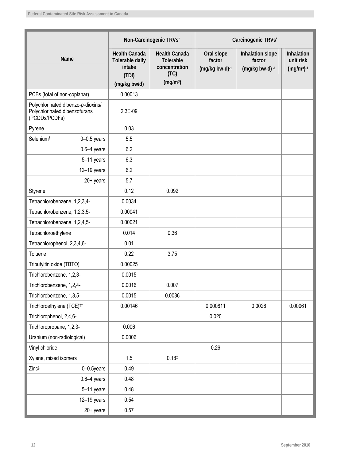|                                                                                      |                                                                                   | Non-Carcinogenic TRVs*                                                                    | Carcinogenic TRVs*                          |                                                 |                                                     |  |
|--------------------------------------------------------------------------------------|-----------------------------------------------------------------------------------|-------------------------------------------------------------------------------------------|---------------------------------------------|-------------------------------------------------|-----------------------------------------------------|--|
| Name                                                                                 | <b>Health Canada</b><br><b>Tolerable daily</b><br>intake<br>(TDI)<br>(mg/kg bw/d) | <b>Health Canada</b><br><b>Tolerable</b><br>concentration<br>(TC)<br>(mg/m <sup>3</sup> ) | Oral slope<br>factor<br>$(mg/kg$ bw-d) $-1$ | Inhalation slope<br>factor<br>(mg/kg bw-d) $-1$ | Inhalation<br>unit risk<br>$(mq/m^3)$ <sup>-1</sup> |  |
| PCBs (total of non-coplanar)                                                         | 0.00013                                                                           |                                                                                           |                                             |                                                 |                                                     |  |
| Polychlorinated dibenzo-p-dioxins/<br>Polychlorinated dibenzofurans<br>(PCDDs/PCDFs) | 2.3E-09                                                                           |                                                                                           |                                             |                                                 |                                                     |  |
| Pyrene                                                                               | 0.03                                                                              |                                                                                           |                                             |                                                 |                                                     |  |
| Selenium <sup>§</sup><br>$0-0.5$ years                                               | 5.5                                                                               |                                                                                           |                                             |                                                 |                                                     |  |
| $0.6 - 4$ years                                                                      | 6.2                                                                               |                                                                                           |                                             |                                                 |                                                     |  |
| 5-11 years                                                                           | 6.3                                                                               |                                                                                           |                                             |                                                 |                                                     |  |
| $12-19$ years                                                                        | 6.2                                                                               |                                                                                           |                                             |                                                 |                                                     |  |
| $20+$ years                                                                          | 5.7                                                                               |                                                                                           |                                             |                                                 |                                                     |  |
| Styrene                                                                              | 0.12                                                                              | 0.092                                                                                     |                                             |                                                 |                                                     |  |
| Tetrachlorobenzene, 1,2,3,4-                                                         | 0.0034                                                                            |                                                                                           |                                             |                                                 |                                                     |  |
| Tetrachlorobenzene, 1,2,3,5-                                                         | 0.00041                                                                           |                                                                                           |                                             |                                                 |                                                     |  |
| Tetrachlorobenzene, 1,2,4,5-                                                         | 0.00021                                                                           |                                                                                           |                                             |                                                 |                                                     |  |
| Tetrachloroethylene                                                                  | 0.014                                                                             | 0.36                                                                                      |                                             |                                                 |                                                     |  |
| Tetrachlorophenol, 2,3,4,6-                                                          | 0.01                                                                              |                                                                                           |                                             |                                                 |                                                     |  |
| Toluene                                                                              | 0.22                                                                              | 3.75                                                                                      |                                             |                                                 |                                                     |  |
| Tributyltin oxide (TBTO)                                                             | 0.00025                                                                           |                                                                                           |                                             |                                                 |                                                     |  |
| Trichlorobenzene, 1,2,3-                                                             | 0.0015                                                                            |                                                                                           |                                             |                                                 |                                                     |  |
| Trichlorobenzene, 1,2,4-                                                             | 0.0016                                                                            | 0.007                                                                                     |                                             |                                                 |                                                     |  |
| Trichlorobenzene, 1,3,5-                                                             | 0.0015                                                                            | 0.0036                                                                                    |                                             |                                                 |                                                     |  |
| Trichloroethylene (TCE)##                                                            | 0.00146                                                                           |                                                                                           | 0.000811                                    | 0.0026                                          | 0.00061                                             |  |
| Trichlorophenol, 2,4,6-                                                              |                                                                                   |                                                                                           | 0.020                                       |                                                 |                                                     |  |
| Trichloropropane, 1,2,3-                                                             | 0.006                                                                             |                                                                                           |                                             |                                                 |                                                     |  |
| Uranium (non-radiological)                                                           | 0.0006                                                                            |                                                                                           |                                             |                                                 |                                                     |  |
| Vinyl chloride                                                                       |                                                                                   |                                                                                           | 0.26                                        |                                                 |                                                     |  |
| Xylene, mixed isomers                                                                | 1.5                                                                               | $0.18^{+}$                                                                                |                                             |                                                 |                                                     |  |
| Zinc§<br>0-0.5years                                                                  | 0.49                                                                              |                                                                                           |                                             |                                                 |                                                     |  |
| $0.6 - 4$ years                                                                      | 0.48                                                                              |                                                                                           |                                             |                                                 |                                                     |  |
| 5-11 years                                                                           | 0.48                                                                              |                                                                                           |                                             |                                                 |                                                     |  |
| 12-19 years                                                                          | 0.54                                                                              |                                                                                           |                                             |                                                 |                                                     |  |
| $20+$ years                                                                          | 0.57                                                                              |                                                                                           |                                             |                                                 |                                                     |  |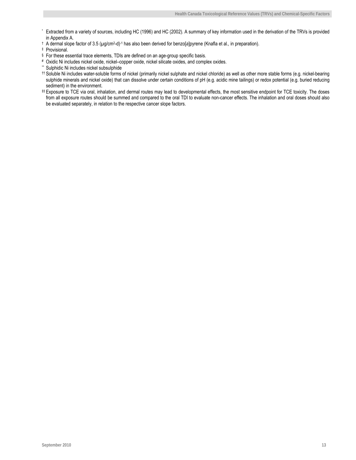- \* Extracted from a variety of sources, including HC (1996) and HC (2002). A summary of key information used in the derivation of the TRVs is provided in Appendix A.
- † A dermal slope factor of 3.5 (µg/cm2-d)-1 has also been derived for benzo[*a*]pyrene (Knafla et al*.,* in preparation).

‡ Provisional.

- § For these essential trace elements, TDIs are defined on an age-group specific basis.
- # Oxidic Ni includes nickel oxide, nickel–copper oxide, nickel silicate oxides, and complex oxides.
- Sulphidic Ni includes nickel subsulphide
- †† Soluble Ni includes water-soluble forms of nickel (primarily nickel sulphate and nickel chloride) as well as other more stable forms (e.g. nickel-bearing sulphide minerals and nickel oxide) that can dissolve under certain conditions of pH (e.g. acidic mine tailings) or redox potential (e.g. buried reducing sediment) in the environment.
- ‡‡ Exposure to TCE via oral, inhalation, and dermal routes may lead to developmental effects, the most sensitive endpoint for TCE toxicity. The doses from all exposure routes should be summed and compared to the oral TDI to evaluate non-cancer effects. The inhalation and oral doses should also be evaluated separately, in relation to the respective cancer slope factors.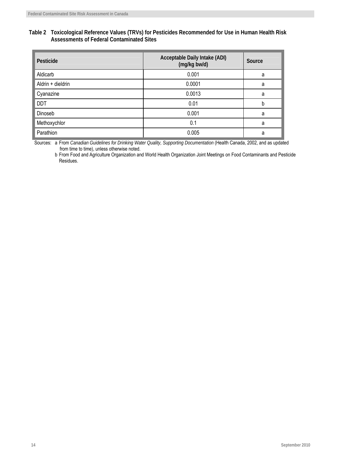#### **Table 2 Toxicological Reference Values (TRVs) for Pesticides Recommended for Use in Human Health Risk Assessments of Federal Contaminated Sites**

| Pesticide         | <b>Acceptable Daily Intake (ADI)</b><br>(mg/kg bw/d) | Source |
|-------------------|------------------------------------------------------|--------|
| Aldicarb          | 0.001                                                | a      |
| Aldrin + dieldrin | 0.0001                                               | a      |
| Cyanazine         | 0.0013                                               | a      |
| <b>DDT</b>        | 0.01                                                 | b      |
| Dinoseb           | 0.001                                                | а      |
| Methoxychlor      | 0.1                                                  | a      |
| Parathion         | 0.005                                                | a      |

Sources: a From *Canadian Guidelines for Drinking Water Quality, Supporting Documentation* (Health Canada, 2002, and as updated from time to time), unless otherwise noted.

 b From Food and Agriculture Organization and World Health Organization Joint Meetings on Food Contaminants and Pesticide Residues.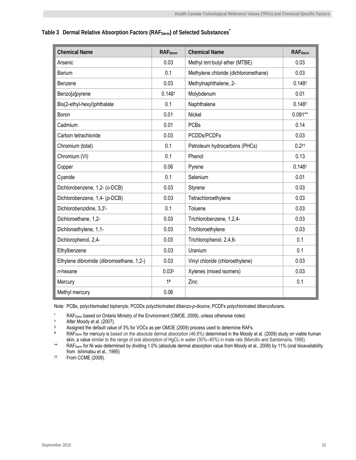| <b>Chemical Name</b>                     | <b>RAF</b> Derm    | <b>Chemical Name</b>                 | <b>RAF</b> Derm      |
|------------------------------------------|--------------------|--------------------------------------|----------------------|
| Arsenic                                  | 0.03               | Methyl tert-butyl ether (MTBE)       | 0.03                 |
| Barium                                   | 0.1                | Methylene chloride (dichloromethane) | 0.03                 |
| Benzene                                  | 0.03               | Methylnaphthalene, 2-                | $0.148$ <sup>t</sup> |
| Benzo[a]pyrene                           | 0.148 <sup>†</sup> | Molybdenum                           | 0.01                 |
| Bis(2-ethyl-hexyl)phthalate              | 0.1                | Naphthalene                          | $0.148$ <sup>t</sup> |
| Boron                                    | 0.01               | Nickel                               | $0.091**$            |
| Cadmium                                  | 0.01               | <b>PCBs</b>                          | 0.14                 |
| Carbon tetrachloride                     | 0.03               | PCDDs/PCDFs                          | 0.03                 |
| Chromium (total)                         | 0.1                | Petroleum hydrocarbons (PHCs)        | $0.2$ <sup>tt</sup>  |
| Chromium (VI)                            | 0.1                | Phenol                               | 0.13                 |
| Copper                                   | 0.06               | Pyrene                               | $0.148$ t            |
| Cyanide                                  | 0.1                | Selenium                             | 0.01                 |
| Dichlorobenzene, 1,2- (o-DCB)            | 0.03               | Styrene                              | 0.03                 |
| Dichlorobenzene, 1,4- (p-DCB)            | 0.03               | Tetrachloroethylene                  | 0.03                 |
| Dichlorobenzidine, 3,3'-                 | 0.1                | Toluene                              | 0.03                 |
| Dichloroethane, 1,2-                     | 0.03               | Trichlorobenzene, 1,2,4-             | 0.03                 |
| Dichloroethylene, 1,1-                   | 0.03               | Trichloroethylene                    | 0.03                 |
| Dichlorophenol, 2,4-                     | 0.03               | Trichlorophenol, 2,4,6-              | 0.1                  |
| Ethylbenzene                             | 0.03               | Uranium                              | 0.1                  |
| Ethylene dibromide (dibromoethane, 1,2-) | 0.03               | Vinyl chloride (chloroethylene)      | 0.03                 |
| $n$ -hexane                              | 0.03 <sup>‡</sup>  | Xylenes (mixed isomers)              | 0.03                 |
| Mercury                                  | 1#                 | Zinc                                 | 0.1                  |
| Methyl mercury                           | 0.06               |                                      |                      |

#### Table 3 Dermal Relative Absorption Factors (RAF<sub>Derm</sub>) of Selected Substances<sup>\*</sup>

Note: PCBs, polychlorinated biphenyls; PCDDs polychlorinated dibenzo-*p*-dioxins; PCDFs polychlorinated dibenzofurans.

**\*** RAFDerm based on Ontario Ministry of the Environment (OMOE, 2009), unless otherwise noted.

<sup>†</sup> After Moody et al. (2007).<br><sup>‡</sup> Assigned the default value of 3% for VOCs as per OMOE (2009) process used to determine RAFs.

# RAF<sub>Derm</sub> for mercury is based on the absolute dermal absorption (46.6%) determined in the Moody et al. (2009) study on viable human skin, a value similar to the range of oral absorption of HgCl<sub>2</sub> in water (30%–40%) in male rats (Morcillo and Santamaria, 1995).<br>EAE<sub>C</sub> for Ni was determined by dividing 1.0% (obsolute dermal absorption value from Moody a

RAF<sub>Derm</sub> for Ni was determined by dividing 1.0% (absolute dermal absorption value from Moody et al., 2009) by 11% (oral bioavailability from Ishimatsu et al., 1995)

†† From CCME (2008).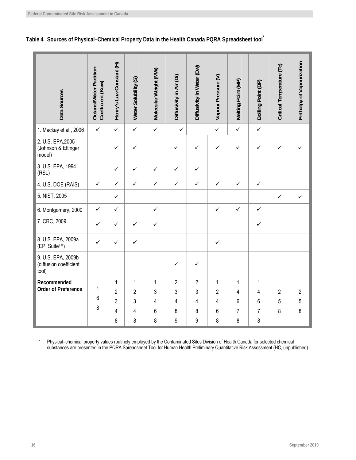#### **Table 4 Sources of Physical–Chemical Property Data in the Health Canada PQRA Spreadsheet tool\***

| Data Sources                                          | Octanol/Water Partition<br>Coefficient (Kow) | Henry's Law Constant (H) | Water Solubility (S) | Molecular Weight (MW) | Diffusivity in Air (Di) | Diffusivity in Water (Dw) | Vapour Pressure (V) | Melting Point (MP) | Boiling Point (BP) | Critical Temperature (TC) | Enthalpy of Vapourization |
|-------------------------------------------------------|----------------------------------------------|--------------------------|----------------------|-----------------------|-------------------------|---------------------------|---------------------|--------------------|--------------------|---------------------------|---------------------------|
| 1. Mackay et al., 2006                                | $\checkmark$                                 | $\checkmark$             | $\checkmark$         | $\checkmark$          | ✓                       |                           | $\checkmark$        | $\checkmark$       | $\checkmark$       |                           |                           |
| 2. U.S. EPA, 2005<br>(Johnson & Ettinger<br>model)    |                                              | $\checkmark$             | $\checkmark$         |                       | ✓                       | ✓                         | ✓                   | ✓                  | ✓                  | ✓                         | ✓                         |
| 3. U.S. EPA, 1994<br>(RSL)                            |                                              | $\checkmark$             | $\checkmark$         | ✓                     | $\checkmark$            | $\checkmark$              |                     |                    |                    |                           |                           |
| 4. U.S. DOE (RAIS)                                    | $\checkmark$                                 | $\checkmark$             | $\checkmark$         | $\checkmark$          | $\checkmark$            | $\checkmark$              | $\checkmark$        | $\checkmark$       | $\checkmark$       |                           |                           |
| 5. NIST, 2005                                         |                                              | $\checkmark$             |                      |                       |                         |                           |                     |                    |                    | $\checkmark$              | $\checkmark$              |
| 6. Montgomery, 2000                                   | $\checkmark$                                 | $\checkmark$             |                      | $\checkmark$          |                         |                           | $\checkmark$        | $\checkmark$       | $\checkmark$       |                           |                           |
| 7. CRC, 2009                                          | $\checkmark$                                 | ✓                        | $\checkmark$         | $\checkmark$          |                         |                           |                     |                    | ✓                  |                           |                           |
| 8. U.S. EPA, 2009a<br>(EPI Suite™)                    | $\checkmark$                                 | $\checkmark$             | $\checkmark$         |                       |                         |                           | $\checkmark$        |                    |                    |                           |                           |
| 9. U.S. EPA, 2009b<br>(diffusion coefficient<br>tool) |                                              |                          |                      |                       | ✓                       | $\checkmark$              |                     |                    |                    |                           |                           |
| Recommended                                           |                                              | 1                        | 1                    | 1                     | $\overline{2}$          | $\overline{2}$            | 1                   | 1                  | $\mathbf{1}$       |                           |                           |
| <b>Order of Preference</b>                            | 1<br>$6\phantom{1}6$                         | $\overline{2}$           | $\overline{2}$       | 3                     | 3                       | 3                         | $\overline{2}$      | 4                  | 4                  | 2                         | $\overline{2}$            |
|                                                       | 8                                            | 3                        | 3                    | 4                     | 4                       | 4                         | 4                   | 6                  | 6                  | 5                         | 5                         |
|                                                       |                                              | 4                        | 4                    | 6                     | 8                       | 8                         | 6                   | 7                  | 7                  | 8                         | 8                         |
|                                                       |                                              | 8                        | 8                    | 8                     | 9                       | 9                         | 8                   | 8                  | 8                  |                           |                           |

**\*** Physical–chemical property values routinely employed by the Contaminated Sites Division of Health Canada for selected chemical substances are presented in the PQRA Spreadsheet Tool for Human Health Preliminary Quantitative Risk Assessment (HC, unpublished).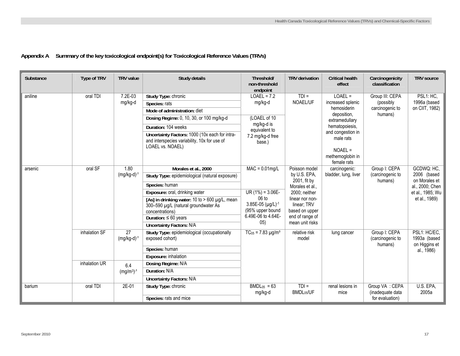| Substance | Type of TRV                    | <b>TRV</b> value                                                                                                                                                                                                                                                                    | Study details                                                                                                                                                                                                                                                                                           | Threshold/<br>non-threshold<br>endpoint                                                                                   | <b>TRV</b> derivation                                                                                                                                                       | <b>Critical health</b><br>effect                                                                                                   | Carcinogenicity<br>classification                          | <b>TRV source</b>                                                                                    |
|-----------|--------------------------------|-------------------------------------------------------------------------------------------------------------------------------------------------------------------------------------------------------------------------------------------------------------------------------------|---------------------------------------------------------------------------------------------------------------------------------------------------------------------------------------------------------------------------------------------------------------------------------------------------------|---------------------------------------------------------------------------------------------------------------------------|-----------------------------------------------------------------------------------------------------------------------------------------------------------------------------|------------------------------------------------------------------------------------------------------------------------------------|------------------------------------------------------------|------------------------------------------------------------------------------------------------------|
| aniline   | oral TDI                       | 7.2E-03<br>Study Type: chronic<br>mg/kg-d<br>Species: rats<br>Mode of administration: diet<br>Dosing Regime: 0, 10, 30, or 100 mg/kg-d<br>Duration: 104 weeks<br>Uncertainty Factors: 1000 (10x each for intra-<br>and interspecies variability, 10x for use of<br>LOAEL vs. NOAEL) |                                                                                                                                                                                                                                                                                                         | $LOAEL = 7.2$<br>mg/kg-d<br>(LOAEL of 10<br>mg/kg-d is<br>equivalent to<br>7.2 mg/kg-d free<br>base.)                     | $TDI =$<br>NOAEL/UF                                                                                                                                                         | $LOAEL =$<br>increased splenic<br>hemosiderin<br>deposition,<br>extramedullary<br>hematopoiesis,<br>and congestion in<br>male rats | Group III: CEPA<br>(possibly<br>carcinogenic to<br>humans) | PSL1: HC,<br>1996a (based<br>on CIIT, 1982)                                                          |
|           |                                |                                                                                                                                                                                                                                                                                     |                                                                                                                                                                                                                                                                                                         |                                                                                                                           |                                                                                                                                                                             | $NOAFI =$<br>methemoglobin in<br>female rats                                                                                       |                                                            |                                                                                                      |
| arsenic   | oral SF                        | 1.80<br>$(mg/kg-d)^{-1}$                                                                                                                                                                                                                                                            | Morales et al., 2000<br>Study Type: epidemiological (natural exposure)<br>Species: human<br>Exposure: oral, drinking water<br>[As] in drinking water: 10 to > 600 µg/L, mean<br>300-590 µg/L (natural groundwater As<br>concentrations)<br>Duration: $\leq 60$ years<br><b>Uncertainty Factors: N/A</b> | $MAC = 0.01$ mg/L<br>$UR(1\%) = 3.06E -$<br>06 to<br>$3.85E-05$ (µg/L)-1<br>(95% upper bound<br>6.49E-06 to 4.64E-<br>05) | Poisson model<br>by U.S. EPA,<br>2001, fit by<br>Morales et al.,<br>2000; neither<br>linear nor non-<br>linear; TRV<br>based on upper<br>end of range of<br>mean unit risks | carcinogenic:<br>bladder, lung, liver                                                                                              | Group I: CEPA<br>(carcinogenic to<br>humans)               | GCDWQ: HC,<br>2006 (based<br>on Morales et<br>al., 2000; Chen  <br>et al., 1985; Wu<br>et al., 1989) |
|           | inhalation SF<br>inhalation UR | $\overline{27}$<br>$(mg/kg-d)^{-1}$<br>6.4<br>$(mg/m^3)^{-1}$                                                                                                                                                                                                                       | Study Type: epidemiological (occupationally<br>exposed cohort)<br>Species: human<br>Exposure: inhalation<br>Dosing Regime: N/A<br>Duration: N/A<br><b>Uncertainty Factors: N/A</b>                                                                                                                      | $TC_{05} = 7.83 \mu g/m^3$                                                                                                | relative risk<br>model                                                                                                                                                      | lung cancer                                                                                                                        | Group I: CEPA<br>(carcinogenic to<br>humans)               | PSL1: HC/EC,<br>1993a (based<br>on Higgins et<br>al., 1986)                                          |
| barium    | oral TDI                       | $2E-01$                                                                                                                                                                                                                                                                             | Study Type: chronic<br>Species: rats and mice                                                                                                                                                                                                                                                           | $BMDL_{05} = 63$<br>mg/kg-d                                                                                               | $TDI =$<br>BMDL <sub>05</sub> /UF                                                                                                                                           | renal lesions in<br>mice                                                                                                           | Group VA: CEPA<br>(inadequate data<br>for evaluation)      | U.S. EPA,<br>2005a                                                                                   |

#### **Appendix A Summary of the key toxicological endpoint(s) for Toxicological Reference Values (TRVs)**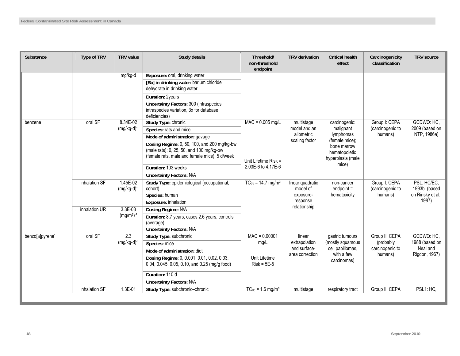| Substance       | Type of TRV   | <b>TRV</b> value               | Study details                                                                                                                            | Threshold/<br>non-threshold<br>endpoint | <b>TRV</b> derivation                                                 | <b>Critical health</b><br>effect                                                                       | Carcinogenicity<br>classification            | <b>TRV</b> source                                         |
|-----------------|---------------|--------------------------------|------------------------------------------------------------------------------------------------------------------------------------------|-----------------------------------------|-----------------------------------------------------------------------|--------------------------------------------------------------------------------------------------------|----------------------------------------------|-----------------------------------------------------------|
|                 |               | mg/kg-d                        | Exposure: oral, drinking water                                                                                                           |                                         |                                                                       |                                                                                                        |                                              |                                                           |
|                 |               |                                | [Ba] in drinking water: barium chloride<br>dehydrate in drinking water                                                                   |                                         |                                                                       |                                                                                                        |                                              |                                                           |
|                 |               |                                | <b>Duration: 2years</b>                                                                                                                  |                                         |                                                                       |                                                                                                        |                                              |                                                           |
|                 |               |                                | Uncertainty Factors: 300 (intraspecies,<br>intraspecies variation, 3x for database<br>deficiencies)                                      |                                         |                                                                       |                                                                                                        |                                              |                                                           |
| benzene         | oral SF       | 8.34E-02                       | Study Type: chronic                                                                                                                      | $MAC = 0.005$ mg/L                      | multistage                                                            | carcinogenic:                                                                                          | Group I: CEPA                                | GCDWQ: HC,                                                |
|                 |               | $(mg/kg-d)^{-1}$               | Species: rats and mice                                                                                                                   |                                         | model and an<br>allometric<br>scaling factor                          | malignant<br>lymphomas<br>(female mice);<br>bone marrow<br>hematopoietic<br>hyperplasia (male<br>mice) | (carcinogenic to<br>humans)                  | 2009 (based on                                            |
|                 |               |                                | Mode of administration: gavage                                                                                                           |                                         |                                                                       |                                                                                                        |                                              | NTP, 1986a)                                               |
|                 |               |                                | Dosing Regime: 0, 50, 100, and 200 mg/kg-bw<br>(male rats); 0, 25, 50, and 100 mg/kg-bw<br>(female rats, male and female mice), 5 d/week | Unit Lifetime Risk =                    |                                                                       |                                                                                                        |                                              |                                                           |
|                 |               |                                | Duration: 103 weeks                                                                                                                      | 2.03E-6 to 4.17E-6                      |                                                                       |                                                                                                        |                                              |                                                           |
|                 |               |                                | <b>Uncertainty Factors: N/A</b>                                                                                                          |                                         |                                                                       |                                                                                                        |                                              |                                                           |
|                 | inhalation SF | $1.45E-02$<br>$(mg/kg-d)^{-1}$ | Study Type: epidemiological (occupational,<br>cohort)                                                                                    | $TC_{05} = 14.7$ mg/m <sup>3</sup>      | linear quadratic<br>model of<br>exposure-<br>response<br>relationship | non-cancer<br>$endpoint =$<br>hematoxicity                                                             | Group I: CEPA<br>(carcinogenic to<br>humans) | PSL: HC/EC.<br>1993b (based<br>on Rinsky et al.,<br>1987) |
|                 |               |                                | Species: human                                                                                                                           |                                         |                                                                       |                                                                                                        |                                              |                                                           |
|                 |               |                                | Exposure: inhalation                                                                                                                     |                                         |                                                                       |                                                                                                        |                                              |                                                           |
|                 | inhalation UR | $3.3E-03$<br>$(mg/m^3)^{-1}$   | Dosing Regime: N/A                                                                                                                       |                                         |                                                                       |                                                                                                        |                                              |                                                           |
|                 |               |                                | Duration: 8.7 years, cases 2.6 years, controls<br>(average)                                                                              |                                         |                                                                       |                                                                                                        |                                              |                                                           |
|                 |               |                                | <b>Uncertainty Factors: N/A</b>                                                                                                          |                                         |                                                                       |                                                                                                        |                                              |                                                           |
| benzo[a]pyrene* | oral SF       | 2.3                            | Study Type: subchronic                                                                                                                   | $MAC = 0.00001$                         | linear                                                                | gastric tumours                                                                                        | Group II: CEPA                               | GCDWQ: HC,                                                |
|                 |               | $(mg/kg-d)^{-1}$               | Species: mice                                                                                                                            | mg/L                                    | extrapolation<br>and surface-                                         | (mostly squamous<br>cell papillomas,                                                                   | (probably<br>carcinogenic to                 | 1988 (based on<br>Neal and                                |
|                 |               |                                | Mode of administration: diet                                                                                                             |                                         | area correction                                                       | with a few                                                                                             | humans)                                      | Rigdon, 1967)                                             |
|                 |               |                                | Dosing Regime: 0, 0.001, 0.01, 0.02, 0.03,<br>0.04, 0.045, 0.05, 0.10, and 0.25 (mg/g food)                                              | Unit Lifetime<br>$Risk = 5E-5$          |                                                                       | carcinomas)                                                                                            |                                              |                                                           |
|                 |               |                                | Duration: 110 d                                                                                                                          |                                         |                                                                       |                                                                                                        |                                              |                                                           |
|                 |               |                                | <b>Uncertainty Factors: N/A</b>                                                                                                          |                                         |                                                                       |                                                                                                        |                                              |                                                           |
|                 | inhalation SF | $1.3E-01$                      | Study Type: subchronic-chronic                                                                                                           | $TC_{05} = 1.6$ mg/m <sup>3</sup>       | multistage                                                            | respiratory tract                                                                                      | Group II: CEPA                               | PSL1: HC,                                                 |
|                 |               |                                |                                                                                                                                          |                                         |                                                                       |                                                                                                        |                                              |                                                           |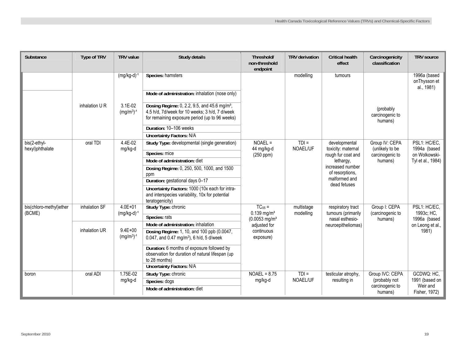| Substance                         | Type of TRV    | <b>TRV</b> value               | Study details                                                                                                                                                | Threshold/<br>non-threshold<br>endpoint  | <b>TRV</b> derivation   | <b>Critical health</b><br>effect        | Carcinogenicity<br>classification       | <b>TRV source</b>                          |
|-----------------------------------|----------------|--------------------------------|--------------------------------------------------------------------------------------------------------------------------------------------------------------|------------------------------------------|-------------------------|-----------------------------------------|-----------------------------------------|--------------------------------------------|
|                                   |                | $(mg/kg-d)^{-1}$               | Species: hamsters                                                                                                                                            |                                          | modelling               | tumours                                 |                                         | 1996a (based<br>onThysson et<br>al., 1981) |
|                                   |                |                                | Mode of administration: inhalation (nose only)                                                                                                               |                                          |                         |                                         |                                         |                                            |
|                                   | inhalation U R | 3.1E-02<br>$(mg/m^3)^{-1}$     | Dosing Regime: 0, 2.2, 9.5, and 45.6 mg/m <sup>3</sup> ,<br>4.5 h/d, 7d/week for 10 weeks; 3 h/d, 7 d/week<br>for remaining exposure period (up to 96 weeks) |                                          |                         |                                         | (probably<br>carcinogenic to<br>humans) |                                            |
|                                   |                |                                | Duration: 10-106 weeks                                                                                                                                       |                                          |                         |                                         |                                         |                                            |
|                                   |                |                                | <b>Uncertainty Factors: N/A</b>                                                                                                                              |                                          |                         |                                         |                                         |                                            |
| bis(2-ethyl-<br>hexyl)phthalate   | oral TDI       | 4.4E-02<br>mg/kg-d             | Study Type: developmental (single generation)                                                                                                                | $NOAEL =$                                | $TDI =$<br>NOAEL/UF     | developmental<br>toxicity: maternal     | Group IV: CEPA<br>(unlikely to be       | PSL1: HC/EC.<br>1994a (based               |
|                                   |                |                                | Species: mice                                                                                                                                                | 44 mg/kg-d<br>(250 ppm)                  |                         | rough fur coat and<br>lethargy,         | carcinogenic to                         | on Wolkowski-                              |
|                                   |                |                                | Mode of administration: diet                                                                                                                                 |                                          |                         |                                         | humans)                                 | Tyl et al., 1984)                          |
|                                   |                |                                | Dosing Regime: 0, 250, 500, 1000, and 1500<br>ppm                                                                                                            |                                          |                         | increased number<br>of resorptions,     |                                         |                                            |
|                                   |                |                                | Duration: gestational days 0-17                                                                                                                              |                                          |                         | malformed and<br>dead fetuses           |                                         |                                            |
|                                   |                |                                | Uncertainty Factors: 1000 (10x each for intra-<br>and interspecies variability, 10x for potential<br>teratogenicity)                                         |                                          |                         |                                         |                                         |                                            |
| bis(chloro-methyl)ether<br>(BCME) | inhalation SF  | $4.0E + 01$                    | Study Type: chronic                                                                                                                                          | $TC_{05} =$<br>$0.139$ mg/m <sup>3</sup> | multistage<br>modelling | respiratory tract<br>tumours (primarily | Group I: CEPA<br>(carcinogenic to       | PSL1: HC/EC,<br>1993c; HC,                 |
|                                   |                | $(mg/kg-d)^{-1}$               | Species: rats                                                                                                                                                | $(0.0053$ mg/m <sup>3</sup>              |                         | nasal esthesio-                         | humans)                                 | 1996a (based                               |
|                                   |                |                                | Mode of administration: inhalation                                                                                                                           | adjusted for                             |                         | neuroepitheliomas)                      |                                         | on Leong et al.,                           |
|                                   | inhalation UR  | $9.4E + 00$<br>$(mg/m^3)^{-1}$ | Dosing Regime: 1, 10, and 100 ppb (0.0047,<br>0.047, and 0.47 mg/m <sup>3</sup> ), 6 h/d, 5 d/week                                                           | continuous<br>exposure)                  |                         |                                         |                                         | 1981)                                      |
|                                   |                |                                | Duration: 6 months of exposure followed by<br>observation for duration of natural lifespan (up<br>to 28 months)<br><b>Uncertainty Factors: N/A</b>           |                                          |                         |                                         |                                         |                                            |
| boron                             | oral ADI       | 1.75E-02                       | Study Type: chronic                                                                                                                                          | $NOAEL = 8.75$                           | $TDI =$                 | testicular atrophy,                     | Group IVC: CEPA                         | GCDWQ: HC,                                 |
|                                   |                | mg/kg-d                        | Species: dogs                                                                                                                                                | mg/kg-d                                  | NOAEL/UF                | resulting in                            | (probably not                           | 1991 (based on                             |
|                                   |                |                                | Mode of administration: diet                                                                                                                                 |                                          |                         |                                         | carcinogenic to<br>humans)              | Weir and<br>Fisher, 1972)                  |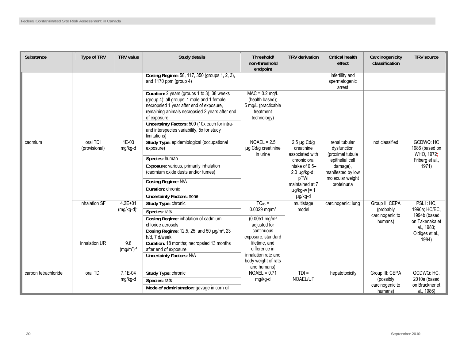| Substance            | Type of TRV               | <b>TRV</b> value                | Study details                                                                                                                                                                                          | Threshold/<br>non-threshold<br>endpoint                                                     | <b>TRV</b> derivation                                                                                           | <b>Critical health</b><br>effect                                                    | Carcinogenicity<br>classification                          | <b>TRV</b> source                                               |
|----------------------|---------------------------|---------------------------------|--------------------------------------------------------------------------------------------------------------------------------------------------------------------------------------------------------|---------------------------------------------------------------------------------------------|-----------------------------------------------------------------------------------------------------------------|-------------------------------------------------------------------------------------|------------------------------------------------------------|-----------------------------------------------------------------|
|                      |                           |                                 | Dosing Regime: 58, 117, 350 (groups 1, 2, 3),<br>and 1170 ppm (group 4)                                                                                                                                |                                                                                             |                                                                                                                 | infertility and<br>spermatogenic<br>arrest                                          |                                                            |                                                                 |
|                      |                           |                                 | Duration: 2 years (groups 1 to 3), 38 weeks<br>(group 4); all groups: 1 male and 1 female<br>necropsied 1 year after end of exposure,<br>remaining animals necropsied 2 years after end<br>of exposure | $MAC = 0.2$ mg/L<br>(health based);<br>5 mg/L (practicable<br>treatment<br>technology)      |                                                                                                                 |                                                                                     |                                                            |                                                                 |
|                      |                           |                                 | Uncertainty Factors: 500 (10x each for intra-<br>and interspecies variability, 5x for study<br>limitations)                                                                                            |                                                                                             |                                                                                                                 |                                                                                     |                                                            |                                                                 |
| cadmium              | oral TDI<br>(provisional) | $1E-03$<br>mg/kg-d              | Study Type: epidemiological (occupational<br>exposure)                                                                                                                                                 | $NOAEL = 2.5$<br>µg Cd/g creatinine<br>in urine                                             | $2.5 \mu g$ Cd/g<br>creatinine<br>associated with                                                               | renal tubular<br>dysfunction<br>(proximal tubule                                    | not classified                                             | <b>GCDWQ: HC</b><br>1986 (based on<br>WHO, 1972;                |
|                      |                           |                                 | Species: human<br>Exposure: various, primarily inhalation<br>(cadmium oxide dusts and/or fumes)<br>Dosing Regime: N/A<br>Duration: chronic<br><b>Uncertainty Factors: none</b>                         |                                                                                             | chronic oral<br>intake of 0.5-<br>$2.0 \mu g/kg-d$ ;<br>pTWI<br>maintained at 7<br>$\mu$ g/kg-w [= 1<br>µg/kg-d | epithelial cell<br>damage),<br>manifested by low<br>molecular weight<br>proteinuria |                                                            | Friberg et al.,<br>1971)                                        |
|                      | inhalation SF             | $4.2E + 01$<br>$(mg/kg-d)^{-1}$ | Study Type: chronic<br>Species: rats                                                                                                                                                                   | $TC_{05} =$<br>$0.0029$ mg/m <sup>3</sup>                                                   | multistage<br>model                                                                                             | carcinogenic: lung                                                                  | Group II: CEPA<br>(probably                                | PSL1: HC,<br>1996a; HC/EC,                                      |
|                      |                           |                                 | Dosing Regime: inhalation of cadmium<br>chloride aerosols<br>Dosing Regime: 12.5, 25, and 50 µg/m <sup>3</sup> , 23<br>h/d. 7 d/week                                                                   | $(0.0051$ mg/m <sup>3</sup><br>adjusted for<br>continuous<br>exposure, standard             |                                                                                                                 |                                                                                     | carcinogenic to<br>humans)                                 | 1994b (based<br>on Takenaka et<br>al., 1983;<br>Oldiges et al., |
|                      | inhalation UR             | 9.8<br>$(mg/m^3)^{-1}$          | Duration: 18 months; necropsied 13 months<br>after end of exposure<br><b>Uncertainty Factors: N/A</b>                                                                                                  | lifetime, and<br>difference in<br>inhalation rate and<br>body weight of rats<br>and humans) |                                                                                                                 |                                                                                     |                                                            | 1984)                                                           |
| carbon tetrachloride | oral TDI                  | $7.1E-04$<br>mg/kg-d            | Study Type: chronic<br>Species: rats<br>Mode of administration: gavage in corn oil                                                                                                                     | $NOAEL = 0.71$<br>mg/kg-d                                                                   | $TDI =$<br>NOAEL/UF                                                                                             | hepatotoxicity                                                                      | Group III: CEPA<br>(possibly<br>carcinogenic to<br>humans) | GCDWQ: HC,<br>2010a (based<br>on Bruckner et<br>al., 1986)      |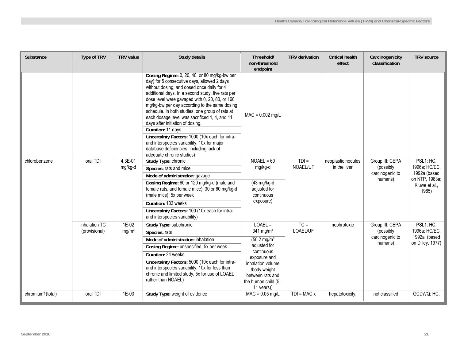| Substance                     | Type of TRV   | <b>TRV</b> value   | Study details                                                                                                                                                                                                                                                                                                                                                                                                                                                                                                                                                                                                                            | Threshold/<br>non-threshold<br>endpoint                                                                    | <b>TRV</b> derivation | <b>Critical health</b><br>effect   | Carcinogenicity<br>classification               | <b>TRV</b> source                                                                      |
|-------------------------------|---------------|--------------------|------------------------------------------------------------------------------------------------------------------------------------------------------------------------------------------------------------------------------------------------------------------------------------------------------------------------------------------------------------------------------------------------------------------------------------------------------------------------------------------------------------------------------------------------------------------------------------------------------------------------------------------|------------------------------------------------------------------------------------------------------------|-----------------------|------------------------------------|-------------------------------------------------|----------------------------------------------------------------------------------------|
|                               |               |                    | Dosing Regime: 0, 20, 40, or 80 mg/kg-bw per<br>day) for 5 consecutive days, allowed 2 days<br>without dosing, and dosed once daily for 4<br>additional days. In a second study, five rats per<br>dose level were gavaged with 0, 20, 80, or 160<br>mg/kg-bw per day according to the same dosing<br>schedule. In both studies, one group of rats at<br>each dosage level was sacrificed 1, 4, and 11<br>days after initiation of dosing.<br>Duration: 11 days<br>Uncertainty Factors: 1000 (10x each for intra-<br>and interspecies variability, 10x for major<br>database deficiencies, including lack of<br>adequate chronic studies) | $MAC = 0.002$ mg/L                                                                                         |                       |                                    |                                                 |                                                                                        |
| chlorobenzene                 | oral TDI      | 4.3E-01<br>mg/kg-d | Study Type: chronic<br>Species: rats and mice                                                                                                                                                                                                                                                                                                                                                                                                                                                                                                                                                                                            | $NOAEL = 60$<br>mg/kg-d                                                                                    | $TDI =$<br>NOAEL/UF   | neoplastic nodules<br>in the liver | Group III: CEPA<br>(possibly<br>carcinogenic to | PSL1: HC,<br>1996a; HC/EC,<br>1992a (based<br>on NTP, 1983a;<br>Kluwe et al.,<br>1985) |
|                               |               |                    | Mode of administration: gavage                                                                                                                                                                                                                                                                                                                                                                                                                                                                                                                                                                                                           |                                                                                                            |                       |                                    | humans)                                         |                                                                                        |
|                               |               |                    | Dosing Regime: 60 or 120 mg/kg-d (male and<br>female rats, and female mice); 30 or 60 mg/kg-d<br>(male mice), 5x per week                                                                                                                                                                                                                                                                                                                                                                                                                                                                                                                | $(43 \text{ mg/kg-d})$<br>adjusted for<br>continuous                                                       |                       |                                    |                                                 |                                                                                        |
|                               |               |                    | Duration: 103 weeks                                                                                                                                                                                                                                                                                                                                                                                                                                                                                                                                                                                                                      | exposure)                                                                                                  |                       |                                    |                                                 |                                                                                        |
|                               |               |                    | Uncertainty Factors: 100 (10x each for intra-<br>and interspecies variability)                                                                                                                                                                                                                                                                                                                                                                                                                                                                                                                                                           |                                                                                                            |                       |                                    |                                                 |                                                                                        |
|                               | inhalation TC | $1E-02$            | Study Type: subchronic                                                                                                                                                                                                                                                                                                                                                                                                                                                                                                                                                                                                                   | $LOAEL =$                                                                                                  | $TC =$                | nephrotoxic                        | Group III: CEPA                                 | PSL1: HC,                                                                              |
|                               | (provisional) | mg/m <sup>3</sup>  | Species: rats                                                                                                                                                                                                                                                                                                                                                                                                                                                                                                                                                                                                                            | $341$ mg/m <sup>3</sup>                                                                                    | LOAEL/UF              |                                    | (possibly                                       | 1996a; HC/EC,                                                                          |
|                               |               |                    | Mode of administration: inhalation                                                                                                                                                                                                                                                                                                                                                                                                                                                                                                                                                                                                       | $(50.2 \text{ mg/m}^3)$                                                                                    |                       |                                    | carcinogenic to<br>humans)                      | 1992a (based<br>on Dilley, 1977)                                                       |
|                               |               |                    | Dosing Regime: unspecified; 5x per week                                                                                                                                                                                                                                                                                                                                                                                                                                                                                                                                                                                                  | adjusted for                                                                                               |                       |                                    |                                                 |                                                                                        |
|                               |               |                    | Duration: 24 weeks                                                                                                                                                                                                                                                                                                                                                                                                                                                                                                                                                                                                                       | continuous                                                                                                 |                       |                                    |                                                 |                                                                                        |
|                               |               |                    | Uncertainty Factors: 5000 (10x each for intra-<br>and interspecies variability, 10x for less than<br>chronic and limited study, 5x for use of LOAEL<br>rather than NOAEL)                                                                                                                                                                                                                                                                                                                                                                                                                                                                | exposure and<br>inhalation volume<br>/body weight<br>between rats and<br>the human child (5-<br>11 years)) |                       |                                    |                                                 |                                                                                        |
| chromium <sup>†</sup> (total) | oral TDI      | 1E-03              | Study Type: weight of evidence                                                                                                                                                                                                                                                                                                                                                                                                                                                                                                                                                                                                           | $MAC = 0.05$ mg/L                                                                                          | $TDI = MAC x$         | hepatotoxicity,                    | not classified                                  | GCDWQ: HC,                                                                             |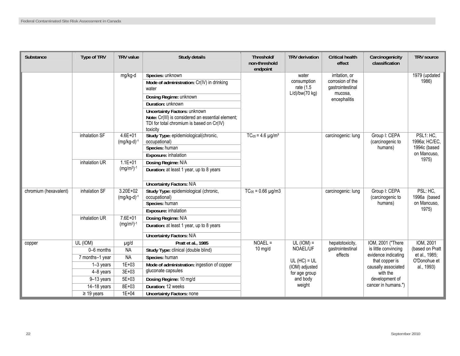| Substance             | Type of TRV     | <b>TRV</b> value                 | Study details                                                                                                                                     | Threshold/<br>non-threshold<br>endpoint | <b>TRV</b> derivation             | <b>Critical health</b><br>effect                       | Carcinogenicity<br>classification     | <b>TRV</b> source             |
|-----------------------|-----------------|----------------------------------|---------------------------------------------------------------------------------------------------------------------------------------------------|-----------------------------------------|-----------------------------------|--------------------------------------------------------|---------------------------------------|-------------------------------|
|                       |                 | mg/kg-d                          | Species: unknown<br>Mode of administration: Cr(IV) in drinking<br>water                                                                           |                                         | water<br>consumption<br>rate (1.5 | irritation, or<br>corrosion of the<br>gastrointestinal |                                       | 1979 (updated<br>1986)        |
|                       |                 |                                  | Dosing Regime: unknown                                                                                                                            |                                         | $L/d$ )/bw(70 kg)                 | mucosa,<br>encephalitis                                |                                       |                               |
|                       |                 |                                  | Duration: unknown                                                                                                                                 |                                         |                                   |                                                        |                                       |                               |
|                       |                 |                                  | <b>Uncertainty Factors: unknown</b><br>Note: Cr(III) is considered an essential element;<br>TDI for total chromium is based on Cr(IV)<br>toxicity |                                         |                                   |                                                        |                                       |                               |
|                       | inhalation SF   | $4.6E + 01$<br>$(mg/kg-d)^{-1}$  | Study Type: epidemiological(chronic,<br>occupational)                                                                                             | $TC_{05} = 4.6 \mu g/m^3$               |                                   | carcinogenic: lung                                     | Group I: CEPA<br>(carcinogenic to     | PSL1: HC,<br>1996a; HC/EC,    |
|                       |                 |                                  | Species: human                                                                                                                                    |                                         |                                   |                                                        | humans)                               | 1994c (based<br>on Mancuso,   |
|                       |                 |                                  | Exposure: inhalation                                                                                                                              |                                         |                                   |                                                        |                                       | 1975)                         |
|                       | inhalation UR   | $1.1E + 01$                      | Dosing Regime: N/A                                                                                                                                |                                         |                                   |                                                        |                                       |                               |
|                       |                 | $(mg/m^3)^{-1}$                  | Duration: at least 1 year, up to 8 years                                                                                                          |                                         |                                   |                                                        |                                       |                               |
|                       |                 |                                  | <b>Uncertainty Factors: N/A</b>                                                                                                                   |                                         |                                   |                                                        |                                       |                               |
| chromium (hexavalent) | inhalation SF   | $3.20E + 02$<br>$(mg/kg-d)^{-1}$ | Study Type: epidemiological (chronic,<br>occupational)                                                                                            | $TC_{05} = 0.66 \mu g/m3$               |                                   | carcinogenic: lung                                     | Group I: CEPA<br>(carcinogenic to     | PSL: HC.<br>1996a (based      |
|                       |                 |                                  | Species: human                                                                                                                                    |                                         |                                   |                                                        | humans)                               | on Mancuso,<br>1975)          |
|                       |                 |                                  | Exposure: inhalation                                                                                                                              |                                         |                                   |                                                        |                                       |                               |
|                       | inhalation UR   | $7.6E + 01$                      | Dosing Regime: N/A                                                                                                                                |                                         |                                   |                                                        |                                       |                               |
|                       |                 | $(mg/m^3)^{-1}$                  | Duration: at least 1 year, up to 8 years                                                                                                          |                                         |                                   |                                                        |                                       |                               |
|                       |                 |                                  | <b>Uncertainty Factors: N/A</b>                                                                                                                   |                                         |                                   |                                                        |                                       |                               |
| copper                | UL (IOM)        | $\mu$ g/d                        | Pratt et al., 1985                                                                                                                                | $NOAEL =$                               | $UL (IOM) =$                      | hepatotoxicity,                                        | IOM, 2001 ("There                     | <b>IOM, 2001</b>              |
|                       | 0-6 months      | <b>NA</b>                        | Study Type: clinical (double blind)                                                                                                               | $10$ mg/d                               | NOAEL/UF                          | gastrointestinal                                       | is little convincing                  | (based on Pratt               |
|                       | 7 months-1 year | NA                               | Species: human                                                                                                                                    |                                         | $UL(HC) = UL$                     | effects                                                | evidence indicating<br>that copper is | et al., 1985;<br>O'Donohue et |
|                       | 1-3 years       | $1E + 03$                        | Mode of administration: ingestion of copper                                                                                                       |                                         | (IOM) adjusted                    |                                                        | causally associated                   | al., 1993)                    |
|                       | 4-8 years       | $3E + 03$                        | gluconate capsules                                                                                                                                |                                         | for age group                     |                                                        | with the                              |                               |
|                       | $9-13$ years    | $5E+03$                          | Dosing Regime: 10 mg/d                                                                                                                            |                                         | and body                          |                                                        | development of                        |                               |
|                       | $14-18$ years   | 8E+03                            | Duration: 12 weeks                                                                                                                                |                                         | weight                            |                                                        | cancer in humans.")                   |                               |
|                       | $\geq$ 19 years | $1E+04$                          | <b>Uncertainty Factors: none</b>                                                                                                                  |                                         |                                   |                                                        |                                       |                               |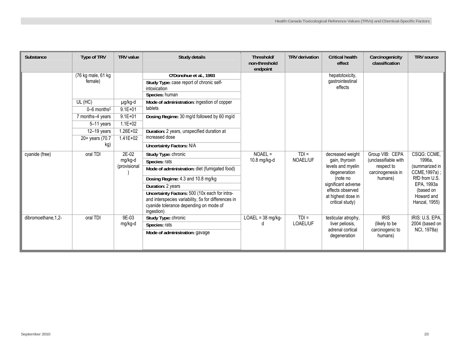| Substance            | Type of TRV                                       | <b>TRV</b> value                 | Study details                                                                                                                                                                                                                                                                                                                                      | Threshold/<br>non-threshold<br>endpoint | <b>TRV</b> derivation | <b>Critical health</b><br>effect                                                                                                                                        | Carcinogenicity<br>classification                                                     | <b>TRV source</b>                                                                                                                   |
|----------------------|---------------------------------------------------|----------------------------------|----------------------------------------------------------------------------------------------------------------------------------------------------------------------------------------------------------------------------------------------------------------------------------------------------------------------------------------------------|-----------------------------------------|-----------------------|-------------------------------------------------------------------------------------------------------------------------------------------------------------------------|---------------------------------------------------------------------------------------|-------------------------------------------------------------------------------------------------------------------------------------|
|                      | (76 kg male, 61 kg<br>female)                     |                                  | O'Donohue et al., 1993<br>Study Type: case report of chronic self-<br>intoxication<br>Species: human                                                                                                                                                                                                                                               |                                         |                       | hepatotoxicity,<br>qastrointestinal<br>effects                                                                                                                          |                                                                                       |                                                                                                                                     |
|                      | UL (HC)<br>$0-6$ months <sup><math>‡</math></sup> | µg/kg-d<br>$9.1E + 01$           | Mode of administration: ingestion of copper<br>tablets                                                                                                                                                                                                                                                                                             |                                         |                       |                                                                                                                                                                         |                                                                                       |                                                                                                                                     |
|                      | 7 months-4 years<br>5-11 years                    | $9.1E + 01$<br>$1.1E + 02$       | Dosing Regime: 30 mg/d followed by 60 mg/d                                                                                                                                                                                                                                                                                                         |                                         |                       |                                                                                                                                                                         |                                                                                       |                                                                                                                                     |
|                      | $12-19$ years<br>20+ years (70.7<br>kg)           | 1.26E+02<br>$1.41E + 02$         | Duration: 2 years, unspecified duration at<br>increased dose                                                                                                                                                                                                                                                                                       |                                         |                       |                                                                                                                                                                         |                                                                                       |                                                                                                                                     |
| cyanide (free)       | oral TDI                                          | 2E-02<br>mg/kg-d<br>(provisional | <b>Uncertainty Factors: N/A</b><br>Study Type: chronic<br>Species: rats<br>Mode of administration: diet (fumigated food)<br>Dosing Regime: 4.3 and 10.8 mg/kg<br>Duration: 2 years<br>Uncertainty Factors: 500 (10x each for intra-<br>and interspecies variability, 5x for differences in<br>cyanide tolerance depending on mode of<br>ingestion) | $NOAEL =$<br>10.8 mg/kg-d               | $TDI =$<br>NOAEL/UF   | decreased weight<br>gain, thyroxin<br>levels and myelin<br>degeneration<br>(note no<br>significant adverse<br>effects observed<br>at highest dose in<br>critical study) | Group VIB: CEPA<br>(unclassifiable with<br>respect to<br>carcinogenesis in<br>humans) | CSQG: CCME,<br>1996a,<br>(summarized in<br>CCME, 1997a);<br>RfD from U.S.<br>EPA, 1993a<br>(based on<br>Howard and<br>Hanzal, 1955) |
| dibromoethane, 1, 2- | oral TDI                                          | 9E-03<br>mg/kg-d                 | Study Type: chronic<br>Species: rats<br>Mode of administration: gavage                                                                                                                                                                                                                                                                             | $LOAEL = 38$ mg/kg-<br>h                | $TDI =$<br>LOAEL/UF   | testicular atrophy,<br>liver peliosis.<br>adrenal cortical<br>degeneration                                                                                              | <b>IRIS</b><br>(likely to be<br>carcinogenic to<br>humans)                            | IRIS: U.S. EPA,<br>2004 (based on $ $<br>NCI, 1978a)                                                                                |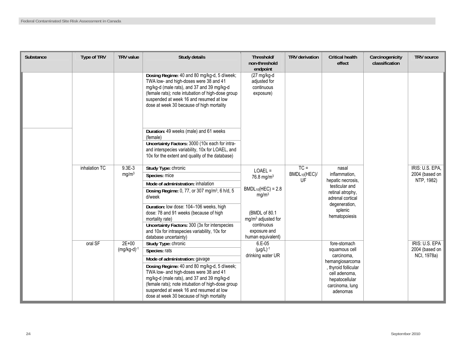| Substance | Type of TRV   | <b>TRV</b> value              | Study details                                                                                                                                                                                                                                                                                                                                                                        | Threshold/<br>non-threshold<br>endpoint                                                                                                                                         | <b>TRV</b> derivation                     | <b>Critical health</b><br>effect                                                                                                                         | Carcinogenicity<br>classification | <b>TRV source</b>                               |
|-----------|---------------|-------------------------------|--------------------------------------------------------------------------------------------------------------------------------------------------------------------------------------------------------------------------------------------------------------------------------------------------------------------------------------------------------------------------------------|---------------------------------------------------------------------------------------------------------------------------------------------------------------------------------|-------------------------------------------|----------------------------------------------------------------------------------------------------------------------------------------------------------|-----------------------------------|-------------------------------------------------|
|           |               |                               | Dosing Regime: 40 and 80 mg/kg-d, 5 d/week;<br>TWA low- and high-doses were 38 and 41<br>mg/kg-d (male rats), and 37 and 39 mg/kg-d<br>(female rats); note intubation of high-dose group<br>suspended at week 16 and resumed at low<br>dose at week 30 because of high mortality                                                                                                     | (27 mg/kg-d<br>adjusted for<br>continuous<br>exposure)                                                                                                                          |                                           |                                                                                                                                                          |                                   |                                                 |
|           |               |                               | Duration: 49 weeks (male) and 61 weeks<br>(female)<br>Uncertainty Factors: 3000 (10x each for intra-<br>and interspecies variability, 10x for LOAEL, and<br>10x for the extent and quality of the database)                                                                                                                                                                          |                                                                                                                                                                                 |                                           |                                                                                                                                                          |                                   |                                                 |
|           | inhalation TC | $9.3E-3$<br>mg/m <sup>3</sup> | Study Type: chronic<br>Species: mice<br>Mode of administration: inhalation<br>Dosing Regime: 0, 77, or 307 mg/m <sup>3</sup> , 6 h/d, 5<br>d/week<br>Duration: low dose: 104-106 weeks, high<br>dose: 78 and 91 weeks (because of high<br>mortality rate)<br>Uncertainty Factors: 300 (3x for interspecies<br>and 10x for intraspecies variability, 10x for<br>database uncertainty) | $LOAEL =$<br>76.8 mg/m $3$<br>$BMDL_{10}(HEC) = 2.8$<br>mg/m <sup>3</sup><br>(BMDL of 80.1<br>mg/m <sup>3</sup> adjusted for<br>continuous<br>exposure and<br>human equivalent) | $TC =$<br>BMDL <sub>10</sub> (HEC)/<br>UF | nasal<br>inflammation,<br>hepatic necrosis,<br>testicular and<br>retinal atrophy,<br>adrenal cortical<br>degeneration,<br>splenic<br>hematopoiesis       |                                   | IRIS: U.S. EPA,<br>2004 (based on<br>NTP, 1982) |
|           | oral SF       | $2E + 00$<br>$(mg/kg-d)^{-1}$ | Study Type: chronic<br>Species: rats<br>Mode of administration: gavage<br>Dosing Regime: 40 and 80 mg/kg-d, 5 d/week;<br>TWA low- and high-doses were 38 and 41<br>mg/kg-d (male rats), and 37 and 39 mg/kg-d<br>(female rats); note intubation of high-dose group<br>suspended at week 16 and resumed at low<br>dose at week 30 because of high mortality                           | $6.E-05$<br>$(\mu g/L)^{-1}$<br>drinking water UR                                                                                                                               |                                           | fore-stomach<br>squamous cell<br>carcinoma,<br>hemangiosarcoma<br>, thyroid follicular<br>cell adenoma,<br>hepatocellular<br>carcinoma, lung<br>adenomas |                                   | IRIS: U.S. EPA<br>2004 (based on<br>NCI, 1978a) |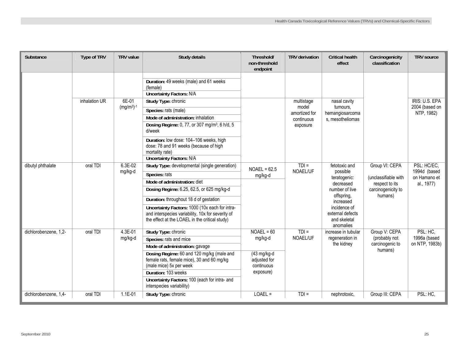| Substance             | Type of TRV   | <b>TRV</b> value         | Study details                                                                                                                                         | Threshold/<br>non-threshold<br>endpoint              | <b>TRV</b> derivation                                          | <b>Critical health</b><br>effect                                | Carcinogenicity<br>classification      | <b>TRV</b> source                              |
|-----------------------|---------------|--------------------------|-------------------------------------------------------------------------------------------------------------------------------------------------------|------------------------------------------------------|----------------------------------------------------------------|-----------------------------------------------------------------|----------------------------------------|------------------------------------------------|
|                       |               |                          | Duration: 49 weeks (male) and 61 weeks<br>(female)<br><b>Uncertainty Factors: N/A</b>                                                                 |                                                      |                                                                |                                                                 |                                        |                                                |
|                       | inhalation UR | 6E-01<br>$(mg/m^3)^{-1}$ | Study Type: chronic<br>Species: rats (male)<br>Mode of administration: inhalation<br>Dosing Regime: 0, 77, or 307 mg/m <sup>3</sup> , 6 h/d, 5        |                                                      | multistage<br>model<br>amortized for<br>continuous<br>exposure | nasal cavity<br>tumours,<br>hemangiosarcoma<br>s. mesotheliomas |                                        | IRIS: U.S. EPA<br>2004 (based on<br>NTP, 1982) |
|                       |               |                          | d/week<br>Duration: low dose: 104-106 weeks, high<br>dose: 78 and 91 weeks (because of high<br>mortality rate)<br><b>Uncertainty Factors: N/A</b>     |                                                      |                                                                |                                                                 |                                        |                                                |
| dibutyl phthalate     | oral TDI      | $6.3E-02$<br>mg/kg-d     | Study Type: developmental (single generation)<br>Species: rats                                                                                        | $NOAEL = 62.5$<br>mg/kg-d                            | $TDI =$<br>NOAEL/UF                                            | fetotoxic and<br>possible                                       | Group VI: CEPA<br>(unclassifiable with | PSL: HC/EC,<br>1994d (based                    |
|                       |               |                          | Mode of administration: diet                                                                                                                          |                                                      |                                                                | teratogenic:<br>decreased                                       |                                        | on Hamano et<br>al., 1977)                     |
|                       |               |                          | Dosing Regime: 6.25, 62.5, or 625 mg/kg-d                                                                                                             |                                                      |                                                                | number of live                                                  | respect to its<br>carcinogenicity to   |                                                |
|                       |               |                          | Duration: throughout 18 d of gestation                                                                                                                |                                                      |                                                                | offspring,<br>increased                                         | humans)                                |                                                |
|                       |               |                          | Uncertainty Factors: 1000 (10x each for intra-<br>and interspecies variability, 10x for severity of<br>the effect at the LOAEL in the critical study) |                                                      |                                                                | incidence of<br>external defects<br>and skeletal<br>anomalies   |                                        |                                                |
| dichlorobenzene, 1,2- | oral TDI      | 4.3E-01                  | Study Type: chronic                                                                                                                                   | $NOAEL = 60$                                         | $TDI =$                                                        | increase in tubular                                             | Group V: CEPA                          | PSL: HC,                                       |
|                       |               | mg/kg-d                  | Species: rats and mice                                                                                                                                | mg/kg-d                                              | NOAEL/UF                                                       | regeneration in                                                 | (probably not                          | 1996a (based<br>on NTP, 1983b)                 |
|                       |               |                          | Mode of administration: gavage                                                                                                                        |                                                      |                                                                | the kidney                                                      | carcinogenic to<br>humans)             |                                                |
|                       |               |                          | Dosing Regime: 60 and 120 mg/kg (male and<br>female rats, female mice), 30 and 60 mg/kg<br>(male mice) 5x per week                                    | $(43 \text{ mg/kg-d})$<br>adjusted for<br>continuous |                                                                |                                                                 |                                        |                                                |
|                       |               |                          | Duration: 103 weeks                                                                                                                                   | exposure)                                            |                                                                |                                                                 |                                        |                                                |
|                       |               |                          | Uncertainty Factors: 100 (each for intra- and<br>interspecies variability)                                                                            |                                                      |                                                                |                                                                 |                                        |                                                |
| dichlorobenzene, 1,4- | oral TDI      | $1.1E-01$                | Study Type: chronic                                                                                                                                   | $LOAEL =$                                            | $TDI =$                                                        | nephrotoxic,                                                    | Group III: CEPA                        | PSL: HC,                                       |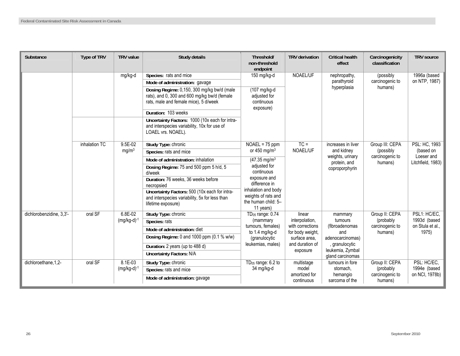| Substance                | <b>Type of TRV</b> | <b>TRV</b> value  | Study details                                                                                                                       | Threshold/<br>non-threshold<br>endpoint                                        | <b>TRV</b> derivation                | <b>Critical health</b><br>effect       | Carcinogenicity<br>classification                 | <b>TRV source</b>               |  |  |  |  |
|--------------------------|--------------------|-------------------|-------------------------------------------------------------------------------------------------------------------------------------|--------------------------------------------------------------------------------|--------------------------------------|----------------------------------------|---------------------------------------------------|---------------------------------|--|--|--|--|
|                          |                    | mg/kg-d           | Species: rats and mice                                                                                                              | 150 mg/kg-d                                                                    | NOAEL/UF                             | nephropathy,                           | (possibly                                         | 1996a (based                    |  |  |  |  |
|                          |                    |                   | Mode of administration: gavage                                                                                                      |                                                                                |                                      | parathyroid                            | carcinogenic to                                   | on NTP, 1987)                   |  |  |  |  |
|                          |                    |                   | Dosing Regime: 0,150, 300 mg/kg bw/d (male<br>rats), and 0, 300 and 600 mg/kg bw/d (female<br>rats, male and female mice), 5 d/week | $(107 \text{ mg/kg-d})$<br>adjusted for<br>continuous<br>exposure)             |                                      | hyperplasia                            | humans)                                           |                                 |  |  |  |  |
|                          |                    |                   | Duration: 103 weeks                                                                                                                 |                                                                                |                                      |                                        |                                                   |                                 |  |  |  |  |
|                          |                    |                   | Uncertainty Factors: 1000 (10x each for intra-<br>and interspecies variability, 10x for use of<br>LOAEL vrs. NOAEL).                |                                                                                |                                      |                                        |                                                   |                                 |  |  |  |  |
|                          | inhalation TC      | 9.5E-02           | Study Type: chronic                                                                                                                 | $NOAEL = 75$ ppm                                                               | $TC =$                               | increases in liver                     | Group III: CEPA                                   | PSL: HC, 1993                   |  |  |  |  |
|                          |                    | mg/m <sup>3</sup> | Species: rats and mice                                                                                                              | or 450 mg/m <sup>3</sup>                                                       | NOAEL/UF                             | and kidney                             | (possibly)                                        | (based on                       |  |  |  |  |
|                          |                    |                   | Mode of administration: inhalation                                                                                                  | $\sqrt{(47.35 \text{ mg/m}^3)}$                                                |                                      | weights, urinary<br>protein, and       | carcinogenic to<br>humans)                        | Loeser and<br>Litchfield, 1983) |  |  |  |  |
|                          |                    |                   | Dosing Regime: 75 and 500 ppm 5 h/d, 5<br>d/week                                                                                    | adjusted for<br>continuous                                                     |                                      | coproporphyrin                         |                                                   |                                 |  |  |  |  |
|                          |                    |                   |                                                                                                                                     |                                                                                |                                      |                                        | Duration: 76 weeks, 36 weeks before<br>necropsied | exposure and<br>difference in   |  |  |  |  |
|                          |                    |                   | Uncertainty Factors: 500 (10x each for intra-<br>and interspecies variability, 5x for less than<br>lifetime exposure)               | inhalation and body<br>weights of rats and<br>the human child: 5-<br>11 years) |                                      |                                        |                                                   |                                 |  |  |  |  |
| dichlorobenzidine, 3,3'- | oral SF            | 6.8E-02           | Study Type: chronic                                                                                                                 | TD <sub>05</sub> range: 0.74                                                   | linear                               | mammary                                | Group II: CEPA                                    | PSL1: HC/EC,                    |  |  |  |  |
|                          |                    | $(mg/kg-d)^{-1}$  | Species: rats                                                                                                                       | (mammary                                                                       | interpolation,                       | tumours                                | (probably                                         | 1993d (based                    |  |  |  |  |
|                          |                    |                   | Mode of administration: diet                                                                                                        | tumours, females)<br>to 1.4 mg/kg-d                                            | with corrections<br>for body weight, | (fibroadenomas<br>and                  | carcinogenic to<br>humans)                        | on Stula et al.,<br>1975)       |  |  |  |  |
|                          |                    |                   | Dosing Regime: 0 and 1000 ppm (0.1 % w/w)                                                                                           | (granulocytic                                                                  | surface area.                        | adenocarcinomas)                       |                                                   |                                 |  |  |  |  |
|                          |                    |                   | Duration: 2 years (up to 488 d)                                                                                                     | leukemias, males)                                                              | and duration of                      | , granulocytic                         |                                                   |                                 |  |  |  |  |
|                          |                    |                   | <b>Uncertainty Factors: N/A</b>                                                                                                     |                                                                                | exposure                             | leukemia, Zymbal<br>gland carcinomas   |                                                   |                                 |  |  |  |  |
| dichloroethane, 1, 2-    | oral SF            | 8.1E-03           | Study Type: chronic                                                                                                                 | $TD_{05}$ range: 6.2 to                                                        | multistage                           | tumours in fore                        | Group II: CEPA                                    | PSL: HC/EC,                     |  |  |  |  |
|                          |                    | $(mg/kg-d)^{-1}$  | Species: rats and mice                                                                                                              | 34 mg/kg-d                                                                     | model<br>amortized for<br>continuous | stomach.<br>hemangio<br>sarcoma of the | (probably)                                        | 1994e (based                    |  |  |  |  |
|                          |                    |                   | Mode of administration: gavage                                                                                                      |                                                                                |                                      |                                        | carcinogenic to<br>humans)                        | on NCI, 1978b)                  |  |  |  |  |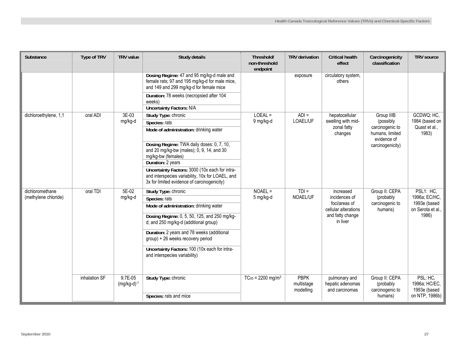| Substance             | Type of TRV   | <b>TRV</b> value            | Study details                                                                                                                                     | Threshold/<br>non-threshold<br>endpoint | <b>TRV</b> derivation                  | <b>Critical health</b><br>effect                    | Carcinogenicity<br>classification               | <b>TRV source</b>                         |
|-----------------------|---------------|-----------------------------|---------------------------------------------------------------------------------------------------------------------------------------------------|-----------------------------------------|----------------------------------------|-----------------------------------------------------|-------------------------------------------------|-------------------------------------------|
|                       |               |                             | Dosing Regime: 47 and 95 mg/kg-d male and<br>female rats; 97 and 195 mg/kg-d for male mice,<br>and 149 and 299 mg/kg-d for female mice            |                                         | exposure                               | circulatory system,<br>others                       |                                                 |                                           |
|                       |               |                             | Duration: 78 weeks (necropsied after 104<br>weeks)                                                                                                |                                         |                                        |                                                     |                                                 |                                           |
|                       |               |                             | <b>Uncertainty Factors: N/A</b>                                                                                                                   |                                         |                                        |                                                     |                                                 |                                           |
| dichloroethylene, 1,1 | oral ADI      | 3E-03                       | Study Type: chronic                                                                                                                               | $LOEAL =$                               | $ADI =$                                | hepatocellular                                      | Group IIIB                                      | GCDWQ: HC,                                |
|                       |               | mg/kg-d                     | Species: rats                                                                                                                                     | 9 mg/kg-d                               | LOAEL/UF                               | swelling with mid-                                  | (possibly<br>carcinogenic to                    | 1984 (based on<br>Quast et al.,           |
|                       |               |                             | Mode of administration: drinking water                                                                                                            |                                         |                                        | zonal fatty<br>changes                              | humans, limited<br>evidence of                  | 1983)                                     |
|                       |               |                             | Dosing Regime: TWA daily doses: 0, 7, 10,<br>and 20 mg/kg-bw (males); 0, 9, 14, and 30<br>mg/kg-bw (females)                                      |                                         |                                        |                                                     | carcinogenicity)                                |                                           |
|                       |               |                             | Duration: 2 years                                                                                                                                 |                                         |                                        |                                                     |                                                 |                                           |
|                       |               |                             | Uncertainty Factors: 3000 (10x each for intra-<br>and interspecies variability, 10x for LOAEL, and<br>3x for limited evidence of carcinogenicity) |                                         |                                        |                                                     |                                                 |                                           |
| dichloromethane       | oral TDI      | $5E-02$                     | Study Type: chronic                                                                                                                               | $NOAEL =$                               | $TDI =$                                | increased                                           | Group II: CEPA                                  | PSL1: HC.                                 |
| (methylene chloride)  |               | mg/kg-d                     | Species: rats                                                                                                                                     | 5 mg/kg-d                               | NOAEL/UF                               | incidences of                                       | (probably                                       | 1996a; EC/HC,                             |
|                       |               |                             | Mode of administration: drinking water                                                                                                            |                                         |                                        | foci/areas of<br>cellular alterations               | carcinogenic to<br>humans)                      | 1993e (based<br>on Serota et al.,         |
|                       |               |                             | Dosing Regime: 0, 5, 50, 125, and 250 mg/kg-<br>d; and 250 mg/kg-d (additional group)                                                             |                                         |                                        | and fatty change<br>in liver                        |                                                 | 1986)                                     |
|                       |               |                             | Duration: 2 years and 78 weeks (additional<br>group) + 26 weeks recovery period                                                                   |                                         |                                        |                                                     |                                                 |                                           |
|                       |               |                             | Uncertainty Factors: 100 (10x each for intra-<br>and interspecies variability)                                                                    |                                         |                                        |                                                     |                                                 |                                           |
|                       |               |                             |                                                                                                                                                   |                                         |                                        |                                                     |                                                 |                                           |
|                       | inhalation SF | 9.7E-05<br>$(mg/kg-d)^{-1}$ | Study Type: chronic                                                                                                                               | $TC_{05} = 2200$ mg/m <sup>3</sup>      | <b>PBPK</b><br>multistage<br>modelling | pulmonary and<br>hepatic adenomas<br>and carcinomas | Group II: CEPA<br>(probably)<br>carcinogenic to | PSL: HC,<br>1996a; HC/EC,<br>1993e (based |
|                       |               |                             | Species: rats and mice                                                                                                                            |                                         |                                        |                                                     | humans)                                         | on NTP, 1986b)                            |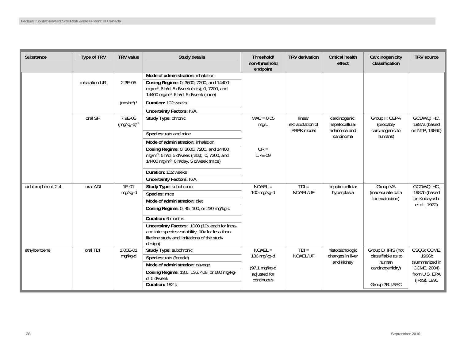| Substance            | Type of TRV   | <b>TRV</b> value            | Study details                                                                                                                                                | Threshold/<br>non-threshold<br>endpoint | <b>TRV</b> derivation                    | <b>Critical health</b><br>effect               | Carcinogenicity<br>classification              | <b>TRV</b> source                            |
|----------------------|---------------|-----------------------------|--------------------------------------------------------------------------------------------------------------------------------------------------------------|-----------------------------------------|------------------------------------------|------------------------------------------------|------------------------------------------------|----------------------------------------------|
|                      |               |                             | Mode of administration: inhalation                                                                                                                           |                                         |                                          |                                                |                                                |                                              |
|                      | inhalation UR | 2.3E-05                     | Dosing Regime: 0, 3600, 7200, and 14400<br>mg/m <sup>3</sup> , 6 h/d, 5 d/week (rats); 0, 7200, and<br>14400 mg/m <sup>3</sup> , 6 h/d, 5 d/week (mice)      |                                         |                                          |                                                |                                                |                                              |
|                      |               | $(mg/m3)-1$                 | Duration: 102 weeks                                                                                                                                          |                                         |                                          |                                                |                                                |                                              |
|                      |               |                             | <b>Uncertainty Factors: N/A</b>                                                                                                                              |                                         |                                          |                                                |                                                |                                              |
|                      | oral SF       | 7.9E-05<br>$(mg/kg-d)^{-1}$ | Study Type: chronic                                                                                                                                          | $MAC = 0.05$<br>mg/L                    | linear<br>extrapolation of<br>PBPK model | carcinogenic:<br>hepatocellular<br>adenoma and | Group II: CEPA<br>(probably<br>carcinogenic to | GCDWQ: HC,<br>1987a (based<br>on NTP, 1986b) |
|                      |               |                             | Species: rats and mice                                                                                                                                       |                                         |                                          | carcinoma                                      | humans)                                        |                                              |
|                      |               |                             | Mode of administration: inhalation                                                                                                                           |                                         |                                          |                                                |                                                |                                              |
|                      |               |                             | Dosing Regime: 0, 3600, 7200, and 14400<br>mg/m <sup>3</sup> ; 6 h/d, 5 d/week (rats); 0, 7200, and<br>14400 mg/m <sup>3</sup> ; 6 h/day, 5 d/week (mice)    | $UR =$<br>1.7E-09                       |                                          |                                                |                                                |                                              |
|                      |               |                             | Duration: 102 weeks                                                                                                                                          |                                         |                                          |                                                |                                                |                                              |
|                      |               |                             | <b>Uncertainty Factors: N/A</b>                                                                                                                              |                                         |                                          |                                                |                                                |                                              |
| dichlorophenol, 2,4- | oral ADI      | 1E-01                       | Study Type: subchronic                                                                                                                                       | $NOAEL =$                               | $TDI =$                                  | hepatic cellular                               | Group VA                                       | GCDWQ: HC,                                   |
|                      |               | mg/kg-d                     | Species: mice                                                                                                                                                | 100 mg/kg-d                             | NOAEL/UF                                 | hyperplasia                                    | (inadequate data                               | 1987b (based                                 |
|                      |               |                             | Mode of administration: diet                                                                                                                                 |                                         |                                          |                                                | for evaluation)                                | on Kobayashi<br>et al., 1972)                |
|                      |               |                             | Dosing Regime: 0, 45, 100, or 230 mg/kg-d                                                                                                                    |                                         |                                          |                                                |                                                |                                              |
|                      |               |                             | Duration: 6 months                                                                                                                                           |                                         |                                          |                                                |                                                |                                              |
|                      |               |                             | Uncertainty Factors: 1000 (10x each for intra-<br>and interspecies variability, 10x for less-than-<br>lifetime study and limitations of the study<br>design) |                                         |                                          |                                                |                                                |                                              |
| ethylbenzene         | oral TDI      | 1.00E-01                    | Study Type: subchronic                                                                                                                                       | $NOAEL =$                               | $TDI =$                                  | histopathologic                                | Group D: IRIS (not                             | CSQG: CCME,                                  |
|                      |               | mg/kg-d                     | Species: rats (female)                                                                                                                                       | 136 mg/kg-d                             | NOAEL/UF                                 | changes in liver                               | classifiable as to                             | 1996b                                        |
|                      |               |                             | Mode of administration: gavage                                                                                                                               | (97.1 mg/kg-d                           |                                          | and kidney                                     | human<br>carcinogenicity)                      | (summarized in<br>CCME, 2004)                |
|                      |               |                             | Dosing Regime: 13.6, 136, 408, or 680 mg/kg-<br>d, 5 d/week<br>Duration: 182 d                                                                               | adjusted for<br>continuous              |                                          |                                                |                                                | from U.S. EPA<br>(IRIS), 1991                |
|                      |               |                             |                                                                                                                                                              |                                         |                                          |                                                | Group 2B: IARC                                 |                                              |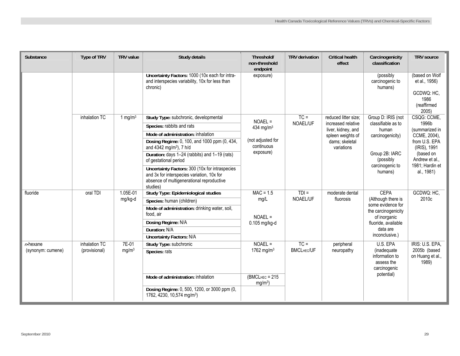| Substance                        | Type of TRV                    | <b>TRV</b> value             | Study details                                                                                                                                                                                                                                                                                                                                                                                                          | Threshold/<br>non-threshold<br>endpoint                                   | <b>TRV</b> derivation       | <b>Critical health</b><br>effect                                                                                      | Carcinogenicity<br>classification                                                                                                                  | <b>TRV</b> source                                                                                                                                       |
|----------------------------------|--------------------------------|------------------------------|------------------------------------------------------------------------------------------------------------------------------------------------------------------------------------------------------------------------------------------------------------------------------------------------------------------------------------------------------------------------------------------------------------------------|---------------------------------------------------------------------------|-----------------------------|-----------------------------------------------------------------------------------------------------------------------|----------------------------------------------------------------------------------------------------------------------------------------------------|---------------------------------------------------------------------------------------------------------------------------------------------------------|
|                                  |                                |                              | Uncertainty Factors: 1000 (10x each for intra-<br>and interspecies variability, 10x for less than<br>chronic)                                                                                                                                                                                                                                                                                                          | exposure)                                                                 |                             |                                                                                                                       | (possibly<br>carcinogenic to<br>humans)                                                                                                            | (based on Wolf<br>et al., 1956)<br>GCDWQ: HC,<br>1986<br>(reaffirmed<br>2005)                                                                           |
|                                  | inhalation TC                  | 1 mg/m $3$                   | Study Type: subchronic, developmental<br>Species: rabbits and rats<br>Mode of administration: inhalation<br>Dosing Regime: 0, 100, and 1000 ppm (0, 434,<br>and 4342 mg/m <sup>3</sup> ), 7 h/d<br>Duration: days 1-24 (rabbits) and 1-19 (rats)<br>of gestational period<br>Uncertainty Factors: 300 (10x for intraspecies<br>and 3x for interspecies variation, 10x for<br>absence of multigenerational reproductive | $NOAEL =$<br>434 mg/m $3$<br>(not adjusted for<br>continuous<br>exposure) | $TC =$<br>NOAEL/UF          | reduced litter size:<br>increased relative<br>liver, kidney, and<br>spleen weights of<br>dams; skeletal<br>variations | Group D: IRIS (not<br>classifiable as to<br>human<br>carcinogenicity)<br>Group 2B: IARC<br>(possibly<br>carcinogenic to<br>humans)                 | CSQG: CCME,<br>1996b<br>(summarized in<br>CCME, 2004),<br>from U.S. EPA<br>(IRIS), 1991<br>(based on<br>Andrew et al.,<br>1981; Hardin et<br>al., 1981) |
| fluoride                         | oral TDI                       | 1.05E-01<br>mg/kg-d          | studies)<br>Study Type: Epidemiological studies<br>Species: human (children)<br>Mode of administration: drinking water, soil,<br>food, air<br>Dosing Regime: N/A<br>Duration: N/A<br><b>Uncertainty Factors: N/A</b>                                                                                                                                                                                                   | $MAC = 1.5$<br>mg/L<br>$NOAEL =$<br>0.105 mg/kg-d                         | $TDI =$<br>NOAEL/UF         | moderate dental<br>fluorosis                                                                                          | <b>CEPA</b><br>(Although there is<br>some evidence for<br>the carcinogenicity<br>of inorganic<br>fluoride, available<br>data are<br>inconclusive.) | GCDWQ: HC,<br>2010 <sub>c</sub>                                                                                                                         |
| $n$ -hexane<br>(synonym: cumene) | inhalation TC<br>(provisional) | $7E-01$<br>mg/m <sup>3</sup> | Study Type: subchronic<br>Species: rats<br>Mode of administration: inhalation<br>Dosing Regime: 0, 500, 1200, or 3000 ppm (0,<br>1762, 4230, 10,574 mg/m <sup>3</sup> )                                                                                                                                                                                                                                                | $NOAEL =$<br>1762 mg/m $3$<br>$(BMCL_{HEC} = 215$<br>$mg/m3$ )            | $TC =$<br><b>BMCLHEC/UF</b> | peripheral<br>neuropathy                                                                                              | U.S. EPA<br>(inadequate<br>information to<br>assess the<br>carcinogenic<br>potential)                                                              | IRIS: U.S. EPA,<br>2005b (based<br>on Huang et al.,<br>1989)                                                                                            |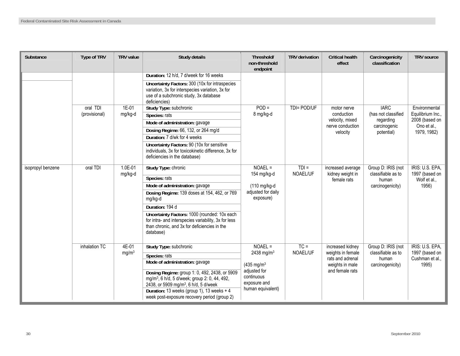| Substance         | Type of TRV   | <b>TRV value</b>       | Study details                                                                                                                                                                                                 | Threshold/<br>non-threshold<br>endpoint                         | <b>TRV</b> derivation | <b>Critical health</b><br>effect      | Carcinogenicity<br>classification        | <b>TRV source</b>                                  |
|-------------------|---------------|------------------------|---------------------------------------------------------------------------------------------------------------------------------------------------------------------------------------------------------------|-----------------------------------------------------------------|-----------------------|---------------------------------------|------------------------------------------|----------------------------------------------------|
|                   |               |                        | Duration: 12 h/d, 7 d/week for 16 weeks                                                                                                                                                                       |                                                                 |                       |                                       |                                          |                                                    |
|                   |               |                        | Uncertainty Factors: 300 (10x for intraspecies<br>variation, 3x for interspecies variation, 3x for<br>use of a subchronic study, 3x database<br>deficiencies)                                                 |                                                                 |                       |                                       |                                          |                                                    |
|                   | oral TDI      | $1E-01$                | Study Type: subchronic                                                                                                                                                                                        | $POD =$                                                         | TDI= POD/UF           | motor nerve                           | <b>IARC</b>                              | Environmental                                      |
|                   | (provisional) | mg/kg-d                | Species: rats                                                                                                                                                                                                 | 8 mg/kg-d                                                       |                       | conduction                            | (has not classified                      | Equilibrium Inc.,<br>2008 (based on<br>Ono et al., |
|                   |               |                        | Mode of administration: gavage                                                                                                                                                                                |                                                                 |                       | velocity, mixed<br>nerve conduction   | regarding<br>carcinogenic                |                                                    |
|                   |               |                        | Dosing Regime: 66, 132, or 264 mg/d                                                                                                                                                                           |                                                                 |                       | velocity                              | potential)                               | 1979, 1982)                                        |
|                   |               |                        | Duration: 7 d/wk for 4 weeks                                                                                                                                                                                  |                                                                 |                       |                                       |                                          |                                                    |
|                   |               |                        | Uncertainty Factors: 90 (10x for sensitive<br>individuals, 3x for toxicokinetic difference, 3x for<br>deficiencies in the database)                                                                           |                                                                 |                       |                                       |                                          |                                                    |
| isopropyl benzene | oral TDI      | $1.0E - 01$<br>mg/kg-d | Study Type: chronic                                                                                                                                                                                           | $NOAEL =$<br>154 mg/kg-d                                        | $TDI =$<br>NOAEL/UF   | increased average<br>kidney weight in | Group D: IRIS (not<br>classifiable as to | IRIS: U.S. EPA,<br>1997 (based on                  |
|                   |               |                        | Species: rats                                                                                                                                                                                                 |                                                                 |                       | female rats                           | human                                    | Wolf et al.,                                       |
|                   |               |                        | Mode of administration: gavage                                                                                                                                                                                | $(110 \text{ mg/kg-d})$                                         |                       |                                       | carcinogenicity)                         | 1956)                                              |
|                   |               |                        | Dosing Regime: 139 doses at 154, 462, or 769<br>mg/kg-d                                                                                                                                                       | adjusted for daily<br>exposure)                                 |                       |                                       |                                          |                                                    |
|                   |               |                        | Duration: 194 d                                                                                                                                                                                               |                                                                 |                       |                                       |                                          |                                                    |
|                   |               |                        | Uncertainty Factors: 1000 (rounded: 10x each<br>for intra- and interspecies variability, 3x for less<br>than chronic, and 3x for deficiencies in the<br>database)                                             |                                                                 |                       |                                       |                                          |                                                    |
|                   | inhalation TC | $4E-01$                | Study Type: subchronic                                                                                                                                                                                        | $NOAEL =$                                                       | $TC =$                | increased kidney                      | Group D: IRIS (not                       | IRIS: U.S. EPA,                                    |
|                   |               | mg/m <sup>3</sup>      | Species: rats                                                                                                                                                                                                 | 2438 mg/m <sup>3</sup>                                          | NOAEL/UF              | weights in female                     | classifiable as to                       | 1997 (based on                                     |
|                   |               |                        | Mode of administration: gavage                                                                                                                                                                                | $(435 \text{ mg/m}^3)$                                          |                       | rats and adrenal<br>weights in male   | human<br>carcinogenicity)                | Cushman et al.,<br>1995)                           |
|                   |               |                        | Dosing Regime: group 1: 0, 492, 2438, or 5909<br>mg/m <sup>3</sup> , 6 h/d, 5 d/week; group 2: 0, 44, 492,<br>2438, or 5909 mg/m <sup>3</sup> , 6 h/d, 5 d/week<br>Duration: 13 weeks (group 1), 13 weeks + 4 | adjusted for<br>continuous<br>exposure and<br>human equivalent) |                       | and female rats                       |                                          |                                                    |
|                   |               |                        | week post-exposure recovery period (group 2)                                                                                                                                                                  |                                                                 |                       |                                       |                                          |                                                    |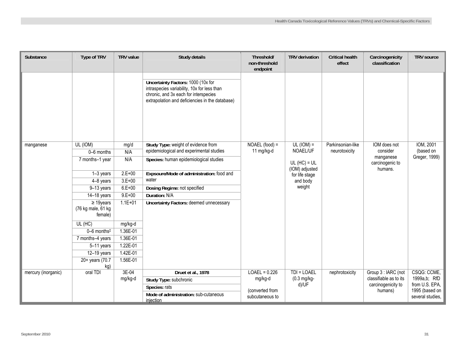| Substance           | Type of TRV                                      | <b>TRV</b> value | Study details                                                                                                                                                                 | Threshold/<br>non-threshold<br>endpoint | <b>TRV</b> derivation            | <b>Critical health</b><br>effect   | Carcinogenicity<br>classification | <b>TRV source</b>                  |
|---------------------|--------------------------------------------------|------------------|-------------------------------------------------------------------------------------------------------------------------------------------------------------------------------|-----------------------------------------|----------------------------------|------------------------------------|-----------------------------------|------------------------------------|
|                     |                                                  |                  | Uncertainty Factors: 1000 (10x for<br>intraspecies variability, 10x for less than<br>chronic, and 3x each for interspecies<br>extrapolation and deficiencies in the database) |                                         |                                  |                                    |                                   |                                    |
| manganese           | UL (IOM)                                         | mg/d             | Study Type: weight of evidence from<br>epidemiological and experimental studies                                                                                               | $NOAEL (food) =$<br>11 mg/kg-d          | $UL (IOM) =$<br>NOAEL/UF         | Parkinsonian-like<br>neurotoxicity | IOM does not<br>consider          | <b>IOM, 2001</b><br>(based on      |
|                     | 0-6 months                                       | N/A              |                                                                                                                                                                               |                                         |                                  |                                    | manganese                         | Greger, 1999)                      |
|                     | 7 months-1 year                                  | N/A              | Species: human epidemiological studies                                                                                                                                        |                                         | $UL$ (HC) = $UL$                 |                                    | carcinogenic to<br>humans.        |                                    |
|                     | 1-3 years                                        | $2.E+00$         | Expsoure/Mode of administration: food and<br>water                                                                                                                            |                                         | (IOM) adjusted<br>for life stage |                                    |                                   |                                    |
|                     | 4-8 years                                        | $3.E+00$         |                                                                                                                                                                               |                                         | and body                         |                                    |                                   |                                    |
|                     | 9-13 years                                       | $6.E+00$         | Dosing Regime: not specified                                                                                                                                                  |                                         | weight                           |                                    |                                   |                                    |
|                     | $14-18$ years                                    | $9.E+00$         | Duration: N/A                                                                                                                                                                 |                                         |                                  |                                    |                                   |                                    |
|                     | $\geq 19$ years<br>(76 kg male, 61 kg<br>female) | $1.1E + 01$      | <b>Uncertainty Factors: deemed unnecessary</b>                                                                                                                                |                                         |                                  |                                    |                                   |                                    |
|                     | UL (HC)                                          | mg/kg-d          |                                                                                                                                                                               |                                         |                                  |                                    |                                   |                                    |
|                     | $0 - 6$ months <sup>‡</sup>                      | 1.36E-01         |                                                                                                                                                                               |                                         |                                  |                                    |                                   |                                    |
|                     | 7 months-4 years                                 | 1.36E-01         |                                                                                                                                                                               |                                         |                                  |                                    |                                   |                                    |
|                     | 5-11 years                                       | $1.22E-01$       |                                                                                                                                                                               |                                         |                                  |                                    |                                   |                                    |
|                     | 12-19 years                                      | $1.42E - 01$     |                                                                                                                                                                               |                                         |                                  |                                    |                                   |                                    |
|                     | 20+ years (70.7                                  | 1.56E-01         |                                                                                                                                                                               |                                         |                                  |                                    |                                   |                                    |
| mercury (inorganic) | kg)<br>oral TDI                                  | 3E-04            | Druet et al., 1978                                                                                                                                                            | $LOAEL = 0.226$                         | TDI = LOAEL                      | nephrotoxicity                     | Group 3 : IARC (not               | CSQG: CCME,                        |
|                     |                                                  | mg/kg-d          | Study Type: subchronic                                                                                                                                                        | mg/kg-d                                 | $(0.3 \text{ mg/kg}$             |                                    | classifiable as to its            | 1999a,b; RfD                       |
|                     |                                                  |                  | Species: rats                                                                                                                                                                 |                                         | d)/UF                            |                                    | carcinogenicity to                | from U.S. EPA,                     |
|                     |                                                  |                  | Mode of administration: sub-cutaneous<br>injection                                                                                                                            | (converted from<br>subcutaneous to      |                                  |                                    | humans)                           | 1995 (based on<br>several studies, |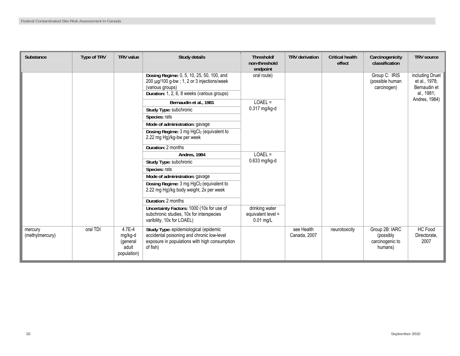| Substance                  | Type of TRV | <b>TRV</b> value                                        | Study details                                                                                                                                              | Threshold/<br>non-threshold<br>endpoint             | <b>TRV</b> derivation      | <b>Critical health</b><br>effect | Carcinogenicity<br>classification                          | <b>TRV</b> source                                              |
|----------------------------|-------------|---------------------------------------------------------|------------------------------------------------------------------------------------------------------------------------------------------------------------|-----------------------------------------------------|----------------------------|----------------------------------|------------------------------------------------------------|----------------------------------------------------------------|
|                            |             |                                                         | Dosing Regime: 0, 5, 10, 25, 50, 100, and<br>200 µg/100 g-bw; 1, 2 or 3 injections/week<br>(various groups)<br>Duration: 1, 2, 6, 8 weeks (various groups) | oral route)                                         |                            |                                  | Group C: IRIS<br>(possible human<br>carcinogen)            | including Druet<br>et al., 1978;<br>Bernaudin et<br>al., 1981; |
|                            |             |                                                         | Bernaudin et al., 1981                                                                                                                                     | $LOAEL =$                                           |                            |                                  |                                                            | Andres, 1984)                                                  |
|                            |             |                                                         | Study Type: subchronic                                                                                                                                     | 0.317 mg/kg-d                                       |                            |                                  |                                                            |                                                                |
|                            |             |                                                         | Species: rats                                                                                                                                              |                                                     |                            |                                  |                                                            |                                                                |
|                            |             |                                                         | Mode of administration: gavage                                                                                                                             |                                                     |                            |                                  |                                                            |                                                                |
|                            |             |                                                         | Dosing Regime: 3 mg HgCl2 (equivalent to<br>2.22 mg Hg)/kg-bw per week                                                                                     |                                                     |                            |                                  |                                                            |                                                                |
|                            |             |                                                         | Duration: 2 months                                                                                                                                         |                                                     |                            |                                  |                                                            |                                                                |
|                            |             |                                                         | Andres, 1984                                                                                                                                               | $LOAEL =$                                           |                            |                                  |                                                            |                                                                |
|                            |             |                                                         | Study Type: subchronic                                                                                                                                     | 0.633 mg/kg-d                                       |                            |                                  |                                                            |                                                                |
|                            |             |                                                         | Species: rats                                                                                                                                              |                                                     |                            |                                  |                                                            |                                                                |
|                            |             |                                                         | Mode of administration: gavage                                                                                                                             |                                                     |                            |                                  |                                                            |                                                                |
|                            |             |                                                         | Dosing Regime: 3 mg HgCl2 (equivalent to<br>2.22 mg Hg)/kg body weight, 2x per week                                                                        |                                                     |                            |                                  |                                                            |                                                                |
|                            |             |                                                         | Duration: 2 months                                                                                                                                         |                                                     |                            |                                  |                                                            |                                                                |
|                            |             |                                                         | Uncertainty Factors: 1000 (10x for use of<br>subchronic studies, 10x for interspecies<br>varibility, 10x for LOAEL)                                        | drinking water<br>equivalent level =<br>$0.01$ mg/L |                            |                                  |                                                            |                                                                |
| mercury<br>(methylmercury) | oral TDI    | $4.7E-4$<br>mg/kg-d<br>(general<br>adult<br>population) | Study Type: epidemiological (epidemic<br>accidental poisoning and chronic low-level<br>exposure in populations with high consumption<br>of fish)           |                                                     | see Health<br>Canada, 2007 | neurotoxicity                    | Group 2B: IARC<br>(possibly)<br>carcinogenic to<br>humans) | <b>HC Food</b><br>Directorate,<br>2007                         |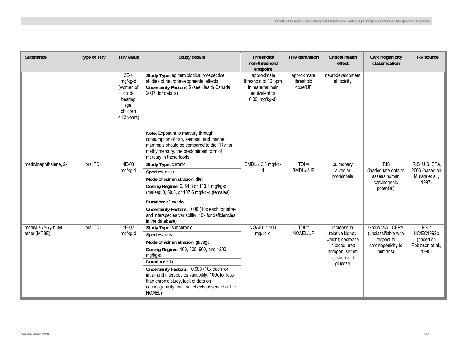| Substance             | <b>Type of TRV</b> | <b>TRV</b> value                                                                       | Study details                                                                                                                                                                                        | Threshold/<br>non-threshold<br>endpoint                                                      | <b>TRV</b> derivation               | <b>Critical health</b><br>effect    | Carcinogenicity<br>classification   | <b>TRV</b> source                |
|-----------------------|--------------------|----------------------------------------------------------------------------------------|------------------------------------------------------------------------------------------------------------------------------------------------------------------------------------------------------|----------------------------------------------------------------------------------------------|-------------------------------------|-------------------------------------|-------------------------------------|----------------------------------|
|                       |                    | $2E-4$<br>mg/kg-d<br>(women of<br>child-<br>bearing<br>age,<br>children<br>< 12 years) | Study Type: epidemiological prospective<br>studies of neurodevelopmental effects<br>Uncertainty Factors: 5 (see Health Canada,<br>2007, for details)                                                 | (approximate<br>threshold of 10 ppm<br>in maternal hair<br>equivalent to<br>$0.001$ mg/kg-d) | approximate<br>threshold<br>dose/UF | neurodevelopment<br>al toxicity     |                                     |                                  |
|                       |                    |                                                                                        | Note: Exposure to mercury through<br>consumption of fish, seafood, and marine<br>mammals should be compared to the TRV for<br>methylmercury, the predominant form of<br>mercury in these foods.      |                                                                                              |                                     |                                     |                                     |                                  |
| methylnaphthalene, 2- | oral TDI           | 4E-03                                                                                  | Study Type: chronic                                                                                                                                                                                  | BMDL <sub>05</sub> 3.5 mg/kg-<br>d                                                           | $TDI =$                             | pulmonary                           | <b>IRIS</b>                         | IRIS: U.S. EPA,                  |
|                       |                    | mg/kg-d                                                                                | Species: mice                                                                                                                                                                                        |                                                                                              | BMDL <sub>05</sub> /UF              | alveolar<br>proteinosis             | (inadequate data to<br>assess human | 2003 (based on<br>Murata et al., |
|                       |                    |                                                                                        | Mode of administration: diet                                                                                                                                                                         |                                                                                              |                                     |                                     | carcinogenic                        | 1997)                            |
|                       |                    |                                                                                        | Dosing Regime: 0, 54.3 or 113.8 mg/kg-d<br>(males); 0, 50.3, or 107.6 mg/kg-d (females)                                                                                                              |                                                                                              |                                     |                                     | potential)                          |                                  |
|                       |                    |                                                                                        | Duration: 81 weeks                                                                                                                                                                                   |                                                                                              |                                     |                                     |                                     |                                  |
|                       |                    |                                                                                        | Uncertainty Factors: 1000 (10x each for intra-<br>and interspecies variability, 10x for deficiencies<br>in the database)                                                                             |                                                                                              |                                     |                                     |                                     |                                  |
| methyl tertiary-butyl | oral TDI           | $1E-02$                                                                                | Study Type: subchronic                                                                                                                                                                               | $NOAEL = 100$                                                                                | $TDI =$                             | increase in                         | Group VIA: CEPA                     | PSL:                             |
| ether (MTBE)          |                    | mg/kg-d                                                                                | Species: rats                                                                                                                                                                                        | mg/kg-d                                                                                      | NOAEL/UF                            | relative kidney<br>weight; decrease | (unclassifiable with<br>respect to  | <b>HC/EC1992b</b><br>(based on   |
|                       |                    |                                                                                        | Mode of administration: gavage                                                                                                                                                                       |                                                                                              |                                     | in blood urea                       | carcinogenicity to                  | Robinson et al.,                 |
|                       |                    |                                                                                        | Dosing Regime: 100, 300, 900, and 1200                                                                                                                                                               |                                                                                              |                                     | nitrogen, serum                     | humans)                             | 1990)                            |
|                       |                    |                                                                                        | mg/kg-d<br>Duration: 90 d                                                                                                                                                                            |                                                                                              |                                     | calcium and                         |                                     |                                  |
|                       |                    |                                                                                        | Uncertainty Factors: 10,000 (10x each for<br>intra- and interspecies variability, 100x for less<br>than chronic study, lack of data on<br>carcinogenicity, minimal effects observed at the<br>NOAEL) |                                                                                              |                                     | glucose                             |                                     |                                  |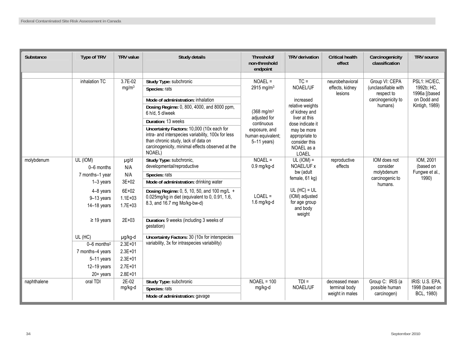| Substance   | Type of TRV                                                                                                                                                                                                | <b>TRV</b> value                                                                                                                                 | Study details                                                                                                                                                                                                                                                                                                                                                                                                           | Threshold/<br>non-threshold<br>endpoint                                                                                                            | <b>TRV</b> derivation                                                                                                                                                     | <b>Critical health</b><br>effect                   | Carcinogenicity<br>classification                                                     | <b>TRV source</b>                                                            |
|-------------|------------------------------------------------------------------------------------------------------------------------------------------------------------------------------------------------------------|--------------------------------------------------------------------------------------------------------------------------------------------------|-------------------------------------------------------------------------------------------------------------------------------------------------------------------------------------------------------------------------------------------------------------------------------------------------------------------------------------------------------------------------------------------------------------------------|----------------------------------------------------------------------------------------------------------------------------------------------------|---------------------------------------------------------------------------------------------------------------------------------------------------------------------------|----------------------------------------------------|---------------------------------------------------------------------------------------|------------------------------------------------------------------------------|
|             | inhalation TC                                                                                                                                                                                              | $3.7E-02$<br>mg/m <sup>3</sup>                                                                                                                   | Study Type: subchronic<br>Species: rats<br>Mode of administration: inhalation<br>Dosing Regime: 0, 800, 4000, and 8000 ppm,<br>6 h/d, 5 d/week<br>Duration: 13 weeks<br>Uncertainty Factors: 10,000 (10x each for<br>intra- and interspecies variability, 100x for less<br>than chronic study, lack of data on<br>carcinogenicity, minimal effects observed at the                                                      | $NOAEL =$<br>2915 mg/m <sup>3</sup><br>$(368 \text{ mg/m}^3)$<br>adjusted for<br>continuous<br>exposure, and<br>human equivalent;<br>$5-11$ years) | $TC =$<br>NOAEL/UF<br>increased<br>relative weights<br>of kidney and<br>liver at this<br>dose indicate it<br>may be more<br>appropriate to<br>consider this<br>NOAEL as a | neurobehavioral<br>effects, kidney<br>lesions      | Group VI: CEPA<br>(unclassifiable with<br>respect to<br>carcinogenicity to<br>humans) | PSL1: HC/EC,<br>1992b; HC,<br>1996a [(based<br>on Dodd and<br>Kintigh, 1989) |
| molybdenum  | UL (IOM)<br>0-6 months<br>7 months-1 year<br>1-3 years<br>4-8 years<br>9-13 years<br>14-18 years<br>$\geq$ 19 years<br>UL (HC)<br>$0-6$ months <sup><math>‡</math></sup><br>7 months-4 years<br>5-11 years | $\mu$ g/d<br>N/A<br>N/A<br>$3E + 02$<br>6E+02<br>$1.1E + 03$<br>$1.7E + 03$<br>$2E + 03$<br>µg/kg-d<br>$2.3E + 01$<br>$2.3E + 01$<br>$2.3E + 01$ | NOAEL)<br>Study Type: subchronic,<br>developmental/reproductive<br>Species: rats<br>Mode of administration: drinking water<br>Dosing Regime: 0, 5, 10, 50, and 100 mg/L +<br>0.025mg/kg in diet (equivalent to 0, 0.91, 1.6,<br>8.3, and 16.7 mg Mo/kg-bw-d)<br>Duration: 9 weeks (including 3 weeks of<br>gestation)<br>Uncertainty Factors: 30 (10x for interspecies<br>variability, 3x for intraspecies variability) | $NOAEL =$<br>$0.9$ mg/kg-d<br>$LOAEL =$<br>$1.6$ mg/kg-d                                                                                           | <b>LOAEL</b><br>$UL (IOM) =$<br>NOAEL/UF x<br>bw (adult<br>female, 61 kg)<br>$UL(HC) = UL$<br>(IOM) adjusted<br>for age group<br>and body<br>weight                       | reproductive<br>effects                            | IOM does not<br>consider<br>molybdenum<br>carcinogenic to<br>humans.                  | <b>IOM, 2001</b><br>(based on<br>Fungwe et al.,<br>1990)                     |
|             | 12-19 years<br>$20+$ years                                                                                                                                                                                 | $2.7E + 01$<br>$2.8E + 01$                                                                                                                       |                                                                                                                                                                                                                                                                                                                                                                                                                         |                                                                                                                                                    |                                                                                                                                                                           |                                                    |                                                                                       |                                                                              |
| naphthalene | oral TDI                                                                                                                                                                                                   | 2E-02<br>mg/kg-d                                                                                                                                 | Study Type: subchronic<br>Species: rats<br>Mode of administration: gavage                                                                                                                                                                                                                                                                                                                                               | $NOAEL = 100$<br>mg/kg-d                                                                                                                           | $TDI =$<br>NOAEL/UF                                                                                                                                                       | decreased mean<br>terminal body<br>weight in males | Group C: IRIS (a<br>possible human<br>carcinogen)                                     | IRIS: U.S. EPA,<br>1998 (based on<br>BCL, 1980)                              |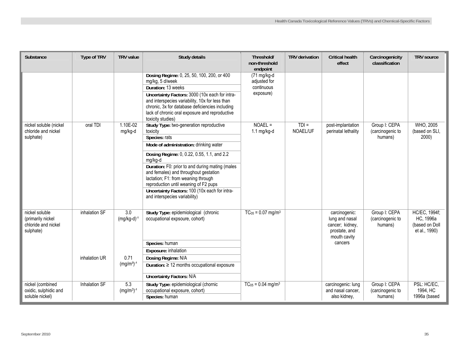| Substance                                                               | Type of TRV                    | <b>TRV</b> value                                   | Study details                                                                                                                                                                                                                                                                                                                                                                                                                         | Threshold/<br>non-threshold<br>endpoint                           | <b>TRV</b> derivation | <b>Critical health</b><br>effect                                                               | Carcinogenicity<br>classification            | <b>TRV source</b>                                             |
|-------------------------------------------------------------------------|--------------------------------|----------------------------------------------------|---------------------------------------------------------------------------------------------------------------------------------------------------------------------------------------------------------------------------------------------------------------------------------------------------------------------------------------------------------------------------------------------------------------------------------------|-------------------------------------------------------------------|-----------------------|------------------------------------------------------------------------------------------------|----------------------------------------------|---------------------------------------------------------------|
|                                                                         |                                |                                                    | Dosing Regime: 0, 25, 50, 100, 200, or 400<br>mg/kg, 5 d/week<br>Duration: 13 weeks<br>Uncertainty Factors: 3000 (10x each for intra-<br>and interspecies variability, 10x for less than<br>chronic, 3x for database deficiencies including<br>lack of chronic oral exposure and reproductive<br>toxicity studies)                                                                                                                    | $(71 \text{ mg/kg-d})$<br>adjusted for<br>continuous<br>exposure) |                       |                                                                                                |                                              |                                                               |
| nickel soluble (nickel<br>chloride and nickel<br>sulphate)              | oral TDI                       | $1.10E-02$<br>mg/kg-d                              | Study Type: two-generation reproductive<br>toxicity<br>Species: rats<br>Mode of administration: drinking water<br>Dosing Regime: 0, 0.22, 0.55, 1.1, and 2.2<br>mg/kg-d<br>Duration: F0: prior to and during mating (males<br>and females) and throughout gestation<br>lactation; F1: from weaning through<br>reproduction until weaning of F2 pups<br>Uncertainty Factors: 100 (10x each for intra-<br>and interspecies variability) | $NOAEL =$<br>$1.1$ mg/kg-d                                        | $TDI =$<br>NOAEL/UF   | post-implantation<br>perinatal lethality                                                       | Group I: CEPA<br>(carcinogenic to<br>humans) | <b>WHO, 2005</b><br>(based on SLI,<br>2000)                   |
| nickel soluble<br>(primarily nickel<br>chloride and nickel<br>sulphate) | inhalation SF<br>inhalation UR | 3.0<br>$(mg/kg-d)^{-1}$<br>0.71<br>$(mg/m^3)^{-1}$ | Study Type: epidemiological (chronic<br>occupational expsoure, cohort)<br>Species: human<br>Exposure: inhalation<br>Dosing Regime: N/A<br>Duration: $\geq 12$ months occupational exposure<br><b>Uncertainty Factors: N/A</b>                                                                                                                                                                                                         | $TC_{05} = 0.07$ mg/m <sup>3</sup>                                |                       | carcinogenic:<br>lung and nasal<br>cancer; kidney,<br>prostate, and<br>mouth cavity<br>cancers | Group I: CEPA<br>(carcinogenic to<br>humans) | HC/EC, 1994f;<br>HC, 1996a<br>(based on Doll<br>et al., 1990) |
| nickel (combined<br>oxidic, sulphidic and<br>soluble nickel)            | Inhalation SF                  | $\overline{5.3}$<br>$(mg/m3)-1$                    | Study Type: epidemiological (chornic<br>occupational exposure, cohort)<br>Species: human                                                                                                                                                                                                                                                                                                                                              | $TC_{05} = 0.04$ mg/m <sup>3</sup>                                |                       | carcinogenic: lung<br>and nasal cancer,<br>also kidney,                                        | Group I: CEPA<br>(carcinogenic to<br>humans) | PSL: HC/EC,<br>1994, HC<br>1996a (based                       |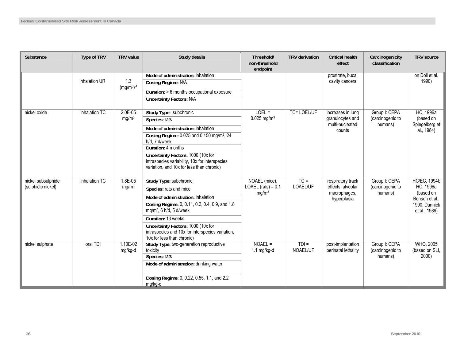| Substance          | Type of TRV   | <b>TRV</b> value  | Study details                                                                                                                     | Threshold/<br>non-threshold<br>endpoint     | <b>TRV</b> derivation | <b>Critical health</b><br>effect    | Carcinogenicity<br>classification | <b>TRV</b> source              |
|--------------------|---------------|-------------------|-----------------------------------------------------------------------------------------------------------------------------------|---------------------------------------------|-----------------------|-------------------------------------|-----------------------------------|--------------------------------|
|                    | inhalation UR | 1.3               | Mode of administration: inhalation                                                                                                |                                             |                       | prostrate, bucal<br>cavity cancers  |                                   | on Doll et al.<br>1990)        |
|                    |               | $(mg/m^3)^{-1}$   | Dosing Regime: N/A                                                                                                                |                                             |                       |                                     |                                   |                                |
|                    |               |                   | Duration: > 6 months occupational exposure                                                                                        |                                             |                       |                                     |                                   |                                |
|                    |               |                   | <b>Uncertainty Factors: N/A</b>                                                                                                   |                                             |                       |                                     |                                   |                                |
| nickel oxide       | inhalation TC | 2.0E-05           | Study Type: subchronic                                                                                                            | $LOEL =$                                    | TC=LOEL/UF            | increases in lung                   | Group I: CEPA                     | HC, 1996a                      |
|                    |               | mg/m <sup>3</sup> | Species: rats                                                                                                                     | $0.025$ mg/m <sup>3</sup>                   |                       | granulocytes and<br>multi-nucleated | (carcinogenic to<br>humans)       | (based on<br>Spiegelberg et    |
|                    |               |                   | Mode of administration: inhalation                                                                                                |                                             |                       | counts                              |                                   | al., 1984)                     |
|                    |               |                   | Dosing Regime: 0.025 and 0.150 mg/m <sup>3</sup> , 24<br>h/d, 7 d/week                                                            |                                             |                       |                                     |                                   |                                |
|                    |               |                   | Duration: 4 months                                                                                                                |                                             |                       |                                     |                                   |                                |
|                    |               |                   | Uncertainty Factors: 1000 (10x for<br>intraspecies variability, 10x for interspecies<br>variation, and 10x for less than chronic) |                                             |                       |                                     |                                   |                                |
| nickel subsulphide | inhalation TC | 1.8E-05           | Study Type: subchronic                                                                                                            | NOAEL (mice),                               | $TC =$                | respiratory track                   | Group I: CEPA                     | HC/EC, 1994f;                  |
| (sulphidic nickel) |               | mg/m <sup>3</sup> | Species: rats and mice                                                                                                            | $LOAEL$ (rats) = $0.1$<br>mg/m <sup>3</sup> | LOAEL/UF              | effects: alveolar                   | (carcinogenic to<br>humans)       | HC, 1996a<br>(based on         |
|                    |               |                   | Mode of administration: inhalation                                                                                                |                                             |                       | macrophages,<br>hyperplasia         |                                   | Benson et al                   |
|                    |               |                   | Dosing Regime: 0, 0.11, 0.2, 0.4, 0.9, and 1.8<br>mg/m <sup>3</sup> , 6 h/d, 5 d/week                                             |                                             |                       |                                     |                                   | 1990; Dunnick<br>et al., 1989) |
|                    |               |                   | Duration: 13 weeks                                                                                                                |                                             |                       |                                     |                                   |                                |
|                    |               |                   | Uncertainty Factors: 1000 (10x for<br>intraspecies and 10x for interspecies variation,<br>10x for less than chronic)              |                                             |                       |                                     |                                   |                                |
| nickel sulphate    | oral TDI      | 1.10E-02          | Study Type: two-generation reproductive                                                                                           | $NOAEL =$                                   | $TDI =$               | post-implantation                   | Group I: CEPA                     | <b>WHO, 2005</b>               |
|                    |               | mg/kg-d           | toxicity<br>Species: rats                                                                                                         | $1.1$ mg/kg-d                               | NOAEL/UF              | perinatal lethality                 | (carcinogenic to<br>humans)       | (based on SLI,<br>2000)        |
|                    |               |                   | Mode of administration: drinking water                                                                                            |                                             |                       |                                     |                                   |                                |
|                    |               |                   |                                                                                                                                   |                                             |                       |                                     |                                   |                                |
|                    |               |                   | Dosing Regime: 0, 0.22, 0.55, 1.1, and 2.2<br>mg/kg-d                                                                             |                                             |                       |                                     |                                   |                                |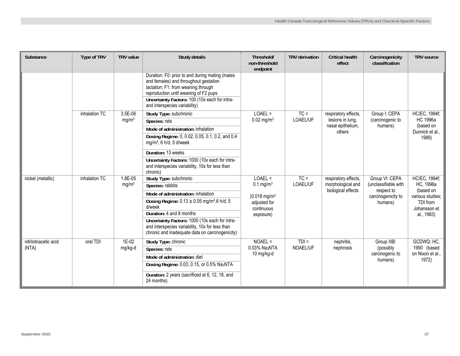| Substance                      | Type of TRV   | <b>TRV</b> value             | Study details                                                                                                                                                                                                                                                                                                                                | Threshold/<br>non-threshold<br>endpoint                                                                    | <b>TRV</b> derivation | <b>Critical health</b><br>effect                                        | Carcinogenicity<br>classification                                                     | <b>TRV</b> source                                                                                     |
|--------------------------------|---------------|------------------------------|----------------------------------------------------------------------------------------------------------------------------------------------------------------------------------------------------------------------------------------------------------------------------------------------------------------------------------------------|------------------------------------------------------------------------------------------------------------|-----------------------|-------------------------------------------------------------------------|---------------------------------------------------------------------------------------|-------------------------------------------------------------------------------------------------------|
|                                |               |                              | Duration: F0: prior to and during mating (males<br>and females) and throughout gestation<br>lactation; F1: from weaning through<br>reproduction until weaning of F2 pups<br>Uncertainty Factors: 100 (10x each for intra-<br>and interspecies variability)                                                                                   |                                                                                                            |                       |                                                                         |                                                                                       |                                                                                                       |
|                                | inhalation TC | 3.5E-06<br>mg/m <sup>3</sup> | Study Type: subchronic<br>Species: rats<br>Mode of administration: inhalation<br>Dosing Regime: 0, 0.02, 0.05, 0.1, 0.2, and 0.4<br>mg/m <sup>3</sup> , 6 h/d, 5 d/week                                                                                                                                                                      | $LOAEL =$<br>$0.02$ mg/m <sup>3</sup>                                                                      | $TC =$<br>LOAEL/UF    | respiratory effects,<br>lesions in lung,<br>nasal epithelium,<br>others | Group I: CEPA<br>(carcinogenic to<br>humans)                                          | HC/EC, 1994f;<br>HC 1996a<br>(based on<br>Dunnick et al.,<br>1989)                                    |
|                                |               |                              | Duration: 13 weeks<br>Uncertainty Factors: 1000 (10x each for intra-<br>and interspecies variability, 10x for less than<br>chronic)                                                                                                                                                                                                          |                                                                                                            |                       |                                                                         |                                                                                       |                                                                                                       |
| nickel (metallic)              | inhalation TC | 1.8E-05<br>mg/m <sup>3</sup> | Study Type: subchronic<br>Species: rabbits<br>Mode of administration: inhalation<br>Dosing Regime: $0.13 \pm 0.05$ mg/m <sup>3</sup> ,6 h/d, 5<br>d/week<br>Duration: 4 and 8 months<br>Uncertainty Factors: 1000 (10x each for intra-<br>and interspecies variability, 10x for less than<br>chronic and inadequate data on carcinogenicity) | $LOAEL =$<br>$0.1 \text{ mg/m}^3$<br>$(0.018$ mg/m <sup>3</sup><br>adjusted for<br>continuous<br>exposure) | $TC =$<br>LOAEL/UF    | respiratory effects,<br>morphological and<br>biological effects         | Group VI: CEPA<br>(unclassifiable with<br>respect to<br>carcinogenicity to<br>humans) | HC/EC, 1994f;<br>HC, 1996a<br>(based on<br>various studies;<br>TDI from<br>Johansson et<br>al., 1983) |
| nitrilotriacetic acid<br>(NTA) | oral TDI      | 1E-02<br>mg/kg-d             | Study Type: chronic<br>Species: rats<br>Mode of administration: diet<br>Dosing Regime: 0.03, 0.15, or 0.5% Na3NTA<br>Duration: 2 years (sacrificed at 6, 12, 18, and<br>24 months)                                                                                                                                                           | $NOAEL =$<br>$0.03\%$ Na <sub>3</sub> NTA<br>10 mg/kg-d                                                    | $TDI =$<br>NOAEL/UF   | nephritis,<br>nephrosis                                                 | Group IIIB:<br>(possibly<br>carcinogenic to<br>humans)                                | GCDWQ: HC,<br>1990 (based<br>on Nixon et al.,<br>1972)                                                |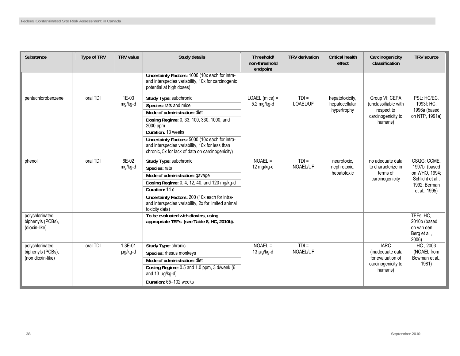| Substance                                             | Type of TRV | <b>TRV</b> value | Study details                                                                                                                                         | Threshold/<br>non-threshold<br>endpoint | <b>TRV</b> derivation | <b>Critical health</b><br>effect | Carcinogenicity<br>classification  | <b>TRV</b> source                                                |
|-------------------------------------------------------|-------------|------------------|-------------------------------------------------------------------------------------------------------------------------------------------------------|-----------------------------------------|-----------------------|----------------------------------|------------------------------------|------------------------------------------------------------------|
|                                                       |             |                  | Uncertainty Factors: 1000 (10x each for intra-<br>and interspecies variability, 10x for carcinogenic<br>potential at high doses)                      |                                         |                       |                                  |                                    |                                                                  |
| pentachlorobenzene                                    | oral TDI    | 1E-03            | Study Type: subchronic                                                                                                                                | $\overline{\text{LOAEL}}$ (mice) =      | $TDI =$               | hepatotoxicity,                  | Group VI: CEPA                     | PSL: HC/EC,                                                      |
|                                                       |             | mg/kg-d          | Species: rats and mice                                                                                                                                | 5.2 mg/kg-d                             | LOAEL/UF              | hepatocellular                   | (unclassifiable with<br>respect to | 1993f; HC,<br>1996a (based                                       |
|                                                       |             |                  | Mode of administration: diet                                                                                                                          |                                         |                       | hypertrophy                      | carcinogenicity to                 | on NTP, 1991a)                                                   |
|                                                       |             |                  | Dosing Regime: 0, 33, 100, 330, 1000, and<br>2000 ppm                                                                                                 |                                         |                       |                                  | humans)                            |                                                                  |
|                                                       |             |                  | Duration: 13 weeks                                                                                                                                    |                                         |                       |                                  |                                    |                                                                  |
|                                                       |             |                  | Uncertainty Factors: 5000 (10x each for intra-<br>and interspecies variability, 10x for less than<br>chronic, 5x for lack of data on carcinogenicity) |                                         |                       |                                  |                                    |                                                                  |
| phenol                                                | oral TDI    | 6E-02            | Study Type: subchronic                                                                                                                                | $NOAEL =$                               | $TDI =$               | neurotoxic,                      | no adequate data                   | CSQG: CCME,                                                      |
|                                                       |             | mg/kg-d          | Species: rats                                                                                                                                         | 12 mg/kg-d                              | NOAEL/UF              | nephrotoxic,                     | to characterize in                 | 1997b (based                                                     |
|                                                       |             |                  | Mode of administration: gavage                                                                                                                        |                                         |                       | hepatotoxic                      | terms of<br>carcinogenicity        | on WHO, 1994;<br>Schlicht et al.,                                |
|                                                       |             |                  | Dosing Regime: 0, 4, 12, 40, and 120 mg/kg-d                                                                                                          |                                         |                       |                                  |                                    | 1992; Berman                                                     |
|                                                       |             |                  | Duration: 14 d                                                                                                                                        |                                         |                       |                                  |                                    | et al., 1995)                                                    |
|                                                       |             |                  | Uncertainty Factors: 200 (10x each for intra-<br>and interspecies variability, 2x for limited animal<br>toxicity data)                                |                                         |                       |                                  |                                    |                                                                  |
| polychlorinated<br>biphenyls (PCBs),<br>(dioxin-like) |             |                  | To be evaluated with dioxins, using<br>appropriate TEFs (see Table 8, HC, 2010b).                                                                     |                                         |                       |                                  |                                    | TEFs: HC,<br>2010b (based<br>on van den<br>Berg et al.,<br>2006) |
| polychlorinated                                       | oral TDI    | $1.3E-01$        | Study Type: chronic                                                                                                                                   | $NOAEL =$                               | $TDI =$               |                                  | <b>IARC</b>                        | HC, 2003                                                         |
| biphenyls (PCBs),                                     |             | µg/kg-d          | Species: rhesus monkeys                                                                                                                               | 13 µg/kg-d                              | NOAEL/UF              |                                  | (inadequate data                   | (NOAEL from                                                      |
| (non dioxin-like)                                     |             |                  | Mode of administration: diet                                                                                                                          |                                         |                       |                                  | for evaluation of                  | Bowman et al.,<br>1981)                                          |
|                                                       |             |                  | Dosing Regime: 0.5 and 1.0 ppm, 3 d/week (6<br>and 13 µg/kg-d)                                                                                        |                                         |                       |                                  | carcinogenicity to<br>humans)      |                                                                  |
|                                                       |             |                  | Duration: 65-102 weeks                                                                                                                                |                                         |                       |                                  |                                    |                                                                  |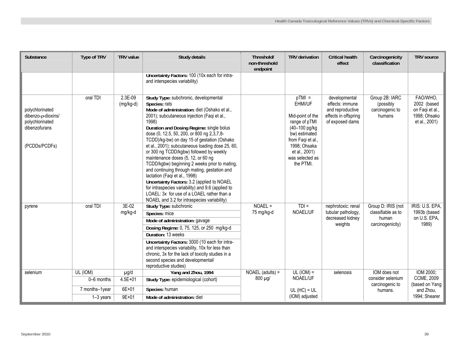| Substance                                                                                  | Type of TRV    | <b>TRV</b> value     | Study details                                                                                                                                                                                                                                                                                                                                                                                                                                                                                                                                                                                                                                                                                                                                                                     | Threshold/<br>non-threshold<br>endpoint | <b>TRV</b> derivation                                                                                                                                                            | <b>Critical health</b><br>effect                                                                | Carcinogenicity<br>classification                                     | <b>TRV source</b>                                                           |
|--------------------------------------------------------------------------------------------|----------------|----------------------|-----------------------------------------------------------------------------------------------------------------------------------------------------------------------------------------------------------------------------------------------------------------------------------------------------------------------------------------------------------------------------------------------------------------------------------------------------------------------------------------------------------------------------------------------------------------------------------------------------------------------------------------------------------------------------------------------------------------------------------------------------------------------------------|-----------------------------------------|----------------------------------------------------------------------------------------------------------------------------------------------------------------------------------|-------------------------------------------------------------------------------------------------|-----------------------------------------------------------------------|-----------------------------------------------------------------------------|
|                                                                                            |                |                      | Uncertainty Factors: 100 (10x each for intra-<br>and interspecies variability)                                                                                                                                                                                                                                                                                                                                                                                                                                                                                                                                                                                                                                                                                                    |                                         |                                                                                                                                                                                  |                                                                                                 |                                                                       |                                                                             |
| polychlorinated<br>dibenzo-p-dioxins/<br>polychlorinated<br>dibenzofurans<br>(PCDDs/PCDFs) | oral TDI       | 2.3E-09<br>(mg/kg-d) | Study Type: subchronic, developmental<br>Species: rats<br>Mode of administration: diet (Oshako et al.,<br>2001); subcutaneous injection (Faqi et al.,<br>1998)<br>Duration and Dosing Regime: single bolus<br>dose (0, 12.5, 50, 200, or 800 ng 2, 3, 7, 8-<br>TCDD)/kg-bw) on day 15 of gestation (Oshako<br>et al., 2001); subcutaneous loading dose 25, 60,<br>or 300 ng TCDD/kgbw) followed by weekly<br>maintenance doses (5, 12, or 60 ng<br>TCDD/kgbw) beginning 2 weeks prior to mating,<br>and continuing through mating, gestation and<br>lactation (Faqi et al., 1998)<br>Uncertainty Factors: 3.2 (applied to NOAEL<br>for intraspecies variability) and 9.6 (applied to<br>LOAEL: 3x for use of a LOAEL rather than a<br>NOAEL and 3.2 for intraspecies variability) |                                         | $pTMI =$<br>EHMI/UF<br>Mid-point of the<br>range of pTMI<br>(40-100 pg/kg<br>bw) estimated<br>from Faqi et al.,<br>1998; Ohsaka<br>et al., 2001)<br>was selected as<br>the PTMI. | developmental<br>effects: immune<br>and reproductive<br>effects in offspring<br>of exposed dams | Group 2B: IARC<br>(possibly<br>carcinogenic to<br>humans              | FAO/WHO,<br>2002 (based<br>on Faqi et al.,<br>1998; Ohsako<br>et al., 2001) |
| pyrene                                                                                     | oral TDI       | 3E-02<br>mg/kg-d     | Study Type: subchronic<br>Species: mice<br>Mode of administration: gavage<br>Dosing Regime: 0, 75, 125, or 250 mg/kg-d<br>Duration: 13 weeks<br>Uncertainty Factors: 3000 (10 each for intra-<br>and interspecies variability, 10x for less than<br>chronic, 3x for the lack of toxicity studies in a<br>second species and developmental/<br>reproductive studies)                                                                                                                                                                                                                                                                                                                                                                                                               | $NOAEL =$<br>75 mg/kg-d                 | $TDI =$<br>NOAEL/UF                                                                                                                                                              | nephrotoxic: renal<br>tubular pathology,<br>decreased kidney<br>weights                         | Group D: IRIS (not<br>classifiable as to<br>human<br>carcinogenicity) | IRIS: U.S. EPA,<br>1993b (based<br>on U.S. EPA,<br>1989)                    |
| selenium                                                                                   | UL (IOM)       | $\mu$ g/d            | Yang and Zhou, 1994                                                                                                                                                                                                                                                                                                                                                                                                                                                                                                                                                                                                                                                                                                                                                               | NOAEL (adults) =                        | $UL (IOM) =$                                                                                                                                                                     | selenosis                                                                                       | IOM does not                                                          | IOM 2000;                                                                   |
|                                                                                            | 0-6 months     | $4.5E + 01$          | Study Type: epidemiological (cohort)                                                                                                                                                                                                                                                                                                                                                                                                                                                                                                                                                                                                                                                                                                                                              | $800 \mu g$                             | NOAEL/UF                                                                                                                                                                         |                                                                                                 | consider selenium<br>carcinogenic to                                  | <b>CCME, 2009</b><br>(based on Yang                                         |
|                                                                                            | 7 months-1year | 6E+01                | Species: human                                                                                                                                                                                                                                                                                                                                                                                                                                                                                                                                                                                                                                                                                                                                                                    |                                         | $UL$ (HC) = $UL$                                                                                                                                                                 |                                                                                                 | humans.                                                               | and Zhou.                                                                   |
|                                                                                            | 1-3 years      | $9E + 01$            | Mode of administration: diet                                                                                                                                                                                                                                                                                                                                                                                                                                                                                                                                                                                                                                                                                                                                                      |                                         | (IOM) adjusted                                                                                                                                                                   |                                                                                                 |                                                                       | 1994; Shearer                                                               |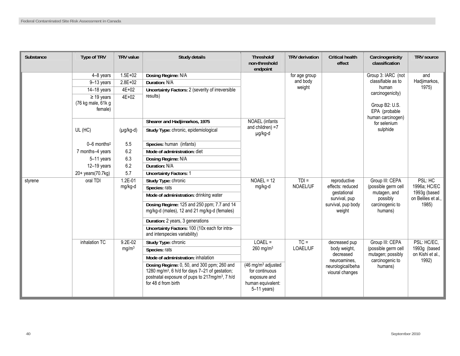| Substance | Type of TRV                                      | <b>TRV</b> value  | Study details                                                                                                                                                                                 | Threshold/<br>non-threshold<br>endpoint                                                                      | <b>TRV</b> derivation | <b>Critical health</b><br>effect     | Carcinogenicity<br>classification                    | <b>TRV source</b>                  |
|-----------|--------------------------------------------------|-------------------|-----------------------------------------------------------------------------------------------------------------------------------------------------------------------------------------------|--------------------------------------------------------------------------------------------------------------|-----------------------|--------------------------------------|------------------------------------------------------|------------------------------------|
|           | 4-8 years                                        | $1.5E + 02$       | Dosing Regime: N/A                                                                                                                                                                            |                                                                                                              | for age group         |                                      | Group 3: IARC (not                                   | and                                |
|           | 9-13 years                                       | $2.8E + 02$       | Duration: N/A                                                                                                                                                                                 |                                                                                                              | and body              |                                      | classifiable as to                                   | Hadjimarkos,                       |
|           | $14-18$ years                                    | $4E+02$           | Uncertainty Factors: 2 (severity of irreversible                                                                                                                                              |                                                                                                              | weight                |                                      | human<br>carcinogenicity)                            | 1975)                              |
|           | $\geq$ 19 years<br>(76 kg male, 61k g<br>female) | $4E + 02$         | results)                                                                                                                                                                                      |                                                                                                              |                       |                                      | Group B2: U.S.<br>EPA (probable<br>human carcinogen) |                                    |
|           |                                                  |                   | Shearer and Hadjimarkos, 1975                                                                                                                                                                 | NOAEL (infants                                                                                               |                       |                                      | for selenium                                         |                                    |
|           | UL (HC)                                          | $(\mu g/kg-d)$    | Study Type: chronic, epidemiological                                                                                                                                                          | and children) =7<br>µg/kg-d                                                                                  |                       |                                      | sulphide                                             |                                    |
|           | $0-6$ months <sup><math>‡</math></sup>           | 5.5               | Species: human (infants)                                                                                                                                                                      |                                                                                                              |                       |                                      |                                                      |                                    |
|           | 7 months-4 years                                 | 6.2               | Mode of administration: diet                                                                                                                                                                  |                                                                                                              |                       |                                      |                                                      |                                    |
|           | 5-11 years                                       | 6.3               | Dosing Regime: N/A                                                                                                                                                                            |                                                                                                              |                       |                                      |                                                      |                                    |
|           | 12-19 years                                      | 6.2               | Duration: N/A                                                                                                                                                                                 |                                                                                                              |                       |                                      |                                                      |                                    |
|           | 20+ years(70.7kg)                                | 5.7               | <b>Uncertainty Factors: 1</b>                                                                                                                                                                 |                                                                                                              |                       |                                      |                                                      |                                    |
| styrene   | oral TDI                                         | $1.2E - 01$       | Study Type: chronic                                                                                                                                                                           | $NOAEL = 12$                                                                                                 | $TDI =$               | reproductive                         | Group III: CEPA                                      | PSL: HC                            |
|           |                                                  | mg/kg-d           | Species: rats                                                                                                                                                                                 | mg/kg-d                                                                                                      | NOAEL/UF              | effects: reduced                     | (possible germ cell                                  | 1996a; HC/EC                       |
|           |                                                  |                   | Mode of administration: drinking water                                                                                                                                                        |                                                                                                              |                       | gestational<br>survival, pup         | mutagen, and<br>possibly                             | 1993g (based<br>on Beliles et al., |
|           |                                                  |                   | Dosing Regime: 125 and 250 ppm; 7.7 and 14<br>mg/kg-d (males), 12 and 21 mg/kg-d (females)                                                                                                    |                                                                                                              |                       | survival, pup body<br>weight         | carcinogenic to<br>humans)                           | 1985)                              |
|           |                                                  |                   | Duration: 2 years, 3 generations                                                                                                                                                              |                                                                                                              |                       |                                      |                                                      |                                    |
|           |                                                  |                   | Uncertainty Factors: 100 (10x each for intra-<br>and interspecies variability)                                                                                                                |                                                                                                              |                       |                                      |                                                      |                                    |
|           | inhalation TC                                    | $9.2E - 02$       | Study Type: chronic                                                                                                                                                                           | $LOAEL =$                                                                                                    | $TC =$                | decreased pup                        | Group III: CEPA                                      | PSL: HC/EC,                        |
|           |                                                  | mg/m <sup>3</sup> | Species: rats                                                                                                                                                                                 | $260 \text{ mg/m}^3$                                                                                         | LOAEL/UF              | body weight.                         | (possible germ cell                                  | 1993g (based                       |
|           |                                                  |                   | Mode of administration: inhalation                                                                                                                                                            |                                                                                                              |                       | decreased<br>neuroamines.            | mutagen; possibly<br>carcinogenic to                 | on Kishi et al.,<br>1992)          |
|           |                                                  |                   | Dosing Regime: 0, 50, and 300 ppm; 260 and<br>1280 mg/m <sup>3</sup> , 6 h/d for days 7-21 of gestation;<br>postnatal exposure of pups to 217mg/m <sup>3</sup> , 7 h/d<br>for 48 d from birth | $(46 \text{ mg/m}^3 \text{ adjusted})$<br>for continuous<br>exposure and<br>human equivalent:<br>5-11 years) |                       | neurological/beha<br>vioural changes | humans)                                              |                                    |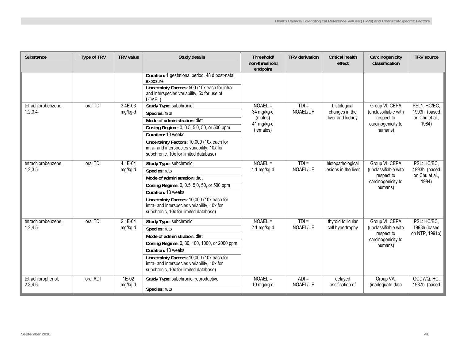| Substance                          | Type of TRV | <b>TRV</b> value   | Study details                                                                                                                                                                                                                                                                       | Threshold/<br>non-threshold<br>endpoint                       | <b>TRV</b> derivation | <b>Critical health</b><br>effect                   | Carcinogenicity<br>classification                                                     | <b>TRV</b> source                                       |
|------------------------------------|-------------|--------------------|-------------------------------------------------------------------------------------------------------------------------------------------------------------------------------------------------------------------------------------------------------------------------------------|---------------------------------------------------------------|-----------------------|----------------------------------------------------|---------------------------------------------------------------------------------------|---------------------------------------------------------|
|                                    |             |                    | Duration: 1 gestational period, 48 d post-natal<br>exposure<br>Uncertainty Factors: 500 (10x each for intra-<br>and interspecies variability, 5x for use of<br>LOAEL)                                                                                                               |                                                               |                       |                                                    |                                                                                       |                                                         |
| tetrachlorobenzene.<br>$1,2,3,4-$  | oral TDI    | 3.4E-03<br>mg/kg-d | Study Type: subchronic<br>Species: rats<br>Mode of administration: diet<br>Dosing Regime: 0, 0.5, 5.0, 50, or 500 ppm<br>Duration: 13 weeks<br>Uncertainty Factors: 10,000 (10x each for<br>intra- and interspecies variability, 10x for<br>subchronic, 10x for limited database)   | $NOAEL =$<br>34 mg/kg-d<br>(males)<br>41 mg/kg-d<br>(females) | $TDI =$<br>NOAEL/UF   | histological<br>changes in the<br>liver and kidney | Group VI: CEPA<br>(unclassifiable with<br>respect to<br>carcinogenicity to<br>humans) | PSL1: HC/EC,<br>1993h (based<br>on Chu et al.,<br>1984) |
| tetrachlorobenzene,<br>$1,2,3,5$ - | oral TDI    | 4.1E-04<br>mg/kg-d | Study Type: subchronic<br>Species: rats<br>Mode of administration: diet<br>Dosing Regime: 0, 0.5, 5.0, 50, or 500 ppm<br>Duration: 13 weeks<br>Uncertainty Factors: 10,000 (10x each for<br>intra- and interspecies variability, 10x for<br>subchronic, 10x for limited database)   | $NOAEL =$<br>$4.1$ mg/kg-d                                    | $TDI =$<br>NOAEL/UF   | histopathological<br>lesions in the liver          | Group VI: CEPA<br>(unclassifiable with<br>respect to<br>carcinogenicity to<br>humans) | PSL: HC/EC,<br>1993h (based<br>on Chu et al.,<br>1984)  |
| tetrachlorobenzene.<br>$1,2,4,5$ - | oral TDI    | 2.1E-04<br>mg/kg-d | Study Type: subchronic<br>Species: rats<br>Mode of administration: diet<br>Dosing Regime: 0, 30, 100, 1000, or 2000 ppm<br>Duration: 13 weeks<br>Uncertainty Factors: 10,000 (10x each for<br>intra- and interspecies variability, 10x for<br>subchronic, 10x for limited database) | $NOAEL =$<br>$2.1 \text{ mg/kg-d}$                            | $TDI =$<br>NOAEL/UF   | thyroid follicular<br>cell hypertrophy             | Group VI: CEPA<br>(unclassifiable with<br>respect to<br>carcinogenicity to<br>humans) | PSL: HC/EC.<br>1993h (based<br>on NTP, 1991b)           |
| tetrachlorophenol,<br>$2,3,4,6-$   | oral ADI    | 1E-02<br>mg/kg-d   | Study Type: subchronic, reproductive<br>Species: rats                                                                                                                                                                                                                               | $NOAEL =$<br>10 mg/kg-d                                       | $ADI =$<br>NOAEL/UF   | delayed<br>ossification of                         | Group VA:<br>(inadequate data                                                         | GCDWQ: HC,<br>1987b (based                              |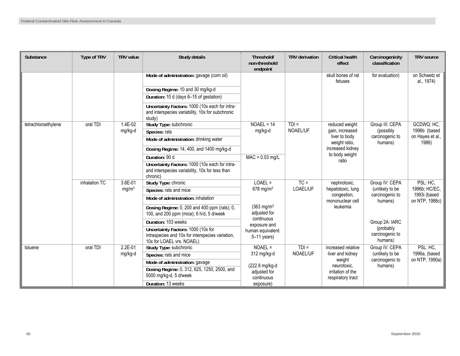| Substance           | Type of TRV   | <b>TRV</b> value                                                                         | Study details                                                                                                       | Threshold/<br>non-threshold<br>endpoint | <b>TRV</b> derivation | <b>Critical health</b><br>effect       | Carcinogenicity<br>classification       | <b>TRV</b> source              |
|---------------------|---------------|------------------------------------------------------------------------------------------|---------------------------------------------------------------------------------------------------------------------|-----------------------------------------|-----------------------|----------------------------------------|-----------------------------------------|--------------------------------|
|                     |               |                                                                                          | Mode of administration: gavage (corn oil)                                                                           |                                         |                       | skull bones of rat<br>fetuses          | for evaluation)                         | on Schwetz et<br>al., 1974)    |
|                     |               |                                                                                          | Dosing Regime: 10 and 30 mg/kg-d                                                                                    |                                         |                       |                                        |                                         |                                |
|                     |               |                                                                                          | Duration: 10 d (days 6-15 of gestation)                                                                             |                                         |                       |                                        |                                         |                                |
|                     |               |                                                                                          | Uncertainty Factors: 1000 (10x each for intra-<br>and interspecies variability, 10x for subchronic<br>study)        |                                         |                       |                                        |                                         |                                |
| tetrachloroethylene | oral TDI      | 1.4E-02                                                                                  | Study Type: subchronic                                                                                              | $NOAEL = 14$                            | $TDI =$               | reduced weight                         | Group III: CEPA                         | GCDWQ: HC,                     |
|                     |               | mg/kg-d                                                                                  | Species: rats                                                                                                       | mg/kg-d                                 | NOAEL/UF              | gain, increased                        | (possibly)                              | 1996b (based                   |
|                     |               |                                                                                          | Mode of administration: drinking water                                                                              |                                         |                       | liver to body<br>weight ratio,         | carcinogenic to<br>humans)              | on Hayes et al.,<br>1986)      |
|                     |               |                                                                                          | Dosing Regime: 14, 400, and 1400 mg/kg-d                                                                            |                                         |                       | increased kidney                       |                                         |                                |
|                     |               |                                                                                          | Duration: 90 d                                                                                                      | $MAC = 0.03$ mg/L                       |                       | to body weight<br>ratio                |                                         |                                |
|                     |               |                                                                                          | Uncertainty Factors: 1000 (10x each for intra-<br>and interspecies variability, 10x for less than<br>chronic)       |                                         |                       |                                        |                                         |                                |
|                     | inhalation TC | 3.6E-01                                                                                  | Study Type: chronic                                                                                                 | $LOAEL =$<br>678 mg/m $3$               | $TC =$                | nephrotoxic,                           | Group IV: CEPA                          | PSL: HC,                       |
|                     |               | mg/m <sup>3</sup>                                                                        | Species: rats and mice                                                                                              |                                         | LOAEL/UF              | hepatotoxic, lung                      | (unlikely to be                         | 1996b; HC/EC,                  |
|                     |               |                                                                                          | Mode of administration: inhalation                                                                                  |                                         |                       | congestion,<br>mononuclear cell        | carcinogenic to<br>humans)              | 1993i (based<br>on NTP, 1986c) |
|                     |               | Dosing Regime: 0, 200 and 400 ppm (rats); 0,<br>100, and 200 ppm (mice); 6 h/d, 5 d/week | $(363 \text{ mg/m}^3)$<br>adjusted for                                                                              |                                         | leukemia              |                                        |                                         |                                |
|                     |               |                                                                                          | Duration: 103 weeks                                                                                                 | continuous<br>exposure and              |                       |                                        | Group 2A: IARC                          |                                |
|                     |               |                                                                                          | Uncertainty Factors: 1000 (10x for<br>intraspecies and 10x for interspecies variation,<br>10x for LOAEL vrs. NOAEL) | human equivalent:<br>$5-11$ years)      |                       |                                        | (probably<br>carcinogenic to<br>humans) |                                |
| toluene             | oral TDI      | 2.2E-01                                                                                  | Study Type: subchronic                                                                                              | $NOAEL =$                               | $TDI =$               | increased relative                     | Group IV: CEPA                          | PSL: HC.                       |
|                     |               | mg/kg-d                                                                                  | Species: rats and mice                                                                                              | 312 mg/kg-d                             | NOAEL/UF              | liver and kidney                       | (unlikely to be                         | 1996a, (based                  |
|                     |               |                                                                                          | Mode of administration: gavage                                                                                      | (222.8 mg/kg-d                          |                       | weight<br>neurotoxic,                  | carcinogenic to<br>humans)              | on NTP, 1990a)                 |
|                     |               |                                                                                          | Dosing Regime: 0, 312, 625, 1250, 2500, and<br>5000 mg/kg-d, 5 d/week                                               | adjusted for<br>continuous              |                       | irritation of the<br>respiratory tract |                                         |                                |
|                     |               |                                                                                          | Duration: 13 weeks                                                                                                  | exposure)                               |                       |                                        |                                         |                                |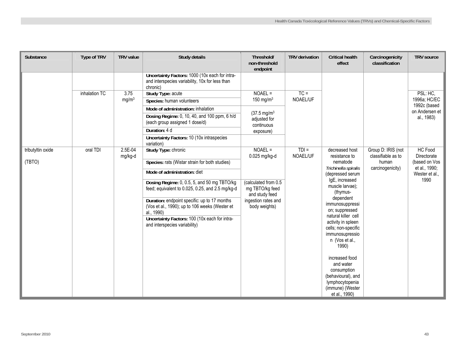| Substance         | Type of TRV           | <b>TRV</b> value  | Study details                                                                                                 | Threshold/<br>non-threshold<br>endpoint                                                            | <b>TRV</b> derivation | <b>Critical health</b><br>effect                                                                               | Carcinogenicity<br>classification        | <b>TRV</b> source                       |               |
|-------------------|-----------------------|-------------------|---------------------------------------------------------------------------------------------------------------|----------------------------------------------------------------------------------------------------|-----------------------|----------------------------------------------------------------------------------------------------------------|------------------------------------------|-----------------------------------------|---------------|
|                   |                       |                   | Uncertainty Factors: 1000 (10x each for intra-<br>and interspecies variability, 10x for less than<br>chronic) |                                                                                                    |                       |                                                                                                                |                                          |                                         |               |
|                   | inhalation TC         | 3.75              | Study Type: acute                                                                                             | $NOAEL =$                                                                                          | $TC =$                |                                                                                                                |                                          | PSL: HC,                                |               |
|                   |                       | mg/m <sup>3</sup> | Species: human volunteers                                                                                     | 150 mg/m $3$                                                                                       | NOAEL/UF              |                                                                                                                |                                          | 1996a; HC/EC<br>1992c (based            |               |
|                   |                       |                   | Mode of administration: inhalation                                                                            | $(37.5 \text{ mg/m}^3)$                                                                            |                       |                                                                                                                |                                          | on Andersen et                          |               |
|                   |                       |                   | Dosing Regime: 0, 10, 40, and 100 ppm, 6 h/d<br>(each group assigned 1 dose/d)                                | adjusted for<br>continuous                                                                         |                       |                                                                                                                |                                          | al., 1983)                              |               |
|                   |                       |                   | Duration: 4 d                                                                                                 | exposure)                                                                                          |                       |                                                                                                                |                                          |                                         |               |
|                   |                       |                   | Uncertainty Factors: 10 (10x intraspecies<br>variation)                                                       |                                                                                                    |                       |                                                                                                                |                                          |                                         |               |
| tributyltin oxide | oral TDI<br>$2.5E-04$ | mg/kg-d           | Study Type: chronic                                                                                           | $NOAEL =$<br>0.025 mg/kg-d                                                                         | $TDI =$<br>NOAEL/UF   | decreased host<br>resistance to                                                                                | Group D: IRIS (not<br>classifiable as to | HC Food<br>Directorate                  |               |
| (TBTO)            |                       |                   | Species: rats (Wistar strain for both studies)                                                                | (calculated from 0.5)<br>mg TBTO/kg feed<br>and study feed<br>ingestion rates and<br>body weights) |                       |                                                                                                                | nematode                                 | human                                   | (based on Vos |
|                   |                       |                   | Mode of administration: diet                                                                                  |                                                                                                    |                       | Trichinella spiralis<br>(depressed serum                                                                       | carcinogenicity)                         | et al., 1990;<br>Wester et al.,<br>1990 |               |
|                   |                       |                   | Dosing Regime: 0, 0.5, 5, and 50 mg TBTO/kg<br>feed; equivalent to 0.025, 0.25, and 2.5 mg/kg-d               |                                                                                                    |                       | IgE, increased<br>muscle larvae);<br>(thymus-                                                                  |                                          |                                         |               |
|                   |                       |                   | Duration: endpoint specific: up to 17 months<br>(Vos et al., 1990); up to 106 weeks (Wester et<br>al., 1990)  |                                                                                                    |                       | dependent<br>immunosuppressi<br>on; suppressed                                                                 |                                          |                                         |               |
|                   |                       |                   | Uncertainty Factors: 100 (10x each for intra-<br>and interspecies variability)                                |                                                                                                    |                       | natural killer cell<br>activity in spleen<br>cells; non-specific<br>immunosupressio<br>n (Vos et al.,<br>1990) |                                          |                                         |               |
|                   |                       |                   |                                                                                                               |                                                                                                    |                       | increased food<br>and water<br>consumption<br>(behavioural), and<br>lymphocytopenia<br>(immune) (Wester        |                                          |                                         |               |
|                   |                       |                   |                                                                                                               |                                                                                                    |                       | et al., 1990)                                                                                                  |                                          |                                         |               |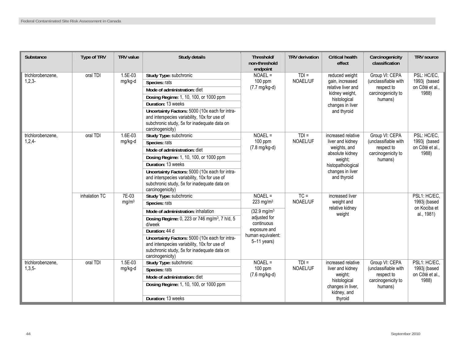| Substance         | Type of TRV   | <b>TRV</b> value           | Study details                                                                                                                                                     | Threshold/<br>non-threshold<br>endpoint | <b>TRV</b> derivation | <b>Critical health</b><br>effect                                                                                                             | Carcinogenicity<br>classification                                                     | <b>TRV</b> source                                          |
|-------------------|---------------|----------------------------|-------------------------------------------------------------------------------------------------------------------------------------------------------------------|-----------------------------------------|-----------------------|----------------------------------------------------------------------------------------------------------------------------------------------|---------------------------------------------------------------------------------------|------------------------------------------------------------|
| trichlorobenzene, | oral TDI      | 1.5E-03                    | Study Type: subchronic                                                                                                                                            | $NOAEL =$<br>$100$ ppm                  | $TDI =$<br>NOAEL/UF   | reduced weight                                                                                                                               | Group VI: CEPA<br>(unclassifiable with<br>respect to<br>carcinogenicity to            | PSL: HC/EC,                                                |
| $1,2,3-$          |               | mg/kg-d                    | Species: rats                                                                                                                                                     |                                         |                       | gain, increased                                                                                                                              |                                                                                       | 1993j (based                                               |
|                   |               |                            | Mode of administration: diet                                                                                                                                      | $(7.7 \text{ mg/kg-d})$                 |                       | relative liver and<br>kidney weight,                                                                                                         |                                                                                       | on Côté et al.,<br>1988)                                   |
|                   |               |                            | Dosing Regime: 1, 10, 100, or 1000 ppm                                                                                                                            |                                         |                       | histological                                                                                                                                 | humans)                                                                               |                                                            |
|                   |               |                            | Duration: 13 weeks                                                                                                                                                |                                         |                       | changes in liver                                                                                                                             |                                                                                       |                                                            |
|                   |               |                            | Uncertainty Factors: 5000 (10x each for intra-<br>and interspecies variability, 10x for use of<br>subchronic study, 5x for inadequate data on<br>carcinogenicity) |                                         |                       | and thyroid                                                                                                                                  |                                                                                       |                                                            |
| trichlorobenzene, | oral TDI      | 1.6E-03                    | Study Type: subchronic                                                                                                                                            | NOAEL =                                 | $TDI =$<br>NOAEL/UF   | increased relative<br>liver and kidney<br>weights, and<br>absolute kidney<br>weight;<br>histopathological<br>changes in liver<br>and thyroid | Group VI: CEPA<br>(unclassifiable with<br>respect to<br>carcinogenicity to<br>humans) | PSL: HC/EC,<br>1993j (based<br>on Côté et al.,<br>1988)    |
| 1,2,4             |               | mg/kg-d                    | Species: rats                                                                                                                                                     | $100$ ppm<br>$(7.8 \text{ mg/kg-d})$    |                       |                                                                                                                                              |                                                                                       |                                                            |
|                   |               |                            | Mode of administration: diet                                                                                                                                      |                                         |                       |                                                                                                                                              |                                                                                       |                                                            |
|                   |               |                            | Dosing Regime: 1, 10, 100, or 1000 ppm                                                                                                                            |                                         |                       |                                                                                                                                              |                                                                                       |                                                            |
|                   |               |                            | Duration: 13 weeks                                                                                                                                                |                                         |                       |                                                                                                                                              |                                                                                       |                                                            |
|                   |               |                            | Uncertainty Factors: 5000 (10x each for intra-<br>and interspecies variability, 10x for use of<br>subchronic study, 5x for inadequate data on<br>carcinogenicity) |                                         |                       |                                                                                                                                              |                                                                                       |                                                            |
|                   | inhalation TC | 7E-03<br>mg/m <sup>3</sup> | Study Type: subchronic                                                                                                                                            | $NOAEL =$<br>223 mg/m $3$               | $TC =$<br>NOAEL/UF    | increased liver<br>weight and<br>relative kidney<br>weight                                                                                   |                                                                                       | PSL1: HC/EC,<br>1993j (based<br>on Kociba et<br>al., 1981) |
|                   |               |                            | Species: rats                                                                                                                                                     |                                         |                       |                                                                                                                                              |                                                                                       |                                                            |
|                   |               |                            | Mode of administration: inhalation                                                                                                                                | $(32.9 \text{ mg/m}^3)$                 |                       |                                                                                                                                              |                                                                                       |                                                            |
|                   |               |                            | Dosing Regime: 0, 223 or 746 mg/m <sup>3</sup> , 7 h/d, 5<br>d/week                                                                                               | adjusted for<br>continuous              |                       |                                                                                                                                              |                                                                                       |                                                            |
|                   |               |                            | Duration: 44 d                                                                                                                                                    | exposure and                            |                       |                                                                                                                                              |                                                                                       |                                                            |
|                   |               |                            | Uncertainty Factors: 5000 (10x each for intra-<br>and interspecies variability, 10x for use of<br>subchronic study, 5x for inadequate data on<br>carcinogenicity) | human equivalent:<br>$5-11$ years)      |                       |                                                                                                                                              |                                                                                       |                                                            |
| trichlorobenzene. | oral TDI      | $1.5E-03$                  | Study Type: subchronic                                                                                                                                            | $NOAEL =$                               | $TDI =$               | increased relative                                                                                                                           | Group VI: CEPA                                                                        | PSL1: HC/EC.                                               |
| $1,3,5-$          |               | mg/kg-d                    | Species: rats                                                                                                                                                     | $100$ ppm                               | NOAEL/UF              | liver and kidney<br>weight;<br>histological<br>changes in liver,<br>kidney, and                                                              | (unclassifiable with                                                                  | 1993j (based                                               |
|                   |               |                            | Mode of administration: diet                                                                                                                                      | $(7.6 \text{ mg/kg-d})$                 |                       |                                                                                                                                              | respect to<br>carcinogenicity to                                                      | on Côté et al.,<br>1988)                                   |
|                   |               |                            | Dosing Regime: 1, 10, 100, or 1000 ppm                                                                                                                            |                                         |                       |                                                                                                                                              | humans)                                                                               |                                                            |
|                   |               |                            | Duration: 13 weeks                                                                                                                                                |                                         |                       | thyroid                                                                                                                                      |                                                                                       |                                                            |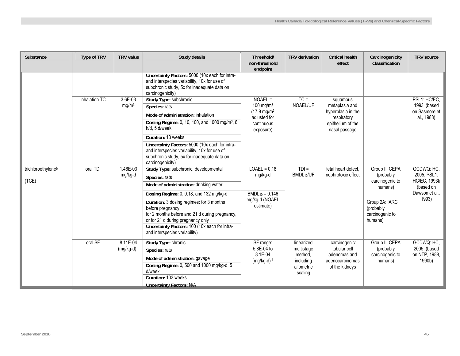| Substance                      | Type of TRV   | <b>TRV</b> value    | Study details                                                                                                                                                                                                                          | Threshold/<br>non-threshold<br>endpoint | <b>TRV</b> derivation             | <b>Critical health</b><br>effect          | Carcinogenicity<br>classification                                                                                      | <b>TRV</b> source                                                                        |
|--------------------------------|---------------|---------------------|----------------------------------------------------------------------------------------------------------------------------------------------------------------------------------------------------------------------------------------|-----------------------------------------|-----------------------------------|-------------------------------------------|------------------------------------------------------------------------------------------------------------------------|------------------------------------------------------------------------------------------|
|                                |               |                     | Uncertainty Factors: 5000 (10x each for intra-<br>and interspecies variability, 10x for use of<br>subchronic study, 5x for inadequate data on<br>carcinogenicity)                                                                      |                                         |                                   |                                           |                                                                                                                        |                                                                                          |
|                                | inhalation TC | 3.6E-03             | Study Type: subchronic                                                                                                                                                                                                                 | $NOAEL =$                               | $TC =$                            | squamous                                  |                                                                                                                        | PSL1: HC/EC,                                                                             |
|                                |               | mg/m <sup>3</sup>   | Species: rats                                                                                                                                                                                                                          | 100 mg/m $3$                            | NOAEL/UF                          | metaplasia and<br>hyperplasia in the      |                                                                                                                        | 1993j (based<br>on Sasmore et                                                            |
|                                |               |                     | Mode of administration: inhalation                                                                                                                                                                                                     | $(17.9 \text{ mg/m}^3)$<br>adjusted for |                                   | respiratory                               |                                                                                                                        | al., 1988)                                                                               |
|                                |               |                     | Dosing Regime: 0, 10, 100, and 1000 mg/m <sup>3</sup> , 6<br>h/d. 5 d/week                                                                                                                                                             | continuous<br>exposure)                 |                                   | epithelium of the<br>nasal passage        |                                                                                                                        |                                                                                          |
|                                |               |                     | Duration: 13 weeks                                                                                                                                                                                                                     |                                         |                                   |                                           |                                                                                                                        |                                                                                          |
|                                |               |                     | Uncertainty Factors: 5000 (10x each for intra-<br>and interspecies variability, 10x for use of<br>subchronic study, 5x for inadequate data on<br>carcinogenicity)                                                                      |                                         |                                   |                                           |                                                                                                                        |                                                                                          |
| trichloroethylene <sup>§</sup> | oral TDI      | 1.46E-03<br>mg/kg-d | Study Type: subchronic, developmental                                                                                                                                                                                                  | $LOAEL = 0.18$<br>mg/kg-d               | $TDI =$<br>BMDL <sub>10</sub> /UF | fetal heart defect,<br>nephrotoxic effect | Group II: CEPA<br>(probably<br>carcinogenic to<br>humans)<br>Group 2A: IARC<br>(probably<br>carcinogenic to<br>humans) | GCDWQ: HC,<br>2005; PSL1:<br><b>HC/EC, 1993k</b><br>(based on<br>Dawson et al.,<br>1993) |
| (TCE)                          |               |                     | Species: rats                                                                                                                                                                                                                          |                                         |                                   |                                           |                                                                                                                        |                                                                                          |
|                                |               |                     | Mode of administration: drinking water                                                                                                                                                                                                 |                                         |                                   |                                           |                                                                                                                        |                                                                                          |
|                                |               |                     | Dosing Regime: 0, 0.18, and 132 mg/kg-d                                                                                                                                                                                                | $BMDL_{10} = 0.146$                     |                                   |                                           |                                                                                                                        |                                                                                          |
|                                |               |                     | Duration: 3 dosing regimes: for 3 months<br>before pregnancy,<br>for 2 months before and 21 d during pregnancy,<br>or for 21 d during pregnancy only<br>Uncertainty Factors: 100 (10x each for intra-<br>and interspecies variability) | mg/kg-d (NOAEL<br>estimate)             |                                   |                                           |                                                                                                                        |                                                                                          |
|                                | oral SF       | 8.11E-04            | Study Type: chronic                                                                                                                                                                                                                    | SF range:                               | linearized                        | carcinogenic:                             | Group II: CEPA                                                                                                         | GCDWQ: HC,                                                                               |
|                                |               | $(mg/kg-d)^{-1}$    | Species: rats                                                                                                                                                                                                                          | 5.8E-04 to                              | multistage                        | tubular cell                              | (probably                                                                                                              | 2005, (based                                                                             |
|                                |               |                     | Mode of administration: gavage                                                                                                                                                                                                         | 8.1E-04<br>$(mg/kg-d)^{-1}$             | method,<br>including              | adenomas and<br>adenocarcinomas           | carcinogenic to<br>humans)                                                                                             | on NTP, 1988,<br>1990b)                                                                  |
|                                |               |                     | Dosing Regime: 0, 500 and 1000 mg/kg-d, 5<br>d/week                                                                                                                                                                                    |                                         | allometric<br>scaling             | of the kidneys                            |                                                                                                                        |                                                                                          |
|                                |               |                     | Duration: 103 weeks                                                                                                                                                                                                                    |                                         |                                   |                                           |                                                                                                                        |                                                                                          |
|                                |               |                     | <b>Uncertainty Factors: N/A</b>                                                                                                                                                                                                        |                                         |                                   |                                           |                                                                                                                        |                                                                                          |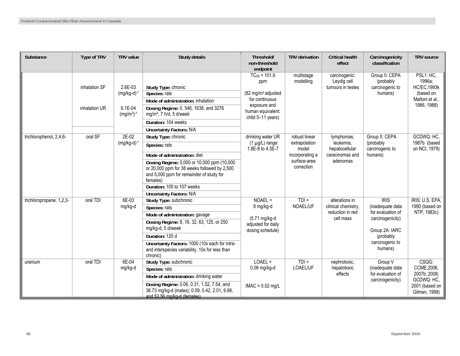| Substance                | Type of TRV                    | <b>TRV</b> value                                      | Study details                                                                                                                                                                                                                                                                               | Threshold/<br>non-threshold<br>endpoint                                                                                                       | <b>TRV</b> derivation                                                                    | <b>Critical health</b><br>effect                                         | Carcinogenicity<br>classification                                                                                              | <b>TRV</b> source                                                                        |
|--------------------------|--------------------------------|-------------------------------------------------------|---------------------------------------------------------------------------------------------------------------------------------------------------------------------------------------------------------------------------------------------------------------------------------------------|-----------------------------------------------------------------------------------------------------------------------------------------------|------------------------------------------------------------------------------------------|--------------------------------------------------------------------------|--------------------------------------------------------------------------------------------------------------------------------|------------------------------------------------------------------------------------------|
|                          | inhalation SF<br>inhalation UR | 2.6E-03<br>$(mg/kg-d)^{-1}$<br>6.1E-04<br>$(mg/m3)-1$ | Study Type: chronic<br>Species: rats<br>Mode of administration: inhalation<br>Dosing Regime: 0, 546, 1638, and 3276<br>mg/m <sup>3</sup> , 7 h/d, 5 d/week<br>Duration: 104 weeks<br><b>Uncertainty Factors: N/A</b>                                                                        | $TC_{05} = 101.9$<br>ppm<br>$(82 \text{ mg/m}^3 \text{ adjusted}$<br>for continuous<br>exposure and<br>human equivalent:<br>child 5-11 years) | multistage<br>modelling                                                                  | carcinogenic:<br>Leydig cell<br>tumours in testes                        | Group II: CEPA<br>(probably<br>carcinogenic to<br>humans)                                                                      | PSL1: HC,<br>1996a;<br><b>HC/EC,1993k</b><br>(based on<br>Maltoni et al.,<br>1986, 1988) |
| trichlorophenol, 2,4,6-  | oral SF                        | $2E-02$<br>$(mg/kg-d)^{-1}$                           | Study Type: chronic<br>Species: rats<br>Mode of administration: diet<br>Dosing Regime: 5,000 or 10,000 ppm (10,000<br>or 20,000 ppm for 38 weeks followed by 2,500<br>and 5,000 ppm for remainder of study for<br>females)<br>Duration: 105 to 107 weeks<br><b>Uncertainty Factors: N/A</b> | drinking water UR<br>$(1 \mu g/L)$ range:<br>1.8E-8 to 4.3E-7                                                                                 | robust linear<br>extrapolation<br>model<br>incorporating a<br>surface-area<br>correction | lymphomas,<br>leukemia.<br>hepatocellular<br>caracinomas and<br>adenomas | Group II: CEPA<br>(probably<br>carcinogenic to<br>humans)                                                                      | GCDWQ: HC,<br>1987b (based<br>on NCI, 1979)                                              |
| trichloropropane, 1,2,3- | oral TDI                       | 6E-03<br>mg/kg-d                                      | Study Type: subchronic<br>Species: rats<br>Mode of administration: gavage<br>Dosing Regime: 8, 16, 32, 63, 125, or 250<br>mg/kg-d, 5 d/week<br>Duration: 120 d<br>Uncertainty Factors: 1000 (10x each for intra-<br>and interspecies variability, 10x for less than<br>chronic)             | $NOAEL =$<br>8 mg/kg-d<br>(5.71 mg/kg-d<br>adjusted for daily<br>dosing schedule)                                                             | $TDI =$<br>NOAEL/UF                                                                      | alterations in<br>clinical chemistry,<br>reduction in red<br>cell mass   | IRIS<br>(inadequate data<br>for evaluation of<br>carcinogenicity)<br>Group 2A: IARC<br>(probably<br>carcinogenic to<br>humans) | IRIS: U.S. EPA,<br>1990 (based on  <br>NTP, 1983c)                                       |
| uranium                  | oral TDI                       | 6E-04<br>mg/kg-d                                      | Study Type: subchronic<br>Species: rats<br>Mode of administration: drinking water<br>Dosing Regime: 0.06, 0.31, 1.52, 7.54, and<br>36.73 mg/kg-d (males); 0.09, 0.42, 2.01, 9.98,<br>and 53.56 mg/kg-d (females)                                                                            | $LOAEL =$<br>$0.06$ mg/kg-d<br>$IMAC = 0.02$ mg/L                                                                                             | $TDI =$<br>LOAEL/UF                                                                      | nephrotoxic,<br>hepatotoxic<br>effects                                   | Group V<br>(inadequate data<br>for evaluation of<br>carcinogenicity)                                                           | CSQG:<br>CCME, 2006,<br>2007b, 2008;<br>GCDWQ: HC,<br>2001 (based on<br>Gilman, 1998)    |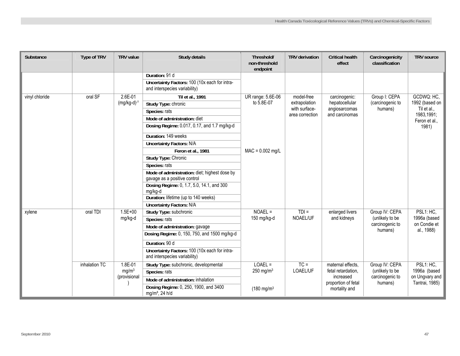| Substance      | Type of TRV   | <b>TRV</b> value       | Study details                                                                  | Threshold/<br>non-threshold<br>endpoint | <b>TRV</b> derivation            | <b>Critical health</b><br>effect     | Carcinogenicity<br>classification | <b>TRV</b> source                                       |
|----------------|---------------|------------------------|--------------------------------------------------------------------------------|-----------------------------------------|----------------------------------|--------------------------------------|-----------------------------------|---------------------------------------------------------|
|                |               |                        | Duration: 91 d                                                                 |                                         |                                  |                                      |                                   |                                                         |
|                |               |                        | Uncertainty Factors: 100 (10x each for intra-<br>and interspecies variability) |                                         |                                  |                                      |                                   |                                                         |
| vinyl chloride | oral SF       | $2.6E-01$              | Til et al., 1991                                                               | UR range: 5.6E-06                       | model-free                       | carcinogenic:                        | Group I: CEPA                     | GCDWQ: HC,                                              |
|                |               | $(mg/kg-d)^{-1}$       | Study Type: chronic                                                            | to 5.8E-07                              | extrapolation                    | hepatocellular                       | (carcinogenic to                  | 1992 (based on                                          |
|                |               |                        | Species: rats                                                                  |                                         | with surface-<br>area correction | angiosarcomas<br>and carcinomas      | humans)                           | Til et al.,<br>1983,1991;                               |
|                |               |                        | Mode of administration: diet                                                   |                                         |                                  |                                      |                                   | Feron et al.,                                           |
|                |               |                        | Dosing Regime: 0.017, 0.17, and 1.7 mg/kg-d                                    |                                         |                                  |                                      |                                   | 1981)                                                   |
|                |               |                        | Duration: 149 weeks                                                            |                                         |                                  |                                      |                                   |                                                         |
|                |               |                        | <b>Uncertainty Factors: N/A</b>                                                |                                         |                                  |                                      |                                   |                                                         |
|                |               |                        | Feron et al., 1981                                                             | $MAC = 0.002$ mg/L                      |                                  |                                      |                                   |                                                         |
|                |               |                        | Study Type: Chronic                                                            |                                         |                                  |                                      |                                   |                                                         |
|                |               |                        | Species: rats                                                                  |                                         |                                  |                                      |                                   |                                                         |
|                |               |                        | Mode of administration: diet; highest dose by                                  |                                         |                                  |                                      |                                   |                                                         |
|                |               |                        | gavage as a positive control                                                   |                                         |                                  |                                      |                                   |                                                         |
|                |               |                        | Dosing Regime: 0, 1.7, 5.0, 14.1, and 300<br>mg/kg-d                           |                                         |                                  |                                      |                                   |                                                         |
|                |               |                        | Duration: lifetime (up to 140 weeks)                                           |                                         |                                  |                                      |                                   |                                                         |
|                |               |                        | <b>Uncertainty Factors: N/A</b>                                                |                                         |                                  |                                      |                                   |                                                         |
| xylene         | oral TDI      | $1.5E + 00$<br>mg/kg-d | Study Type: subchronic                                                         | $NOAEL =$                               | $TDI =$<br>NOAEL/UF              | enlarged livers<br>and kidneys       | Group IV: CEPA<br>(unlikely to be | PSL1: HC.<br>1996a (based<br>on Condie et<br>al., 1988) |
|                |               |                        | Species: rats                                                                  | 150 mg/kg-d                             |                                  |                                      |                                   |                                                         |
|                |               |                        | Mode of administration: gavage                                                 |                                         |                                  |                                      | carcinogenic to                   |                                                         |
|                |               |                        | Dosing Regime: 0, 150, 750, and 1500 mg/kg-d                                   |                                         |                                  |                                      | humans)                           |                                                         |
|                |               |                        | Duration: 90 d                                                                 |                                         |                                  |                                      |                                   |                                                         |
|                |               |                        | Uncertainty Factors: 100 (10x each for intra-<br>and interspecies variability) |                                         |                                  |                                      |                                   |                                                         |
|                | inhalation TC | 1.8E-01                | Study Type: subchronic, developmental                                          | $LOAEL =$                               | $TC =$                           | maternal effects,                    | Group IV: CEPA                    | PSL1: HC,                                               |
|                |               | mg/m <sup>3</sup>      | Species: rats                                                                  | 250 mg/m $3$                            | LOAEL/UF                         | fetal retardation,<br>increased      | (unlikely to be                   | 1996a (based                                            |
|                |               | (provisional           | Mode of administration: inhalation                                             |                                         |                                  |                                      | carcinogenic to                   | on Ungvary and<br>Tantrai, 1985)                        |
|                |               |                        | Dosing Regime: 0, 250, 1900, and 3400<br>mg/m <sup>3</sup> , 24 h/d            | $(180 \text{ mg/m}^3)$                  |                                  | proportion of fetal<br>mortality and | humans)                           |                                                         |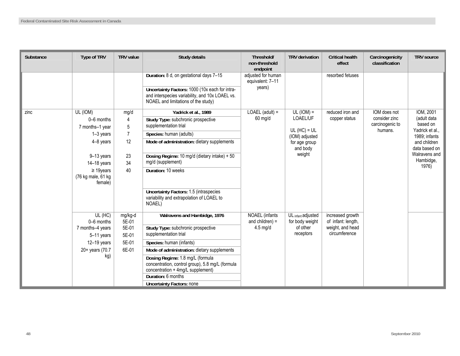| Substance | Type of TRV                                      | <b>TRV</b> value                                            | Study details                                                                                                                            | Threshold/<br>non-threshold<br>endpoint          | <b>TRV</b> derivation                 | <b>Critical health</b><br>effect       | Carcinogenicity<br>classification | <b>TRV source</b>                   |  |  |                               |
|-----------|--------------------------------------------------|-------------------------------------------------------------|------------------------------------------------------------------------------------------------------------------------------------------|--------------------------------------------------|---------------------------------------|----------------------------------------|-----------------------------------|-------------------------------------|--|--|-------------------------------|
|           |                                                  |                                                             | Duration: 8 d, on gestational days 7-15                                                                                                  | adjusted for human<br>equivalent: 7-11<br>years) |                                       | resorbed fetuses                       |                                   |                                     |  |  |                               |
|           |                                                  |                                                             | Uncertainty Factors: 1000 (10x each for intra-<br>and interspecies variability, and 10x LOAEL vs.<br>NOAEL and limitations of the study) |                                                  |                                       |                                        |                                   |                                     |  |  |                               |
| zinc      | UL (IOM)                                         | mg/d                                                        | Yadrick et al., 1989                                                                                                                     | $LOAEL$ (adult) =                                | $UL (IOM) =$                          | reduced iron and                       | IOM does not                      | <b>IOM, 2001</b>                    |  |  |                               |
|           | 0-6 months<br>4<br>5<br>7 months-1 year          | Study Type: subchronic prospective<br>supplementation trial | $60$ mg/d                                                                                                                                | LOAEL/UF                                         | copper status                         | consider zinc<br>carcinogenic to       | (adult data<br>based on           |                                     |  |  |                               |
|           | 1-3 years                                        | $\overline{7}$                                              | Species: human (adults)                                                                                                                  |                                                  | $UL(HC) = UL$<br>(IOM) adjusted       |                                        | humans.                           | Yadrick et al.,<br>1989; infants    |  |  |                               |
|           | 4-8 years                                        | 12                                                          | Mode of administration: dietary supplements                                                                                              |                                                  | for age group<br>and body<br>weight   |                                        |                                   |                                     |  |  | and children<br>data based on |
|           | 9-13 years<br>$14-18$ years                      | 23<br>34                                                    | Dosing Regime: 10 mg/d (dietary intake) + 50<br>mg/d (supplement)                                                                        |                                                  |                                       |                                        |                                   | Walravens and<br>Hambidge,<br>1976) |  |  |                               |
|           | $\geq 19$ years<br>(76 kg male, 61 kg<br>female) | 40                                                          | Duration: 10 weeks                                                                                                                       |                                                  |                                       |                                        |                                   |                                     |  |  |                               |
|           |                                                  |                                                             | <b>Uncertainty Factors: 1.5 (intraspecies)</b><br>variability and extrapolation of LOAEL to<br>NOAEL)                                    |                                                  |                                       |                                        |                                   |                                     |  |  |                               |
|           | UL(HC)<br>0-6 months                             | mg/kg-d<br>5E-01                                            | Walravens and Hambidge, 1976                                                                                                             | <b>NOAEL</b> (infants<br>and children) $=$       | UL infant adjusted<br>for body weight | increased growth<br>of infant: length, |                                   |                                     |  |  |                               |
|           | 7 months-4 years<br>5-11 years                   | 5E-01<br>5E-01                                              | Study Type: subchronic prospective<br>supplementation trial                                                                              | $4.5$ mg/d                                       | of other<br>receptors                 | weight, and head<br>circumference      |                                   |                                     |  |  |                               |
|           | $12-19$ years                                    | 5E-01                                                       | Species: human (infants)                                                                                                                 |                                                  |                                       |                                        |                                   |                                     |  |  |                               |
|           | 20+ years (70.7                                  | 6E-01                                                       | Mode of administration: dietary supplements                                                                                              |                                                  |                                       |                                        |                                   |                                     |  |  |                               |
|           | kg)                                              |                                                             | Dosing Regime: 1.8 mg/L (formula<br>concentration, control group), 5.8 mg/L (formula<br>concentration + 4mg/L supplement)                |                                                  |                                       |                                        |                                   |                                     |  |  |                               |
|           |                                                  |                                                             | Duration: 6 months<br><b>Uncertainty Factors: none</b>                                                                                   |                                                  |                                       |                                        |                                   |                                     |  |  |                               |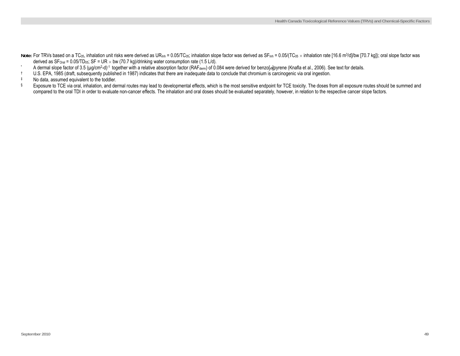- Note: For TRVs based on a TC<sub>05</sub>, inhalation unit risks were derived as UR<sub>Inh</sub> = 0.05/TC<sub>05</sub>; inhalation slope factor was derived as SF<sub>Inh</sub> = 0.05/(TC<sub>05</sub> x inhalation rate [16.6 m<sup>3</sup>/d]/bw [70.7 kg]); oral slope factor derived as  $SF<sub>Oral</sub> = 0.05/TD<sub>05</sub>$ ;  $SF = UR \times bw (70.7 kg)/drinking water consumption rate (1.5 L/d).$
- A dermal slope factor of 3.5 (µg/cm<sup>2</sup>-d)<sup>-1</sup> together with a relative absorption factor (RAF<sub>derm</sub>) of 0.084 were derived for benzo[*a*]pyrene (Knafla et al., 2006). See text for details.
- † U.S. EPA, 1985 (draft, subsequently published in 1987) indicates that there are inadequate data to conclude that chromium is carcinogenic via oral ingestion.
- <sup>‡</sup> No data, assumed equivalent to the toddler.<br>
§ Exposure to TCF via oral inhalation and de
- Exposure to TCE via oral, inhalation, and dermal routes may lead to developmental effects, which is the most sensitive endpoint for TCE toxicity. The doses from all exposure routes should be summed and compared to the oral TDI in order to evaluate non-cancer effects. The inhalation and oral doses should be evaluated separately, however, in relation to the respective cancer slope factors.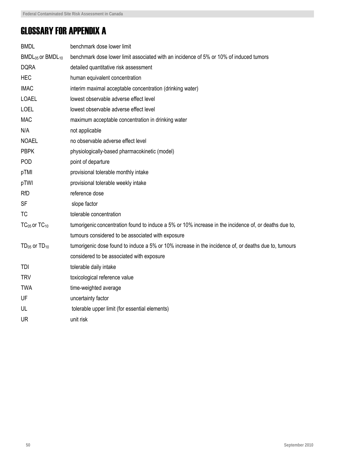# GLOSSARY FOR APPENDIX A

| <b>BMDL</b>                | benchmark dose lower limit                                                                            |
|----------------------------|-------------------------------------------------------------------------------------------------------|
| $BMDL_{05}$ or $BMDL_{10}$ | benchmark dose lower limit associated with an incidence of 5% or 10% of induced tumors                |
| <b>DQRA</b>                | detailed quantitative risk assessment                                                                 |
| HEC                        | human equivalent concentration                                                                        |
| <b>IMAC</b>                | interim maximal acceptable concentration (drinking water)                                             |
| LOAEL                      | lowest observable adverse effect level                                                                |
| <b>LOEL</b>                | lowest observable adverse effect level                                                                |
| MAC                        | maximum acceptable concentration in drinking water                                                    |
| N/A                        | not applicable                                                                                        |
| <b>NOAEL</b>               | no observable adverse effect level                                                                    |
| <b>PBPK</b>                | physiologically-based pharmacokinetic (model)                                                         |
| POD                        | point of departure                                                                                    |
| pTMI                       | provisional tolerable monthly intake                                                                  |
| pTWI                       | provisional tolerable weekly intake                                                                   |
| <b>RfD</b>                 | reference dose                                                                                        |
| SF                         | slope factor                                                                                          |
| <b>TC</b>                  | tolerable concentration                                                                               |
| $TC_{05}$ or $TC_{10}$     | tumorigenic concentration found to induce a 5% or 10% increase in the incidence of, or deaths due to, |
|                            | tumours considered to be associated with exposure                                                     |
| $TD_{05}$ or $TD_{10}$     | tumorigenic dose found to induce a 5% or 10% increase in the incidence of, or deaths due to, tumours  |
|                            | considered to be associated with exposure                                                             |
| TDI                        | tolerable daily intake                                                                                |
| <b>TRV</b>                 | toxicological reference value                                                                         |
| <b>TWA</b>                 | time-weighted average                                                                                 |
| UF                         | uncertainty factor                                                                                    |
| UL                         | tolerable upper limit (for essential elements)                                                        |
| <b>UR</b>                  | unit risk                                                                                             |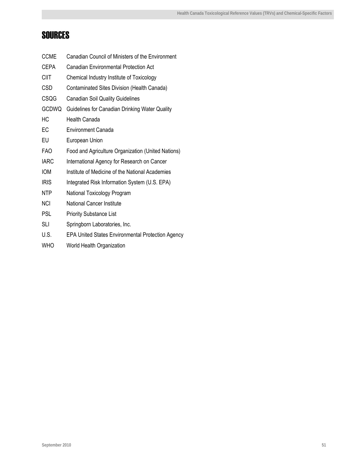## **SOURCES**

| <b>CCME</b>  | Canadian Council of Ministers of the Environment   |
|--------------|----------------------------------------------------|
| CEPA         | <b>Canadian Environmental Protection Act</b>       |
| <b>CIIT</b>  | Chemical Industry Institute of Toxicology          |
| <b>CSD</b>   | Contaminated Sites Division (Health Canada)        |
| CSQG         | <b>Canadian Soil Quality Guidelines</b>            |
| <b>GCDWQ</b> | Guidelines for Canadian Drinking Water Quality     |
| HC           | Health Canada                                      |
| EС           | <b>Environment Canada</b>                          |
| EU           | European Union                                     |
| FAO          | Food and Agriculture Organization (United Nations) |
| <b>IARC</b>  | International Agency for Research on Cancer        |
| <b>IOM</b>   | Institute of Medicine of the National Academies    |
| <b>IRIS</b>  | Integrated Risk Information System (U.S. EPA)      |
| NTP          | National Toxicology Program                        |
| <b>NCI</b>   | <b>National Cancer Institute</b>                   |
| <b>PSL</b>   | <b>Priority Substance List</b>                     |
| <b>SLI</b>   | Springborn Laboratories, Inc.                      |
| U.S.         | EPA United States Environmental Protection Agency  |
| <b>WHO</b>   | World Health Organization                          |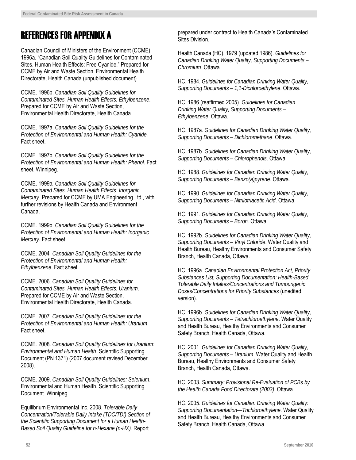# REFERENCES FOR APPENDIX A

Canadian Council of Ministers of the Environment (CCME). 1996a. "Canadian Soil Quality Guidelines for Contaminated Sites. Human Health Effects: Free Cyanide." Prepared for CCME by Air and Waste Section, Environmental Health Directorate, Health Canada (unpublished document).

CCME. 1996b. *Canadian Soil Quality Guidelines for Contaminated Sites. Human Health Effects: Ethylbenzene*. Prepared for CCME by Air and Waste Section, Environmental Health Directorate, Health Canada.

CCME. 1997a. *Canadian Soil Quality Guidelines for the Protection of Environmental and Human Health: Cyanide.* Fact sheet.

CCME. 1997b*. Canadian Soil Quality Guidelines for the Protection of Environmental and Human Health: Phenol.* Fact sheet. Winnipeg.

CCME. 1999a*. Canadian Soil Quality Guidelines for Contaminated Sites. Human Health Effects: Inorganic Mercury*. Prepared for CCME by UMA Engineering Ltd., with further revisions by Health Canada and Environment Canada.

CCME. 1999b. *Canadian Soil Quality Guidelines for the Protection of Environmental and Human Health: Inorganic Mercury.* Fact sheet.

CCME. 2004*. Canadian Soil Quality Guidelines for the Protection of Environmental and Human Health: Ethylbenzene*. Fact sheet.

CCME. 2006. *Canadian Soil Quality Guidelines for Contaminated Sites. Human Health Effects: Uranium*. Prepared for CCME by Air and Waste Section, Environmental Health Directorate, Health Canada.

CCME. 2007. *Canadian Soil Quality Guidelines for the Protection of Environmental and Human Health: Uranium*. Fact sheet.

CCME. 2008. *Canadian Soil Quality Guidelines for Uranium: Environmental and Human Health*. Scientific Supporting Document (PN 1371) (2007 document revised December 2008).

CCME. 2009. *Canadian Soil Quality Guidelines: Selenium*. Environmental and Human Health. Scientific Supporting Document. Winnipeg.

Equilibrium Environmental Inc. 2008. *Tolerable Daily Concentration/Tolerable Daily Intake (TDC/TDI) Section of the Scientific Supporting Document for a Human Health-Based Soil Quality Guideline for n-Hexane (n-HX)*. Report

prepared under contract to Health Canada's Contaminated Sites Division.

Health Canada (HC). 1979 (updated 1986). *Guidelines for Canadian Drinking Water Quality, Supporting Documents – Chromium*. Ottawa.

HC. 1984. *Guidelines for Canadian Drinking Water Quality, Supporting Documents – 1,1-Dichloroethylene*. Ottawa.

HC. 1986 (reaffirmed 2005). *Guidelines for Canadian Drinking Water Quality, Supporting Documents – Ethylbenzene*. Ottawa.

HC. 1987a. *Guidelines for Canadian Drinking Water Quality, Supporting Documents – Dichloromethane*. Ottawa.

HC. 1987b. *Guidelines for Canadian Drinking Water Quality, Supporting Documents – Chlorophenols*. Ottawa.

HC. 1988. *Guidelines for Canadian Drinking Water Quality, Supporting Documents – Benzo(a)pyrene*. Ottawa.

HC. 1990. *Guidelines for Canadian Drinking Water Quality, Supporting Documents – Nitrilotriacetic Acid*. Ottawa.

HC. 1991. *Guidelines for Canadian Drinking Water Quality, Supporting Documents – Boron*. Ottawa.

HC. 1992b. *Guidelines for Canadian Drinking Water Quality, Supporting Documents – Vinyl Chloride*. Water Quality and Health Bureau, Healthy Environments and Consumer Safety Branch, Health Canada, Ottawa.

HC. 1996a. *Canadian Environmental Protection Act, Priority Substances List, Supporting Documentation: Health-Based Tolerable Daily Intakes/Concentrations and Tumourigenic Doses/Concentrations for Priority Substances* (unedited version).

HC. 1996b. *Guidelines for Canadian Drinking Water Quality, Supporting Documents – Tetrachloroethylene*. Water Quality and Health Bureau, Healthy Environments and Consumer Safety Branch, Health Canada, Ottawa.

HC. 2001. *Guidelines for Canadian Drinking Water Quality, Supporting Documents – Uranium*. Water Quality and Health Bureau, Healthy Environments and Consumer Safety Branch, Health Canada, Ottawa.

HC. 2003*. Summary: Provisional Re-Evaluation of PCBs by the Health Canada Food Directorate (2003)*. Ottawa.

HC. 2005. *Guidelines for Canadian Drinking Water Quality: Supporting Documentation—Trichloroethylene*. Water Quality and Health Bureau, Healthy Environments and Consumer Safety Branch, Health Canada, Ottawa.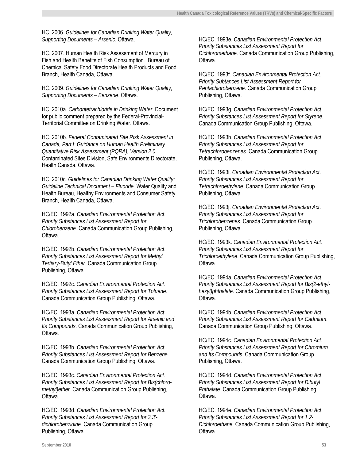HC. 2006. *Guidelines for Canadian Drinking Water Quality, Supporting Documents – Arsenic*. Ottawa.

HC. 2007. Human Health Risk Assessment of Mercury in Fish and Health Benefits of Fish Consumption. Bureau of Chemical Safety Food Directorate Health Products and Food Branch, Health Canada, Ottawa.

HC. 2009. *Guidelines for Canadian Drinking Water Quality, Supporting Documents – Benzene*. Ottawa.

HC. 2010a. *Carbontetrachloride in Drinking Water*. Document for public comment prepared by the Federal-Provincial-Territorial Committee on Drinking Water. Ottawa.

HC. 2010b. *Federal Contaminated Site Risk Assessment in Canada, Part I: Guidance on Human Health Preliminary Quantitative Risk Assessment (PQRA), Version 2.0.* Contaminated Sites Division, Safe Environments Directorate, Health Canada, Ottawa.

HC. 2010c. *Guidelines for Canadian Drinking Water Quality: Guideline Technical Document – Fluoride*. Water Quality and Health Bureau, Healthy Environments and Consumer Safety Branch, Health Canada, Ottawa.

HC/EC. 1992a. *Canadian Environmental Protection Act*. *Priority Substances List Assessment Report for Chlorobenzene*. Canada Communication Group Publishing, Ottawa.

HC/EC. 1992b. *Canadian Environmental Protection Act*. *Priority Substances List Assessment Report for Methyl Tertiary-Butyl Ether*. Canada Communication Group Publishing, Ottawa.

HC/EC. 1992c. *Canadian Environmental Protection Act*. *Priority Substances List Assessment Report for Toluene*. Canada Communication Group Publishing, Ottawa.

HC/EC. 1993a. *Canadian Environmental Protection Act*. *Priority Substances List Assessment Report for Arsenic and Its Compounds*. Canada Communication Group Publishing, Ottawa.

HC/EC. 1993b. *Canadian Environmental Protection Act*. *Priority Substances List Assessment Report for Benzene.* Canada Communication Group Publishing, Ottawa.

HC/EC. 1993c. *Canadian Environmental Protection Act*. *Priority Substances List Assessment Report for Bis(chloromethyl)ether*. Canada Communication Group Publishing, Ottawa.

HC/EC. 1993d. *Canadian Environmental Protection Act. Priority Substances List Assessment Report for 3,3' dichlorobenzidine*. Canada Communication Group Publishing, Ottawa.

HC/EC. 1993e. *Canadian Environmental Protection Act*. *Priority Substances List Assessment Report for Dichloromethane*. Canada Communication Group Publishing, Ottawa.

HC/EC. 1993f. *Canadian Environmental Protection Act*. *Priority Subtances List Assessment Report for Pentachlorobenzene*. Canada Communication Group Publishing, Ottawa.

HC/EC. 1993g. *Canadian Environmental Protection Act*. *Priority Substances List Assessment Report for Styrene*. Canada Communication Group Publishing, Ottawa.

HC/EC. 1993h. *Canadian Environmental Protection Act*. *Priority Substances List Assessment Report for Tetrachlorobenzenes*. Canada Communication Group Publishing, Ottawa.

HC/EC. 1993i. *Canadian Environmental Protection Act*. *Priority Substances List Assessment Report for Tetrachloroethylene*. Canada Communication Group Publishing, Ottawa.

HC/EC. 1993j. *Canadian Environmental Protection Act*. *Priority Substances List Assessment Report for Trichlorobenzenes*. Canada Communication Group Publishing, Ottawa.

HC/EC. 1993k. *Canadian Environmental Protection Act*. *Priority Substances List Assessment Report for Trichloroethylene*. Canada Communication Group Publishing, Ottawa.

HC/EC. 1994a. *Canadian Environmental Protection Act*. *Priority Substances List Assessment Report for Bis(2-ethylhexyl)phthalate*. Canada Communication Group Publishing, Ottawa.

HC/EC. 1994b. *Canadian Environmental Protection Act*. *Priority Substances List Assessment Report for Cadmium*. Canada Communication Group Publishing, Ottawa.

HC/EC. 1994c. *Canadian Environmental Protection Act*. *Priority Substances List Assessment Report for Chromium and Its Compounds*. Canada Communication Group Publishing, Ottawa.

HC/EC. 1994d. *Canadian Environmental Protection Act*. *Priority Substances List Assessment Report for Dibutyl Phthalate*. Canada Communication Group Publishing, Ottawa.

HC/EC. 1994e. *Canadian Environmental Protection Act*. *Priority Substances List Assessment Report for 1,2- Dichloroethane*. Canada Communication Group Publishing, Ottawa.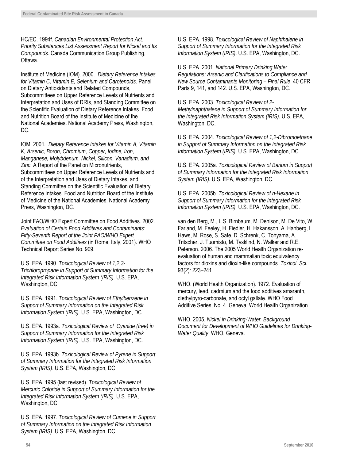HC/EC. 1994f. *Canadian Environmental Protection Act*. *Priority Substances List Assessment Report for Nickel and Its Compounds*. Canada Communication Group Publishing, Ottawa.

Institute of Medicine (IOM). 2000. *Dietary Reference Intakes for Vitamin C, Vitamin E, Selenium and Carotenoids*. Panel on Dietary Antioxidants and Related Compounds, Subcommittees on Upper Reference Levels of Nutrients and Interpretation and Uses of DRIs, and Standing Committee on the Scientific Evaluation of Dietary Reference Intakes. Food and Nutrition Board of the Institute of Medicine of the National Academies. National Academy Press, Washington, DC.

IOM. 2001*. Dietary Reference Intakes for Vitamin A, Vitamin K, Arsenic, Boron, Chromium, Copper, Iodine, Iron, Manganese, Molybdenum, Nickel, Silicon, Vanadium, and Zinc.* A Report of the Panel on Micronutrients, Subcommittees on Upper Reference Levels of Nutrients and of the Interpretation and Uses of Dietary Intakes, and Standing Committee on the Scientific Evaluation of Dietary Reference Intakes. Food and Nutrition Board of the Institute of Medicine of the National Academies. National Academy Press, Washington, DC.

Joint FAO/WHO Expert Committee on Food Additives. 2002. *Evaluation of Certain Food Additives and Contaminants: Fifty-Seventh Report of the Joint FAO/WHO Expert Committee on Food Additives* (in Rome, Italy, 2001). WHO Technical Report Series No. 909.

U.S. EPA. 1990. *Toxicological Review of 1,2,3- Trichloropropane in Support of Summary Information for the Integrated Risk Information System (IRIS).* U.S. EPA, Washington, DC.

U.S. EPA. 1991. *Toxicological Review of Ethylbenzene in Support of Summary Information on the Integrated Risk Information System (IRIS)*. U.S. EPA, Washington, DC.

U.S. EPA. 1993a. *Toxicological Review of Cyanide (free) in Support of Summary Information for the Integrated Risk Information System (IRIS)*. U.S. EPA, Washington, DC.

U.S. EPA. 1993b. *Toxicological Review of Pyrene in Support of Summary Information for the Integrated Risk Information System (IRIS)*. U.S. EPA, Washington, DC.

U.S. EPA. 1995 (last revised). *Toxicological Review of Mercuric Chloride in Support of Summary Information for the Integrated Risk Information System (IRIS)*. U.S. EPA, Washington, DC.

U.S. EPA. 1997. *Toxicological Review of Cumene in Support of Summary Information on the Integrated Risk Information System (IRIS)*. U.S. EPA, Washington, DC.

U.S. EPA. 1998. *Toxicological Review of Naphthalene in Support of Summary Information for the Integrated Risk Information System (IRIS)*. U.S. EPA, Washington, DC.

U.S. EPA. 2001. *National Primary Drinking Water Regulations: Arsenic and Clarifications to Compliance and New Source Contaminants Monitoring – Final Rule*. 40 CFR Parts 9, 141, and 142. U.S. EPA, Washington, DC.

U.S. EPA. 2003. *Toxicological Review of 2- Methylnaphthalene in Support of Summary Information for the Integrated Risk Information System (IRIS).* U.S. EPA, Washington, DC.

U.S. EPA. 2004. *Toxicological Review of 1,2-Dibromoethane in Support of Summary Information on the Integrated Risk Information System (IRIS)*. U.S. EPA, Washington, DC.

U.S. EPA. 2005a. *Toxicological Review of Barium in Support of Summary Information for the Integrated Risk Information System (IRIS).* U.S. EPA, Washington, DC.

U.S. EPA. 2005b. *Toxicological Review of n-Hexane in Support of Summary Information for the Integrated Risk Information System (IRIS).* U.S. EPA, Washington, DC.

van den Berg, M., L.S. Birnbaum, M. Denison, M. De Vito, W. Farland, M. Feeley, H. Fiedler, H. Hakansson, A. Hanberg, L. Haws, M. Rose, S. Safe, D. Schrenk, C. Tohyama, A. Tritscher, J. Tuomisto, M. Tysklind, N. Walker and R.E. Peterson. 2006. The 2005 World Health Organization reevaluation of human and mammalian toxic equivalency factors for dioxins and dioxin-like compounds. *Toxicol. Sci.* 93(2): 223–241.

WHO. (World Health Organization). 1972. Evaluation of mercury, lead, cadmium and the food additives amaranth, diethylpyro-carbonate, and octyl gallate. WHO Food Additive Series, No. 4. Geneva: World Health Organization.

WHO. 2005. *Nickel in Drinking-Water. Background Document for Development of WHO Guidelines for Drinking-Water Quality*. WHO, Geneva.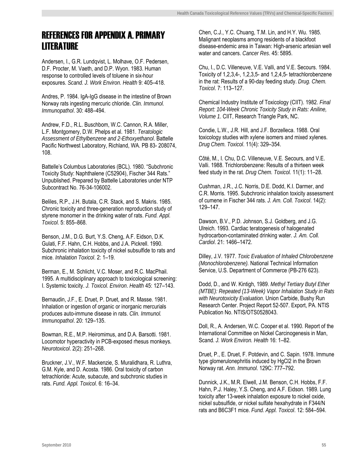### REFERENCES FOR APPENDIX A. PRIMARY LITERATURE

Andersen, I., G.R. Lundqvist, L. Molhave, O.F. Pedersen, D.F. Procter, M. Vaeth, and D.P. Wyon. 1983. Human response to controlled levels of toluene in six-hour exposures. *Scand. J. Work Environ. Health* 9: 405–418.

Andres, P. 1984. IgA-IgG disease in the intestine of Brown Norway rats ingesting mercuric chloride. *Clin. Immunol. Immunopathol*. 30: 488–494.

Andrew, F.D., R.L. Buschbom, W.C. Cannon, R.A. Miller, L.F. Montgomery, D.W. Phelps et al. 1981. *Teratologic Assessment of Ethylbenzene and 2-Ethoxyethanol*. Battelle Pacific Northwest Laboratory, Richland, WA. PB 83- 208074, 108.

Battelle's Columbus Laboratories (BCL). 1980. "Subchronic Toxicity Study: Naphthalene (C52904), Fischer 344 Rats." Unpublished. Prepared by Battelle Laboratories under NTP Subcontract No. 76-34-106002.

Beliles, R.P., J.H. Butala, C.R. Stack, and S. Makris. 1985. Chronic toxicity and three-generation reproduction study of styrene monomer in the drinking water of rats. *Fund. Appl. Toxicol*. 5: 855–868.

Benson, J.M., D.G. Burt, Y.S. Cheng, A.F. Eidson, D.K. Gulati, F.F. Hahn, C.H. Hobbs, and J.A. Pickrell. 1990. Subchronic inhalation toxicity of nickel subsulfide to rats and mice. *Inhalation Toxicol*. 2: 1–19.

Berman, E., M. Schlicht, V.C. Moser, and R.C. MacPhail. 1995. A multidisciplinary approach to toxicological screening: I. Systemic toxicity. *J. Toxicol. Environ*. *Health* 45: 127–143.

Bernaudin, J.F., E. Druet, P. Druet, and R. Masse. 1981. Inhalation or ingestion of organic or inorganic mercurials produces auto-immune disease in rats. *Clin. Immunol. Immunopathol*. 20: 129–135.

Bowman, R.E., M.P. Heiromimus, and D.A. Barsotti. 1981. Locomotor hyperactivity in PCB-exposed rhesus monkeys. *Neurotoxicol*. 2(2): 251–268.

Bruckner, J.V., W.F. Mackenzie, S. Muralidhara, R. Luthra, G.M. Kyle, and D. Acosta. 1986. Oral toxicity of carbon tetrachloride: Acute, subacute, and subchronic studies in rats. *Fund. Appl. Toxicol*. 6: 16–34.

Chen, C.J., Y.C. Chuang, T.M. Lin, and H.Y. Wu. 1985. Malignant neoplasms among residents of a blackfoot disease-endemic area in Taiwan: High-arsenic artesian well water and cancers. *Cancer Res*. 45: 5895.

Chu, I., D.C. Villeneuve, V.E. Valli, and V.E. Secours. 1984. Toxicity of 1,2,3,4-, 1,2,3,5- and 1,2,4,5- tetrachlorobenzene in the rat: Results of a 90-day feeding study. *Drug. Chem. Toxicol*. 7: 113–127.

Chemical Industry Institute of Toxicology (CIIT). 1982. *Final Report: 104-Week Chronic Toxicity Study in Rats: Aniline, Volume 1*. CIIT, Research Triangle Park, NC.

Condie, L.W., J.R. Hill, and J.F. Borzelleca. 1988. Oral toxicology studies with xylene isomers and mixed xylenes. *Drug Chem. Toxicol*. 11(4): 329–354.

Côté, M., I. Chu, D.C. Villeneuve, V.E. Secours, and V.E. Valli. 1988. Trichlorobenzene: Results of a thirteen week feed study in the rat. *Drug Chem. Toxicol.* 11(1): 11–28.

Cushman, J.R., J.C. Norris, D.E. Dodd, K.I. Darmer, and C.R. Morris. 1995. Subchronic inhalation toxicity assessment of cumene in Fischer 344 rats. *J. Am. Coll. Toxicol*. 14(2): 129–147.

Dawson, B.V., P.D. Johnson, S.J. Goldberg, and J.G. Ulreich. 1993. Cardiac teratogenesis of halogenated hydrocarbon-contaminated drinking water. *J. Am. Coll. Cardiol*. 21: 1466–1472.

Dilley, J.V. 1977. *Toxic Evaluation of Inhaled Chlorobenzene (Monochlorobenzene).* National Technical Information Service, U.S. Department of Commerce (PB-276 623).

Dodd, D., and W. Kintigh, 1989. *Methyl Tertiary Butyl Ether (MTBE): Repeated (13-Week) Vapor Inhalation Study in Rats with Neurotoxicity Evaluation*. Union Carbide, Bushy Run Research Center. Project Report 52-507. Export, PA. NTIS Publication No. NTIS/OTS0528043.

Doll, R., A. Andersen, W.C. Cooper et al. 1990. Report of the International Committee on Nickel Carcinogenesis in Man, Scand. *J. Work Environ. Health* 16: 1–82.

Druet, P., E. Druet, F. Potdevin, and C. Sapin. 1978. Immune type glomerulonephritis induced by HgCl2 in the Brown Norway rat. *Ann. Immunol*. 129C: 777–792.

Dunnick, J.K., M.R. Elwell, J.M. Benson, C.H. Hobbs, F.F. Hahn, P.J. Haley, Y.S. Cheng, and A.F. Eidson. 1989. Lung toxicity after 13-week inhalation exposure to nickel oxide, nickel subsulfide, or nickel sulfate hexahydrate in F344/N rats and B6C3F1 mice. *Fund. Appl. Toxicol*. 12: 584–594.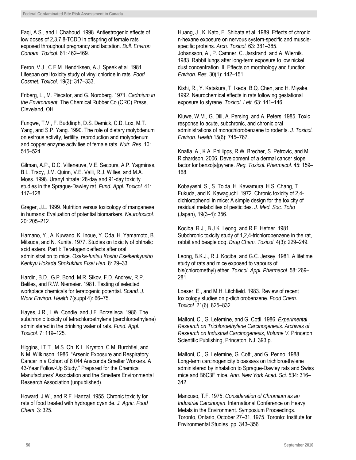Faqi, A.S., and I. Chahoud. 1998. Antiestrogenic effects of low doses of 2,3,7,8-TCDD in offspring of female rats exposed throughout pregnancy and lactation. *Bull. Environ. Contam. Toxicol*. 61: 462–469.

Feron, V.J., C.F.M. Hendriksen, A.J. Speek et al. 1981. Lifespan oral toxicity study of vinyl chloride in rats. *Food Cosmet. Toxicol*. 19(3): 317–333.

Friberg, L., M. Piscator, and G. Nordberg. 1971. *Cadmium in the Environment*. The Chemical Rubber Co (CRC) Press, Cleveland, OH.

Fungwe, T.V., F. Buddingh, D.S. Demick, C.D. Lox, M.T. Yang, and S.P. Yang. 1990. The role of dietary molybdenum on estrous activity, fertility, reproduction and molybdenum and copper enzyme activities of female rats. *Nutr. Res*. 10: 515–524.

Gilman, A.P., D.C. Villeneuve, V.E. Secours, A.P. Yagminas, B.L. Tracy, J.M. Quinn, V.E. Valli, R.J. Willes, and M.A. Moss. 1998. Uranyl nitrate: 28-day and 91-day toxicity studies in the Sprague-Dawley rat. *Fund. Appl. Toxicol*. 41: 117–128.

Greger, J.L. 1999. Nutrition versus toxicology of manganese in humans: Evaluation of potential biomarkers. *Neurotoxicol.* 20: 205–212.

Hamano, Y., A. Kuwano, K. Inoue, Y. Oda, H. Yamamoto, B. Mitsuda, and N. Kunita. 1977. Studies on toxicity of phthalic acid esters. Part I: Teratogenic effects after oral administration to mice. *Osaka-furitsu Koshu Eseikenkyusho Kenkyu Hokada Shokukhim Eisei Hen.* 8: 29–33.

Hardin, B.D., G.P. Bond, M.R. Sikov, F.D. Andrew, R.P. Beliles, and R.W. Niemeier. 1981. Testing of selected workplace chemicals for teratogenic potential. *Scand. J. Work Environ. Health* 7(suppl 4): 66–75.

Hayes, J.R., L.W. Condie, and J.F. Borzelleca. 1986. The subchronic toxicity of tetrachloroethylene (perchloroethylene) administered in the drinking water of rats. *Fund. Appl. Toxicol*. 7: 119–125.

Higgins, I.T.T., M.S. Oh, K.L. Kryston, C.M. Burchfiel, and N.M. Wilkinson. 1986. "Arsenic Exposure and Respiratory Cancer in a Cohort of 8 044 Anaconda Smelter Workers. A 43-Year Follow-Up Study." Prepared for the Chemical Manufacturers' Association and the Smelters Environmental Research Association (unpublished).

Howard, J.W., and R.F. Hanzal. 1955. Chronic toxicity for rats of food treated with hydrogen cyanide. *J. Agric. Food Chem*. 3: 325.

Huang, J., K. Kato, E. Shibata et al. 1989. Effects of chronic n-hexane exposure on nervous system-specific and musclespecific proteins. *Arch. Toxicol.* 63: 381–385. Johansson, A., P. Camner, C. Jarstrand, and A. Wiernik. 1983. Rabbit lungs after long-term exposure to low nickel dust concentration. II. Effects on morphology and function. *Environ. Res*. 30(1): 142–151.

Kishi, R., Y. Katakura, T. Ikeda, B.Q. Chen, and H. Miyake. 1992. Neurochemical effects in rats following gestational exposure to styrene. *Toxicol. Lett*. 63: 141–146.

Kluwe, W.M., G. Dill, A. Persing, and A. Peters. 1985. Toxic response to acute, subchronic, and chronic oral administrations of monochlorobenzene to rodents. *J. Toxicol. Environ. Health* 15(6): 745–767.

Knafla, A., K.A. Phillipps, R.W. Brecher, S. Petrovic, and M. Richardson. 2006. Development of a dermal cancer slope factor for benzo[a]pyrene. *Reg. Toxicol. Pharmacol*. 45: 159– 168.

Kobayashi, S., S. Toida, H. Kawamura, H.S. Chang, T. Fukuda, and K. Kawaguchi. 1972. Chronic toxicity of 2,4 dichlorophenol in mice: A simple design for the toxicity of residual metabolites of pesticides. *J. Med. Soc. Toho* (Japan), 19(3–4): 356.

Kociba, R.J., B.J.K. Leong, and R.E. Hefner. 1981. Subchronic toxicity study of 1,2,4-trichlorobenzene in the rat, rabbit and beagle dog. *Drug Chem. Toxicol*. 4(3): 229–249.

Leong, B.K.J., R.J. Kociba, and G.C. Jersey. 1981. A lifetime study of rats and mice exposed to vapours of bis(chloromethyl) ether. *Toxicol. Appl. Pharmacol*. 58: 269– 281.

Loeser, E., and M.H. Litchfield. 1983. Review of recent toxicology studies on p-dichlorobenzene. *Food Chem. Toxicol*. 21(6): 825–832.

Maltoni, C., G. Lefemine, and G. Cotti. 1986. *Experimental Research on Trichloroethylene Carcinogenesis. Archives of Research on Industrial Carcinogenesis, Volume V.* Princeton Scientific Publishing, Princeton, NJ. 393 p.

Maltoni, C., G. Lefemine, G. Cotti, and G. Perino. 1988. Long-term carcinogenicity bioassays on trichloroethylene administered by inhalation to Sprague-Dawley rats and Swiss mice and B6C3F mice. *Ann. New York Acad. Sci*. 534: 316– 342.

Mancuso, T.F. 1975. *Consideration of Chromium as an Industrial Carcinogen*. International Conference on Heavy Metals in the Environment. Symposium Proceedings. Toronto, Ontario, October 27–31, 1975. Toronto: Institute for Environmental Studies. pp. 343–356.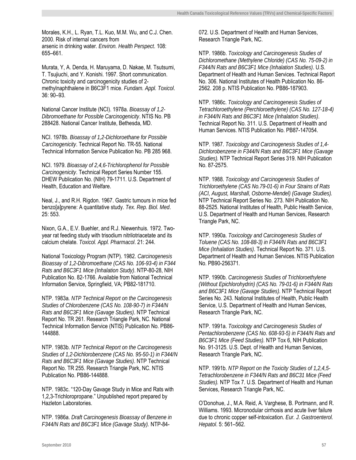Morales, K.H., L. Ryan, T.L. Kuo, M.M. Wu, and C.J. Chen. 2000. Risk of internal cancers from arsenic in drinking water. *Environ. Health Perspect*. 108: 655–661.

Murata, Y, A. Denda, H. Maruyama, D. Nakae, M. Tsutsumi, T. Tsujiuchi, and Y. Konishi. 1997. Short communication. Chronic toxicity and carcinogenicity studies of 2 methylnaphthalene in B6C3F1 mice. *Fundam. Appl. Toxicol*. 36: 90–93.

National Cancer Institute (NCI). 1978a. *Bioassay of 1,2- Dibromoethane for Possible Carcinogenicity*. NTIS No. PB 288428. National Cancer Institute, Bethesda, MD.

NCI. 1978b. *Bioassay of 1,2-Dichloroethane for Possible Carcinogenicity*. Technical Report No. TR-55. National Technical Information Service Publication No. PB 285 968.

NCI. 1979. *Bioassay of 2,4,6-Trichlorophenol for Possible Carcinogenicity*. Technical Report Series Number 155. DHEW Publication No. (NIH) 79-1711. U.S. Department of Health, Education and Welfare.

Neal, J., and R.H. Rigdon. 1967. Gastric tumours in mice fed benzo[a]pyrene: A quantitative study. *Tex. Rep. Biol. Med*. 25: 553.

Nixon, G.A., E.V. Buehler, and R.J. Niewenhuis. 1972. Twoyear rat feeding study with trisodium nitrilotriacetate and its calcium chelate. *Toxicol. Appl. Pharmacol*. 21: 244.

National Toxicology Program (NTP). 1982. *Carcinogenesis Bioassay of 1,2-Dibromoethane (CAS No. 106-93-4) in F344 Rats and B6C3F1 Mice (Inhalation Study)*. NTP-80-28, NIH Publication No. 82-1766. Available from National Technical Information Service, Springfield, VA; PB82-181710.

NTP. 1983a*. NTP Technical Report on the Carcinogenesis Studies of Chlorobenzene (CAS No. 108-90-7) in F344/N Rats and B6C3F1 Mice (Gavage Studies)*. NTP Technical Report No. TR 261. Research Triangle Park, NC. National Technical Information Service (NTIS) Publication No. PB86- 144888.

NTP. 1983b. *NTP Technical Report on the Carcinogenesis Studies of 1,2-Dichlorobenzene (CAS No. 95-50-1) in F344/N Rats and B6C3F1 Mice (Gavage Studies)*. NTP Technical Report No. TR 255. Research Triangle Park, NC. NTIS Publication No. PB86-144888.

NTP. 1983c. "120-Day Gavage Study in Mice and Rats with 1,2,3-Trichloropropane." Unpublished report prepared by Hazleton Laboratories.

NTP. 1986a. *Draft Carcinogenesis Bioassay of Benzene in F344/N Rats and B6C3F1 Mice (Gavage Study).* NTP-84072. U.S. Department of Health and Human Services, Research Triangle Park, NC.

NTP. 1986b. *Toxicology and Carcinogenesis Studies of Dichloromethane (Methylene Chloride) (CAS No. 75-09-2) in F344/N Rats and B6C3F1 Mice (Inhalation Studies)*. U.S. Department of Health and Human Services. Technical Report No. 306. National Institutes of Health Publication No. 86- 2562. 208 p. NTIS Publication No. PB86-187903.

NTP. 1986c. *Toxicology and Carcinogenesis Studies of Tetrachloroethylene (Perchloroethylene) (CAS No. 127-18-4) in F344/N Rats and B6C3F1 Mice (Inhalation Studies)*. Technical Report No. 311. U.S. Department of Health and Human Services. NTIS Publication No. PB87-147054.

NTP. 1987. *Toxicology and Carcinogenesis Studies of 1,4- Dichlorobenzene in F344/N Rats and B6C3F1 Mice (Gavage Studies).* NTP Technical Report Series 319. NIH Publication No. 87-2575.

NTP. 1988. *Toxicology and Carcinogenesis Studies of Trichloroethylene (CAS No.79-01-6) in Four Strains of Rats (ACI, August, Marshall, Osborne-Mendel) (Gavage Studies).*  NTP Technical Report Series No. 273. NIH Publication No. 88-2525. National Institutes of Health, Public Health Service, U.S. Department of Health and Human Services, Research Triangle Park, NC.

NTP. 1990a. *Toxicology and Carcinogenesis Studies of Toluene (CAS No. 108-88-3) in F344/N Rats and B6C3F1 Mice (Inhalation Studies)*. Technical Report No. 371. U.S. Department of Health and Human Services. NTIS Publication No. PB90-256371.

NTP. 1990b. *Carcinogenesis Studies of Trichloroethylene (Without Epichlorohydrin) (CAS No. 79-01-6) in F344/N Rats and B6C3F1 Mice (Gavage Studies).* NTP Technical Report Series No. 243. National Institutes of Health, Public Health Service, U.S. Department of Health and Human Services, Research Triangle Park, NC.

NTP. 1991a. *Toxicology and Carcinogenesis Studies of Pentachlorobenzene (CAS No. 608-93-5) in F344/N Rats and B6C3F1 Mice (Feed Studies).* NTP Tox 6, NIH Publication No. 91-3125. U.S. Dept. of Health and Human Services, Research Triangle Park, NC.

NTP. 1991b. *NTP Report on the Toxicity Studies of 1,2,4,5- Tetrachlorobenzene in F344/N Rats and B6C31 Mice (Feed Studies).* NTP Tox 7. U.S. Department of Health and Human Services, Research Triangle Park, NC.

O'Donohue, J., M.A. Reid, A. Varghese, B. Portmann, and R. Williams. 1993. Micronodular cirrhosis and acute liver failure due to chronic copper self-intoxication. *Eur. J. Gastroenterol. Hepatol*. 5: 561–562.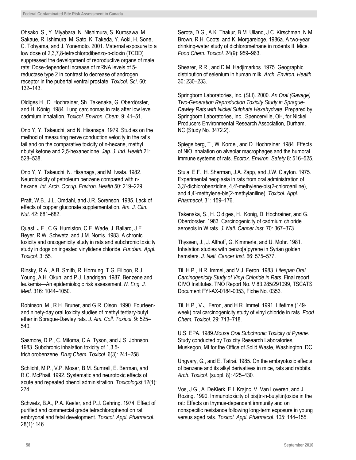Ohsako, S., Y. Miyabara, N. Nishimura, S. Kurosawa, M. Sakaue, R. Ishimura, M. Sato, K. Takeda, Y. Aoki, H. Sone, C. Tohyama, and J. Yonemoto. 2001. Maternal exposure to a low dose of 2,3,7,8-tetrachlorodibenzo-p-dioxin (TCDD) suppressed the development of reproductive organs of male rats: Dose-dependent increase of mRNA levels of 5 reductase type 2 in contrast to decrease of androgen receptor in the pubertal ventral prostate. *Toxicol. Sci*. 60: 132–143.

Oldiges H., D. Hochrainer, Sh. Takenaka, G. Oberdörster, and H. König. 1984. Lung carcinomas in rats after low level cadmium inhalation. *Toxicol. Environ. Chem*. 9: 41–51.

Ono Y, Y. Takeuchi, and N. Hisanaga. 1979. Studies on the method of measuring nerve conduction velocity in the rat's tail and on the comparative toxicity of n-hexane, methyl nbutyl ketone and 2,5-hexanedione. *Jap. J. Ind. Health* 21: 528–538.

Ono Y, Y. Takeuchi, N. Hisanaga, and M. Iwata. 1982. Neurotoxicity of petroleum benzene compared with nhexane. *Int. Arch. Occup. Environ. Health* 50: 219–229.

Pratt, W.B., J.L. Omdahl, and J.R. Sorenson. 1985. Lack of effects of copper gluconate supplementation. *Am. J. Clin. Nut*. 42: 681–682.

Quast, J.F., C.G. Humiston, C.E. Wade, J. Ballard, J.E. Beyer, R.W. Schwetz, and J.M. Norris. 1983. A chronic toxicity and oncogenicity study in rats and subchronic toxicity study in dogs on ingested vinylidene chloride. *Fundam. Appl. Toxicol*. 3: 55.

Rinsky, R.A., A.B. Smith, R. Hornung, T.G. Filloon, R.J. Young, A.H. Okun, and P.J. Landrigan. 1987. Benzene and leukemia—An epidemiologic risk assessment. *N. Eng. J. Med*. 316: 1044–1050.

Robinson, M., R.H. Bruner, and G.R. Olson. 1990. Fourteenand ninety-day oral toxicity studies of methyl tertiary-butyl ether in Sprague-Dawley rats. *J. Am. Coll. Toxicol*. 9: 525– 540.

Sasmore, D.P., C. Mitoma, C.A. Tyson, and J.S. Johnson. 1983. Subchronic inhalation toxicity of 1,3,5 trichlorobenzene. *Drug Chem. Toxicol*. 6(3): 241–258.

Schlicht, M.P., V.P. Moser, B.M. Sumrell, E. Berman, and R.C. McPhail. 1992. Systematic and neurotoxic effects of acute and repeated phenol administration. *Toxicologist* 12(1): 274.

Schwetz, B.A., P.A. Keeler, and P.J. Gehring. 1974. Effect of purified and commercial grade tetrachlorophenol on rat embryonal and fetal development. *Toxicol. Appl. Pharmacol*. 28(1): 146.

Serota, D.G., A.K. Thakur, B.M. Ulland, J.C. Kirschman, N.M. Brown, R.H. Coots, and K. Morgareidge. 1986a. A two-year drinking-water study of dichloromethane in rodents II. Mice. *Food Chem. Toxicol*. 24(9): 959–963.

Shearer, R.R., and D.M. Hadjimarkos. 1975. Geographic distribution of selenium in human milk. *Arch. Environ. Health* 30: 230–233.

Springborn Laboratories, Inc. (SLI). 2000. *An Oral (Gavage) Two-Generation Reproduction Toxicity Study in Sprague-Dawley Rats with Nickel Sulphate Hexahydrate*. Prepared by Springborn Laboratories, Inc., Spencerville, OH, for Nickel Producers Environmental Research Association, Durham, NC (Study No. 3472.2).

Spiegelberg, T., W. Kordel, and D. Hochrainer. 1984. Effects of NiO inhalation on alveolar macrophages and the humoral immune systems of rats. *Ecotox. Environ. Safety* 8: 516–525.

Stula, E.F., H. Sherman, J.A. Zapp, and J.W. Clayton. 1975. Experimental neoplasia in rats from oral administration of 3,3'-dichlorobenzidine, 4,4'-methylene-bis(2-chloroaniline), and 4,4'-methylene-bis(2-methylaniline). *Toxicol. Appl. Pharmacol*. 31: 159–176.

Takenaka, S., H. Oldiges, H. Konig, D. Hochrainer, and G. Oberdorster. 1983. Carcinogenicity of cadmium chloride aerosols in W rats. *J. Natl. Cancer Inst*. 70: 367–373.

Thyssen, J., J. Althoff, G. Kimmerle, and U. Mohr. 1981. Inhalation studies with benzo[a]pyrene in Syrian golden hamsters. *J. Natl. Cancer Inst*. 66: 575–577.

Til, H.P., H.R. Immel, and V.J. Feron. 1983. *Lifespan Oral Carcinogenicity Study of Vinyl Chloride in Rats*. Final report. CIVO Institutes. TNO Report No. V 83.285/291099, TSCATS Document FYI-AX-0184-0353, Fiche No. 0353.

Til, H.P., V.J. Feron, and H.R. Immel. 1991. Lifetime (149 week) oral carcinogenicity study of vinyl chloride in rats. *Food Chem. Toxicol*. 29: 713–718.

U.S. EPA. 1989.*Mouse Oral Subchronic Toxicity of Pyrene*. Study conducted by Toxicity Research Laboratories, Muskegon, MI for the Office of Solid Waste, Washington, DC.

Ungvary, G., and E. Tatrai. 1985. On the embryotoxic effects of benzene and its alkyl derivatives in mice, rats and rabbits. *Arch. Toxicol*. (suppl. 8): 425–430.

Vos, J.G., A. DeKlerk, E.I. Krajnc, V. Van Loveren, and J. Rozing. 1990. Immunotoxicity of bis(tri-n-butyltin)oxide in the rat: Effects on thymus-dependent immunity and on nonspecific resistance following long-term exposure in young versus aged rats. *Toxicol. Appl. Pharmacol*. 105: 144–155.